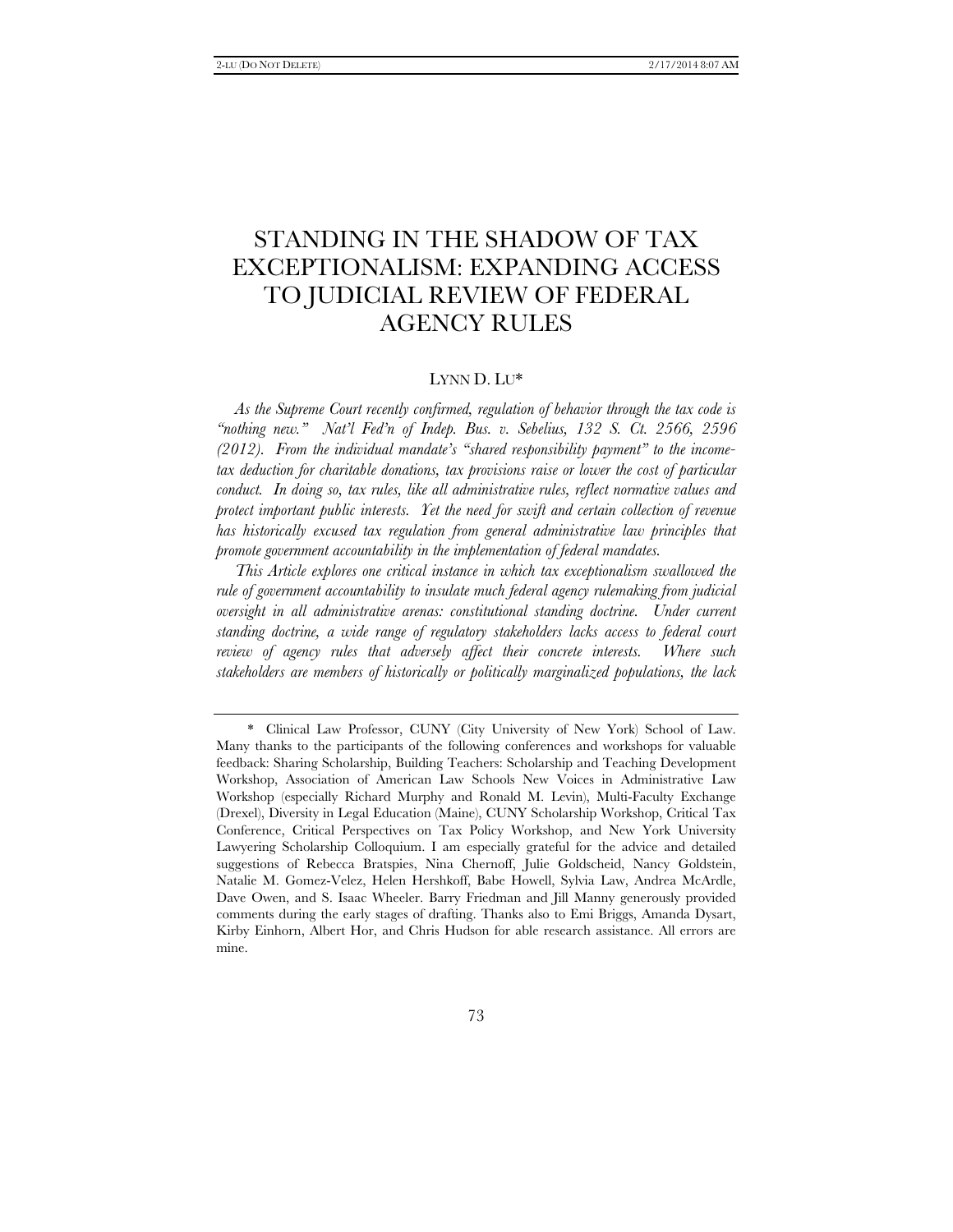# STANDING IN THE SHADOW OF TAX EXCEPTIONALISM: EXPANDING ACCESS TO JUDICIAL REVIEW OF FEDERAL AGENCY RULES

# LYNN D. LU\*

*As the Supreme Court recently confirmed, regulation of behavior through the tax code is ''nothing new.'' Nat'l Fed'n of Indep. Bus. v. Sebelius, 132 S. Ct. 2566, 2596 (2012). From the individual mandate's ''shared responsibility payment'' to the incometax deduction for charitable donations, tax provisions raise or lower the cost of particular conduct. In doing so, tax rules, like all administrative rules, reflect normative values and protect important public interests. Yet the need for swift and certain collection of revenue has historically excused tax regulation from general administrative law principles that promote government accountability in the implementation of federal mandates.* 

*This Article explores one critical instance in which tax exceptionalism swallowed the rule of government accountability to insulate much federal agency rulemaking from judicial oversight in all administrative arenas: constitutional standing doctrine. Under current standing doctrine, a wide range of regulatory stakeholders lacks access to federal court review of agency rules that adversely affect their concrete interests. Where such stakeholders are members of historically or politically marginalized populations, the lack* 

 <sup>\*</sup> Clinical Law Professor, CUNY (City University of New York) School of Law. Many thanks to the participants of the following conferences and workshops for valuable feedback: Sharing Scholarship, Building Teachers: Scholarship and Teaching Development Workshop, Association of American Law Schools New Voices in Administrative Law Workshop (especially Richard Murphy and Ronald M. Levin), Multi-Faculty Exchange (Drexel), Diversity in Legal Education (Maine), CUNY Scholarship Workshop, Critical Tax Conference, Critical Perspectives on Tax Policy Workshop, and New York University Lawyering Scholarship Colloquium. I am especially grateful for the advice and detailed suggestions of Rebecca Bratspies, Nina Chernoff, Julie Goldscheid, Nancy Goldstein, Natalie M. Gomez-Velez, Helen Hershkoff, Babe Howell, Sylvia Law, Andrea McArdle, Dave Owen, and S. Isaac Wheeler. Barry Friedman and Jill Manny generously provided comments during the early stages of drafting. Thanks also to Emi Briggs, Amanda Dysart, Kirby Einhorn, Albert Hor, and Chris Hudson for able research assistance. All errors are mine.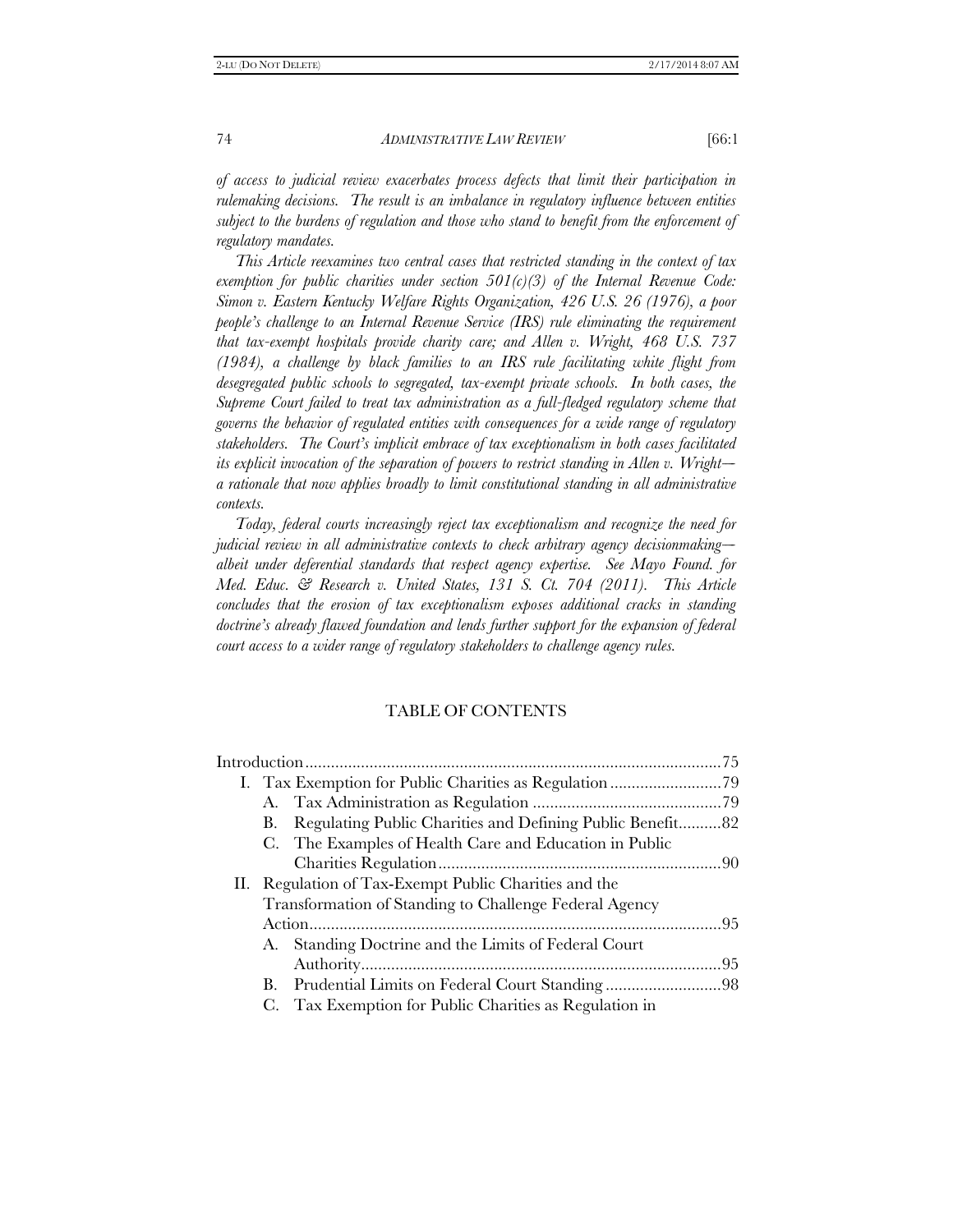*of access to judicial review exacerbates process defects that limit their participation in rulemaking decisions. The result is an imbalance in regulatory influence between entities subject to the burdens of regulation and those who stand to benefit from the enforcement of regulatory mandates.* 

*This Article reexamines two central cases that restricted standing in the context of tax exemption for public charities under section 501(c)(3) of the Internal Revenue Code: Simon v. Eastern Kentucky Welfare Rights Organization, 426 U.S. 26 (1976), a poor people's challenge to an Internal Revenue Service (IRS) rule eliminating the requirement that tax-exempt hospitals provide charity care; and Allen v. Wright, 468 U.S. 737 (1984), a challenge by black families to an IRS rule facilitating white flight from desegregated public schools to segregated, tax-exempt private schools. In both cases, the Supreme Court failed to treat tax administration as a full-fledged regulatory scheme that governs the behavior of regulated entities with consequences for a wide range of regulatory stakeholders. The Court's implicit embrace of tax exceptionalism in both cases facilitated its explicit invocation of the separation of powers to restrict standing in Allen v. Wright--- a rationale that now applies broadly to limit constitutional standing in all administrative contexts.* 

*Today, federal courts increasingly reject tax exceptionalism and recognize the need for judicial review in all administrative contexts to check arbitrary agency decisionmaking albeit under deferential standards that respect agency expertise. See Mayo Found. for Med. Educ. & Research v. United States, 131 S. Ct. 704 (2011). This Article concludes that the erosion of tax exceptionalism exposes additional cracks in standing doctrine's already flawed foundation and lends further support for the expansion of federal court access to a wider range of regulatory stakeholders to challenge agency rules.* 

# TABLE OF CONTENTS

| В.                                                     | Regulating Public Charities and Defining Public Benefit82 |  |
|--------------------------------------------------------|-----------------------------------------------------------|--|
|                                                        | C. The Examples of Health Care and Education in Public    |  |
|                                                        |                                                           |  |
| II. Regulation of Tax-Exempt Public Charities and the  |                                                           |  |
| Transformation of Standing to Challenge Federal Agency |                                                           |  |
|                                                        |                                                           |  |
|                                                        | A. Standing Doctrine and the Limits of Federal Court      |  |
|                                                        |                                                           |  |
| B.                                                     |                                                           |  |
| C.                                                     | Tax Exemption for Public Charities as Regulation in       |  |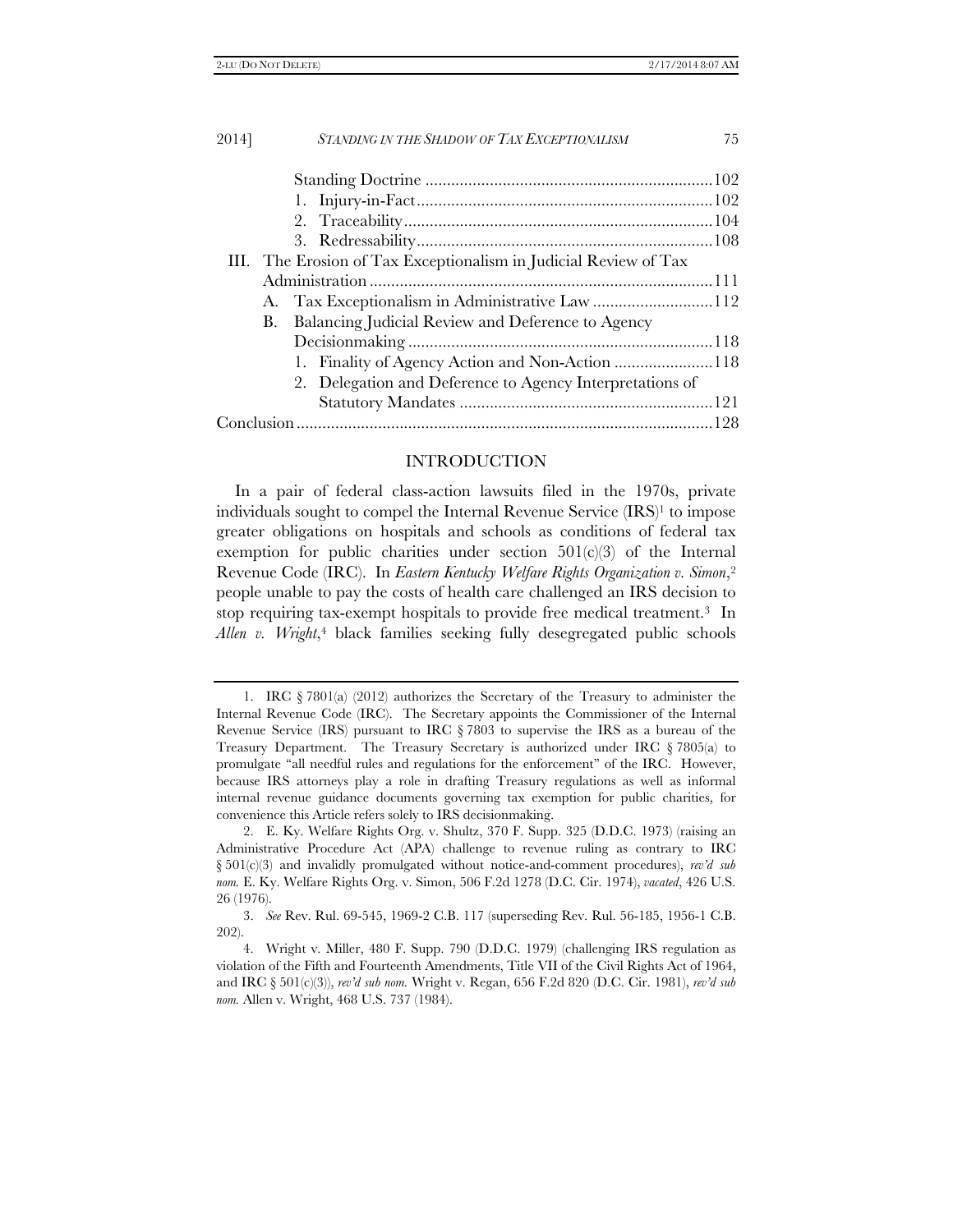| 2014] | <b>STANDING IN THE SHADOW OF TAX EXCEPTIONALISM</b>              | 75 |  |
|-------|------------------------------------------------------------------|----|--|
|       |                                                                  |    |  |
|       |                                                                  |    |  |
|       |                                                                  |    |  |
|       |                                                                  |    |  |
|       |                                                                  |    |  |
|       | III. The Erosion of Tax Exceptionalism in Judicial Review of Tax |    |  |
|       |                                                                  |    |  |
|       |                                                                  |    |  |
| В.    | Balancing Judicial Review and Deference to Agency                |    |  |
|       |                                                                  |    |  |
|       |                                                                  |    |  |
|       | 2. Delegation and Deference to Agency Interpretations of         |    |  |
|       |                                                                  |    |  |
|       |                                                                  |    |  |

# INTRODUCTION

In a pair of federal class-action lawsuits filed in the 1970s, private individuals sought to compel the Internal Revenue Service (IRS)<sup>1</sup> to impose greater obligations on hospitals and schools as conditions of federal tax exemption for public charities under section  $501(c)(3)$  of the Internal Revenue Code (IRC). In *Eastern Kentucky Welfare Rights Organization v. Simon*,2 people unable to pay the costs of health care challenged an IRS decision to stop requiring tax-exempt hospitals to provide free medical treatment.3 In Allen v. Wright,<sup>4</sup> black families seeking fully desegregated public schools

 <sup>1.</sup> IRC § 7801(a) (2012) authorizes the Secretary of the Treasury to administer the Internal Revenue Code (IRC). The Secretary appoints the Commissioner of the Internal Revenue Service (IRS) pursuant to IRC § 7803 to supervise the IRS as a bureau of the Treasury Department. The Treasury Secretary is authorized under IRC § 7805(a) to promulgate "all needful rules and regulations for the enforcement" of the IRC. However, because IRS attorneys play a role in drafting Treasury regulations as well as informal internal revenue guidance documents governing tax exemption for public charities, for convenience this Article refers solely to IRS decisionmaking.

 <sup>2.</sup> E. Ky. Welfare Rights Org. v. Shultz, 370 F. Supp. 325 (D.D.C. 1973) (raising an Administrative Procedure Act (APA) challenge to revenue ruling as contrary to IRC § 501(c)(3) and invalidly promulgated without notice-and-comment procedures), *rev'd sub nom.* E. Ky. Welfare Rights Org. v. Simon, 506 F.2d 1278 (D.C. Cir. 1974), *vacated*, 426 U.S. 26 (1976).

 <sup>3.</sup> *See* Rev. Rul. 69-545, 1969-2 C.B. 117 (superseding Rev. Rul. 56-185, 1956-1 C.B. 202).

 <sup>4.</sup> Wright v. Miller, 480 F. Supp. 790 (D.D.C. 1979) (challenging IRS regulation as violation of the Fifth and Fourteenth Amendments, Title VII of the Civil Rights Act of 1964, and IRC § 501(c)(3)), *rev'd sub nom.* Wright v. Regan, 656 F.2d 820 (D.C. Cir. 1981), *rev'd sub nom.* Allen v. Wright, 468 U.S. 737 (1984).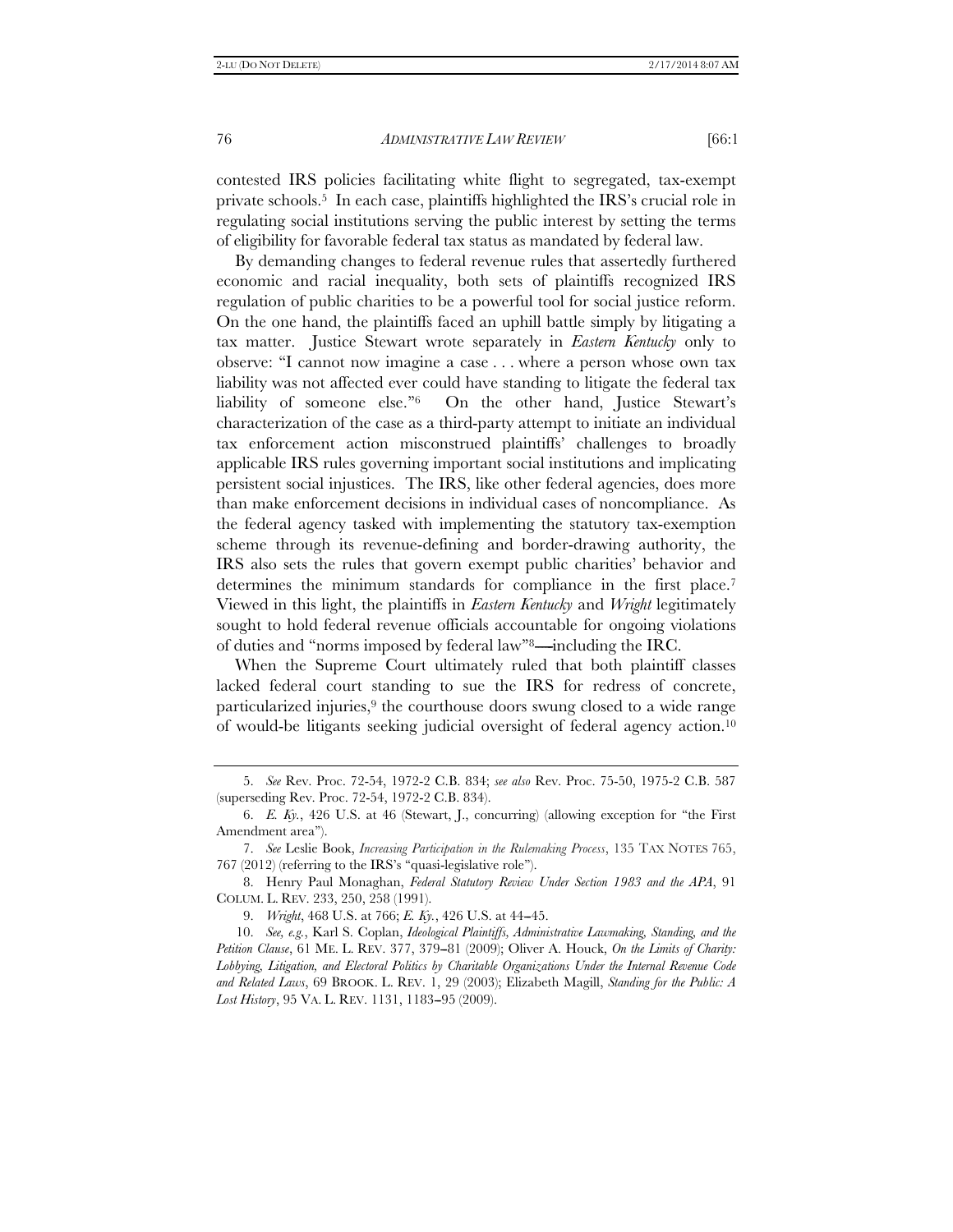contested IRS policies facilitating white flight to segregated, tax-exempt private schools.5 In each case, plaintiffs highlighted the IRS's crucial role in regulating social institutions serving the public interest by setting the terms of eligibility for favorable federal tax status as mandated by federal law.

By demanding changes to federal revenue rules that assertedly furthered economic and racial inequality, both sets of plaintiffs recognized IRS regulation of public charities to be a powerful tool for social justice reform. On the one hand, the plaintiffs faced an uphill battle simply by litigating a tax matter. Justice Stewart wrote separately in *Eastern Kentucky* only to observe: ''I cannot now imagine a case . . . where a person whose own tax liability was not affected ever could have standing to litigate the federal tax liability of someone else."<sup>6</sup> On the other hand, Justice Stewart's characterization of the case as a third-party attempt to initiate an individual tax enforcement action misconstrued plaintiffs' challenges to broadly applicable IRS rules governing important social institutions and implicating persistent social injustices. The IRS, like other federal agencies, does more than make enforcement decisions in individual cases of noncompliance. As the federal agency tasked with implementing the statutory tax-exemption scheme through its revenue-defining and border-drawing authority, the IRS also sets the rules that govern exempt public charities' behavior and determines the minimum standards for compliance in the first place.<sup>7</sup> Viewed in this light, the plaintiffs in *Eastern Kentucky* and *Wright* legitimately sought to hold federal revenue officials accountable for ongoing violations of duties and "norms imposed by federal law"<sup>8</sup>—including the IRC.

When the Supreme Court ultimately ruled that both plaintiff classes lacked federal court standing to sue the IRS for redress of concrete, particularized injuries,<sup>9</sup> the courthouse doors swung closed to a wide range of would-be litigants seeking judicial oversight of federal agency action.10

9. *Wright*, 468 U.S. at 766; *E. Ky.*, 426 U.S. at 44--45.

 10. *See, e.g.*, Karl S. Coplan, *Ideological Plaintiffs, Administrative Lawmaking, Standing, and the Petition Clause*, 61 ME. L. REV. 377, 379-81 (2009); Oliver A. Houck, *On the Limits of Charity: Lobbying, Litigation, and Electoral Politics by Charitable Organizations Under the Internal Revenue Code and Related Laws*, 69 BROOK. L. REV. 1, 29 (2003); Elizabeth Magill, *Standing for the Public: A*  Lost History, 95 VA. L. REV. 1131, 1183-95 (2009).

 <sup>5.</sup> *See* Rev. Proc. 72-54, 1972-2 C.B. 834; *see also* Rev. Proc. 75-50, 1975-2 C.B. 587 (superseding Rev. Proc. 72-54, 1972-2 C.B. 834).

 <sup>6.</sup> *E. Ky.*, 426 U.S. at 46 (Stewart, J., concurring) (allowing exception for ''the First Amendment area'').

 <sup>7.</sup> *See* Leslie Book, *Increasing Participation in the Rulemaking Process*, 135 TAX NOTES 765, 767 (2012) (referring to the IRS's ''quasi-legislative role'').

 <sup>8.</sup> Henry Paul Monaghan, *Federal Statutory Review Under Section 1983 and the APA*, 91 COLUM. L. REV. 233, 250, 258 (1991).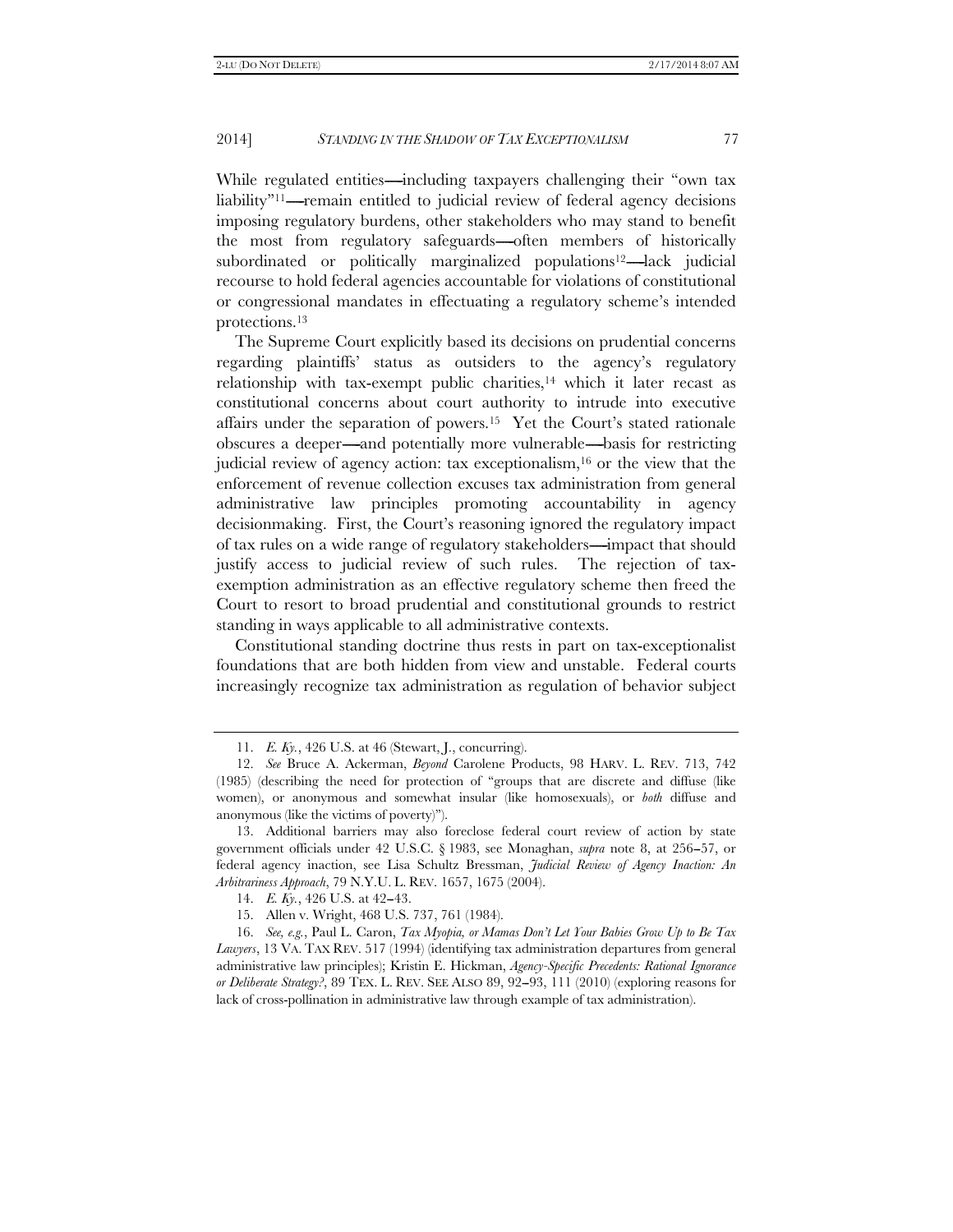While regulated entities—including taxpayers challenging their "own tax liability"<sup>11</sup>—remain entitled to judicial review of federal agency decisions imposing regulatory burdens, other stakeholders who may stand to benefit the most from regulatory safeguards—often members of historically subordinated or politically marginalized populations<sup>12</sup>—lack judicial recourse to hold federal agencies accountable for violations of constitutional or congressional mandates in effectuating a regulatory scheme's intended protections.13

The Supreme Court explicitly based its decisions on prudential concerns regarding plaintiffs' status as outsiders to the agency's regulatory relationship with tax-exempt public charities, $14$  which it later recast as constitutional concerns about court authority to intrude into executive affairs under the separation of powers.15 Yet the Court's stated rationale obscures a deeper—and potentially more vulnerable—basis for restricting judicial review of agency action: tax exceptionalism,<sup>16</sup> or the view that the enforcement of revenue collection excuses tax administration from general administrative law principles promoting accountability in agency decisionmaking. First, the Court's reasoning ignored the regulatory impact of tax rules on a wide range of regulatory stakeholders—impact that should justify access to judicial review of such rules. The rejection of taxexemption administration as an effective regulatory scheme then freed the Court to resort to broad prudential and constitutional grounds to restrict standing in ways applicable to all administrative contexts.

Constitutional standing doctrine thus rests in part on tax-exceptionalist foundations that are both hidden from view and unstable. Federal courts increasingly recognize tax administration as regulation of behavior subject

 <sup>11.</sup> *E. Ky.*, 426 U.S. at 46 (Stewart, J., concurring).

 <sup>12.</sup> *See* Bruce A. Ackerman, *Beyond* Carolene Products, 98 HARV. L. REV. 713, 742 (1985) (describing the need for protection of ''groups that are discrete and diffuse (like women), or anonymous and somewhat insular (like homosexuals), or *both* diffuse and anonymous (like the victims of poverty)'').

 <sup>13.</sup> Additional barriers may also foreclose federal court review of action by state government officials under 42 U.S.C. § 1983, see Monaghan, *supra* note 8, at 256-57, or federal agency inaction, see Lisa Schultz Bressman, *Judicial Review of Agency Inaction: An Arbitrariness Approach*, 79 N.Y.U. L. REV. 1657, 1675 (2004).

<sup>14.</sup> *E. Ky.*, 426 U.S. at 42–43.

 <sup>15.</sup> Allen v. Wright, 468 U.S. 737, 761 (1984).

 <sup>16.</sup> *See, e.g.*, Paul L. Caron, *Tax Myopia, or Mamas Don't Let Your Babies Grow Up to Be Tax Lawyers*, 13 VA. TAX REV. 517 (1994) (identifying tax administration departures from general administrative law principles); Kristin E. Hickman, *Agency-Specific Precedents: Rational Ignorance or Deliberate Strategy?*, 89 TEX. L. REV. SEE ALSO 89, 92--93, 111 (2010) (exploring reasons for lack of cross-pollination in administrative law through example of tax administration).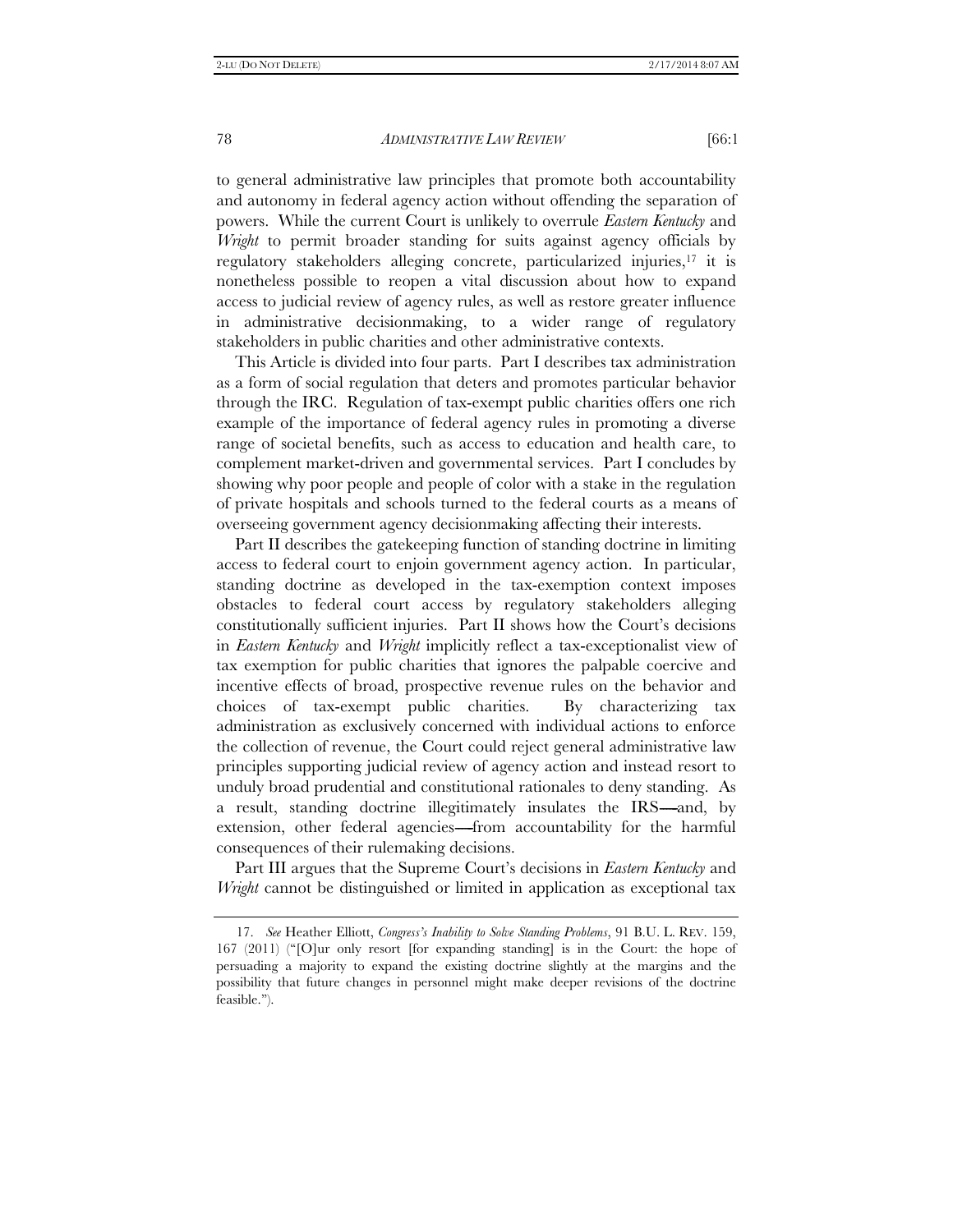to general administrative law principles that promote both accountability and autonomy in federal agency action without offending the separation of powers. While the current Court is unlikely to overrule *Eastern Kentucky* and *Wright* to permit broader standing for suits against agency officials by regulatory stakeholders alleging concrete, particularized injuries,17 it is nonetheless possible to reopen a vital discussion about how to expand access to judicial review of agency rules, as well as restore greater influence in administrative decisionmaking, to a wider range of regulatory stakeholders in public charities and other administrative contexts.

This Article is divided into four parts. Part I describes tax administration as a form of social regulation that deters and promotes particular behavior through the IRC. Regulation of tax-exempt public charities offers one rich example of the importance of federal agency rules in promoting a diverse range of societal benefits, such as access to education and health care, to complement market-driven and governmental services. Part I concludes by showing why poor people and people of color with a stake in the regulation of private hospitals and schools turned to the federal courts as a means of overseeing government agency decisionmaking affecting their interests.

Part II describes the gatekeeping function of standing doctrine in limiting access to federal court to enjoin government agency action. In particular, standing doctrine as developed in the tax-exemption context imposes obstacles to federal court access by regulatory stakeholders alleging constitutionally sufficient injuries. Part II shows how the Court's decisions in *Eastern Kentucky* and *Wright* implicitly reflect a tax-exceptionalist view of tax exemption for public charities that ignores the palpable coercive and incentive effects of broad, prospective revenue rules on the behavior and choices of tax-exempt public charities. By characterizing tax administration as exclusively concerned with individual actions to enforce the collection of revenue, the Court could reject general administrative law principles supporting judicial review of agency action and instead resort to unduly broad prudential and constitutional rationales to deny standing. As a result, standing doctrine illegitimately insulates the IRS—and, by extension, other federal agencies—from accountability for the harmful consequences of their rulemaking decisions.

Part III argues that the Supreme Court's decisions in *Eastern Kentucky* and *Wright* cannot be distinguished or limited in application as exceptional tax

 <sup>17.</sup> *See* Heather Elliott, *Congress's Inability to Solve Standing Problems*, 91 B.U. L. REV. 159, 167 (2011) (''[O]ur only resort [for expanding standing] is in the Court: the hope of persuading a majority to expand the existing doctrine slightly at the margins and the possibility that future changes in personnel might make deeper revisions of the doctrine feasible.'').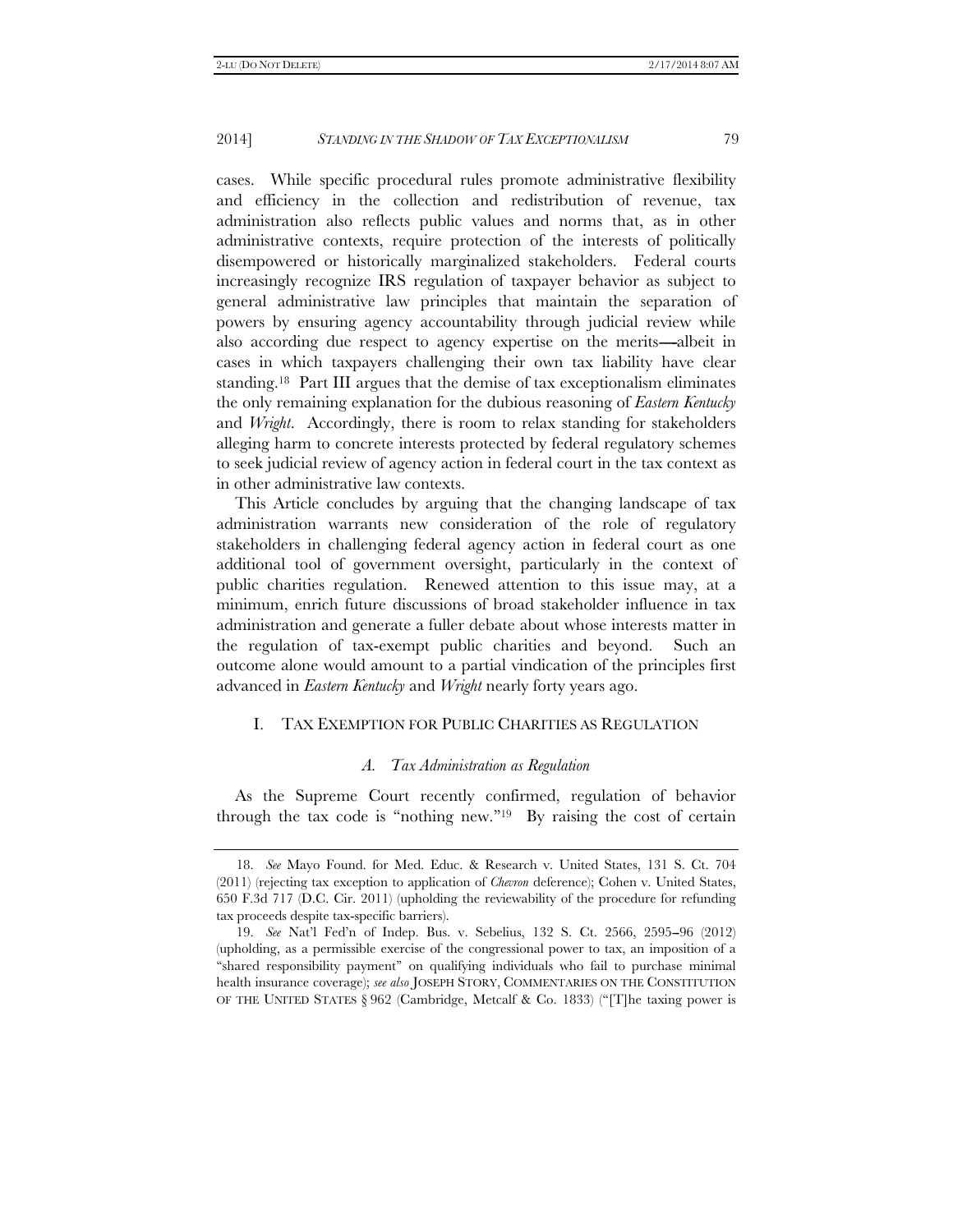cases. While specific procedural rules promote administrative flexibility and efficiency in the collection and redistribution of revenue, tax administration also reflects public values and norms that, as in other administrative contexts, require protection of the interests of politically disempowered or historically marginalized stakeholders. Federal courts increasingly recognize IRS regulation of taxpayer behavior as subject to general administrative law principles that maintain the separation of powers by ensuring agency accountability through judicial review while also according due respect to agency expertise on the merits---albeit in cases in which taxpayers challenging their own tax liability have clear standing.18 Part III argues that the demise of tax exceptionalism eliminates the only remaining explanation for the dubious reasoning of *Eastern Kentucky* and *Wright*. Accordingly, there is room to relax standing for stakeholders alleging harm to concrete interests protected by federal regulatory schemes to seek judicial review of agency action in federal court in the tax context as in other administrative law contexts.

This Article concludes by arguing that the changing landscape of tax administration warrants new consideration of the role of regulatory stakeholders in challenging federal agency action in federal court as one additional tool of government oversight, particularly in the context of public charities regulation. Renewed attention to this issue may, at a minimum, enrich future discussions of broad stakeholder influence in tax administration and generate a fuller debate about whose interests matter in the regulation of tax-exempt public charities and beyond. Such an outcome alone would amount to a partial vindication of the principles first advanced in *Eastern Kentucky* and *Wright* nearly forty years ago.

#### I. TAX EXEMPTION FOR PUBLIC CHARITIES AS REGULATION

#### *A. Tax Administration as Regulation*

As the Supreme Court recently confirmed, regulation of behavior through the tax code is "nothing new."<sup>19</sup> By raising the cost of certain

 <sup>18.</sup> *See* Mayo Found. for Med. Educ. & Research v. United States, 131 S. Ct. 704 (2011) (rejecting tax exception to application of *Chevron* deference); Cohen v. United States, 650 F.3d 717 (D.C. Cir. 2011) (upholding the reviewability of the procedure for refunding tax proceeds despite tax-specific barriers).

<sup>19.</sup> *See* Nat'l Fed'n of Indep. Bus. v. Sebelius, 132 S. Ct. 2566, 2595-96 (2012) (upholding, as a permissible exercise of the congressional power to tax, an imposition of a ''shared responsibility payment'' on qualifying individuals who fail to purchase minimal health insurance coverage); *see also* JOSEPH STORY, COMMENTARIES ON THE CONSTITUTION OF THE UNITED STATES § 962 (Cambridge, Metcalf & Co. 1833) (''[T]he taxing power is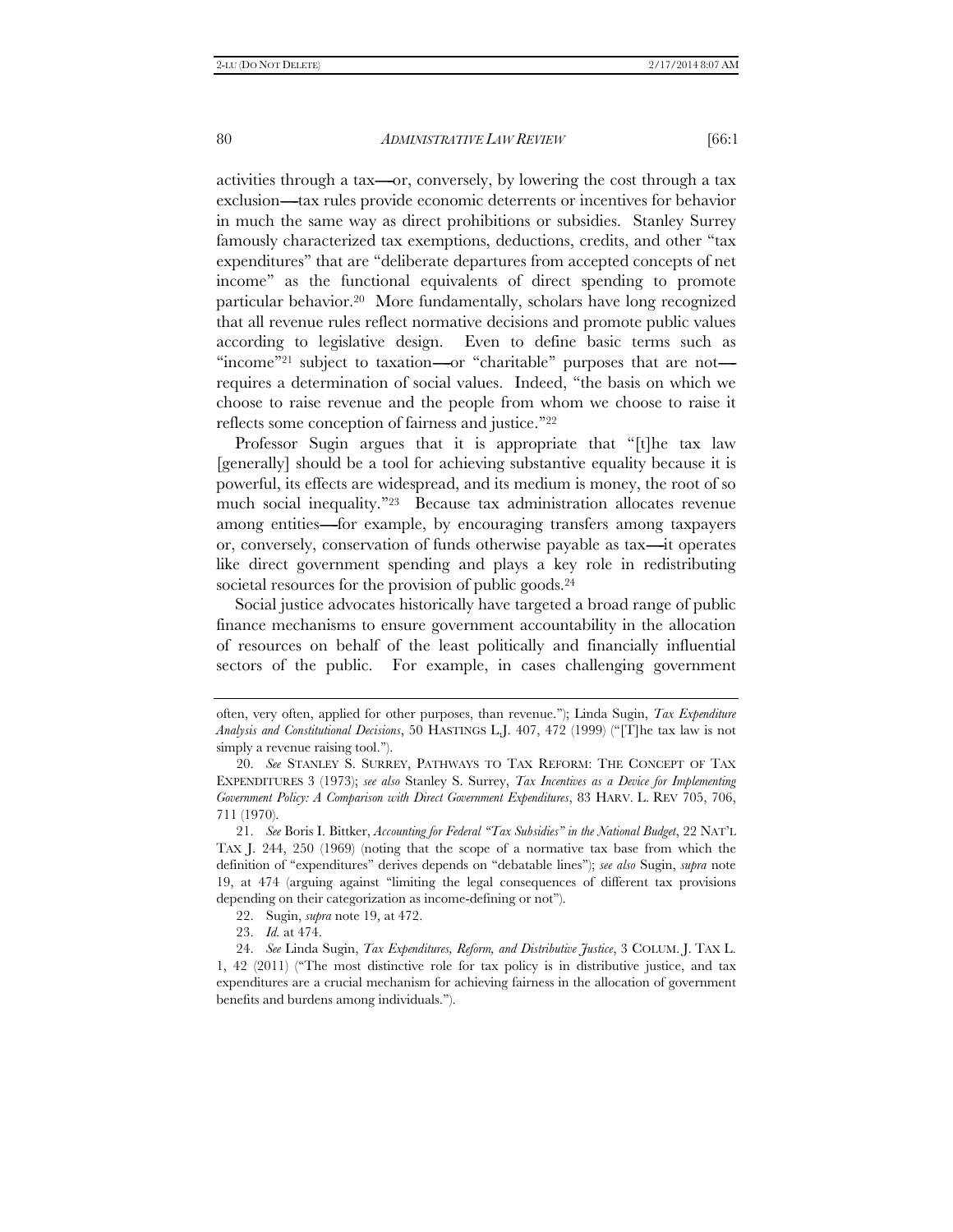activities through a tax—or, conversely, by lowering the cost through a tax exclusion—tax rules provide economic deterrents or incentives for behavior in much the same way as direct prohibitions or subsidies. Stanley Surrey famously characterized tax exemptions, deductions, credits, and other ''tax expenditures'' that are ''deliberate departures from accepted concepts of net income'' as the functional equivalents of direct spending to promote particular behavior.20 More fundamentally, scholars have long recognized that all revenue rules reflect normative decisions and promote public values according to legislative design. Even to define basic terms such as "income"<sup>21</sup> subject to taxation----or "charitable" purposes that are not--requires a determination of social values. Indeed, ''the basis on which we choose to raise revenue and the people from whom we choose to raise it reflects some conception of fairness and justice.''22

Professor Sugin argues that it is appropriate that "[t]he tax law [generally] should be a tool for achieving substantive equality because it is powerful, its effects are widespread, and its medium is money, the root of so much social inequality."<sup>23</sup> Because tax administration allocates revenue among entities-----for example, by encouraging transfers among taxpayers or, conversely, conservation of funds otherwise payable as tax—it operates like direct government spending and plays a key role in redistributing societal resources for the provision of public goods.<sup>24</sup>

Social justice advocates historically have targeted a broad range of public finance mechanisms to ensure government accountability in the allocation of resources on behalf of the least politically and financially influential sectors of the public. For example, in cases challenging government

often, very often, applied for other purposes, than revenue.''); Linda Sugin, *Tax Expenditure Analysis and Constitutional Decisions*, 50 HASTINGS L.J. 407, 472 (1999) (''[T]he tax law is not simply a revenue raising tool.").

 <sup>20.</sup> *See* STANLEY S. SURREY, PATHWAYS TO TAX REFORM: THE CONCEPT OF TAX EXPENDITURES 3 (1973); *see also* Stanley S. Surrey, *Tax Incentives as a Device for Implementing Government Policy: A Comparison with Direct Government Expenditures*, 83 HARV. L. REV 705, 706, 711 (1970).

 <sup>21.</sup> *See* Boris I. Bittker, *Accounting for Federal ''Tax Subsidies'' in the National Budget*, 22 NAT'L TAX J. 244, 250 (1969) (noting that the scope of a normative tax base from which the definition of ''expenditures'' derives depends on ''debatable lines''); *see also* Sugin, *supra* note 19, at 474 (arguing against ''limiting the legal consequences of different tax provisions depending on their categorization as income-defining or not'').

 <sup>22.</sup> Sugin, *supra* note 19, at 472.

 <sup>23.</sup> *Id.* at 474.

 <sup>24.</sup> *See* Linda Sugin, *Tax Expenditures, Reform, and Distributive Justice*, 3 COLUM. J. TAX L. 1, 42 (2011) (''The most distinctive role for tax policy is in distributive justice, and tax expenditures are a crucial mechanism for achieving fairness in the allocation of government benefits and burdens among individuals.'').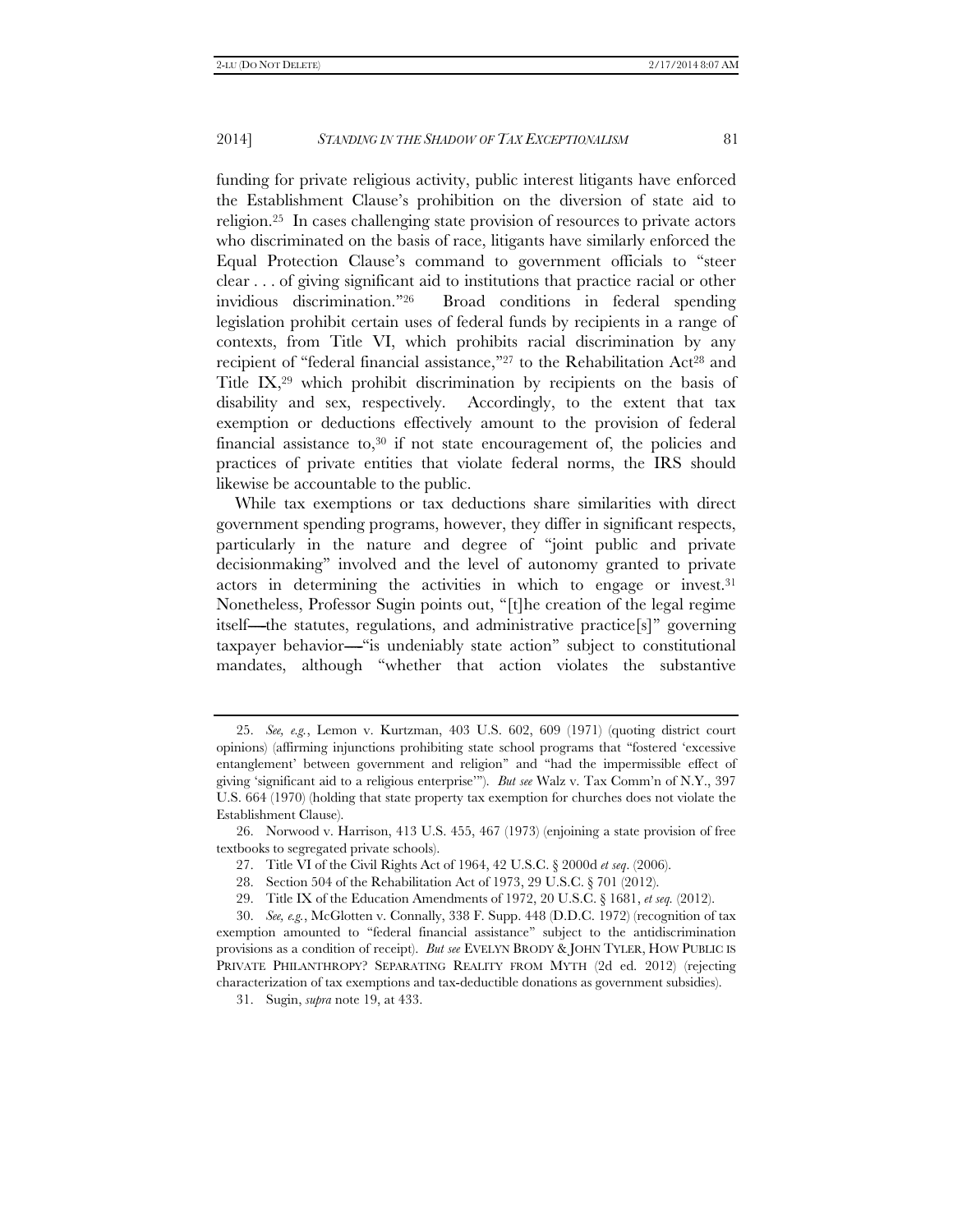funding for private religious activity, public interest litigants have enforced the Establishment Clause's prohibition on the diversion of state aid to religion.25 In cases challenging state provision of resources to private actors who discriminated on the basis of race, litigants have similarly enforced the Equal Protection Clause's command to government officials to ''steer clear . . . of giving significant aid to institutions that practice racial or other invidious discrimination.''26 Broad conditions in federal spending legislation prohibit certain uses of federal funds by recipients in a range of contexts, from Title VI, which prohibits racial discrimination by any recipient of "federal financial assistance,"<sup>27</sup> to the Rehabilitation Act<sup>28</sup> and Title IX,29 which prohibit discrimination by recipients on the basis of disability and sex, respectively. Accordingly, to the extent that tax exemption or deductions effectively amount to the provision of federal financial assistance to, $30$  if not state encouragement of, the policies and practices of private entities that violate federal norms, the IRS should likewise be accountable to the public.

While tax exemptions or tax deductions share similarities with direct government spending programs, however, they differ in significant respects, particularly in the nature and degree of ''joint public and private decisionmaking'' involved and the level of autonomy granted to private actors in determining the activities in which to engage or invest.31 Nonetheless, Professor Sugin points out, ''[t]he creation of the legal regime itself—the statutes, regulations, and administrative practice $[s]$ " governing taxpayer behavior—"is undeniably state action" subject to constitutional mandates, although ''whether that action violates the substantive

27. Title VI of the Civil Rights Act of 1964, 42 U.S.C. § 2000d *et seq*. (2006).

29. Title IX of the Education Amendments of 1972, 20 U.S.C. § 1681, *et seq.* (2012).

 <sup>25.</sup> *See, e.g.*, Lemon v. Kurtzman, 403 U.S. 602, 609 (1971) (quoting district court opinions) (affirming injunctions prohibiting state school programs that ''fostered 'excessive entanglement' between government and religion'' and ''had the impermissible effect of giving 'significant aid to a religious enterprise'''). *But see* Walz v. Tax Comm'n of N.Y., 397 U.S. 664 (1970) (holding that state property tax exemption for churches does not violate the Establishment Clause).

 <sup>26.</sup> Norwood v. Harrison, 413 U.S. 455, 467 (1973) (enjoining a state provision of free textbooks to segregated private schools).

 <sup>28.</sup> Section 504 of the Rehabilitation Act of 1973, 29 U.S.C. § 701 (2012).

 <sup>30.</sup> *See, e.g.*, McGlotten v. Connally, 338 F. Supp. 448 (D.D.C. 1972) (recognition of tax exemption amounted to ''federal financial assistance'' subject to the antidiscrimination provisions as a condition of receipt). *But see* EVELYN BRODY & JOHN TYLER, HOW PUBLIC IS PRIVATE PHILANTHROPY? SEPARATING REALITY FROM MYTH (2d ed. 2012) (rejecting characterization of tax exemptions and tax-deductible donations as government subsidies).

 <sup>31.</sup> Sugin, *supra* note 19, at 433.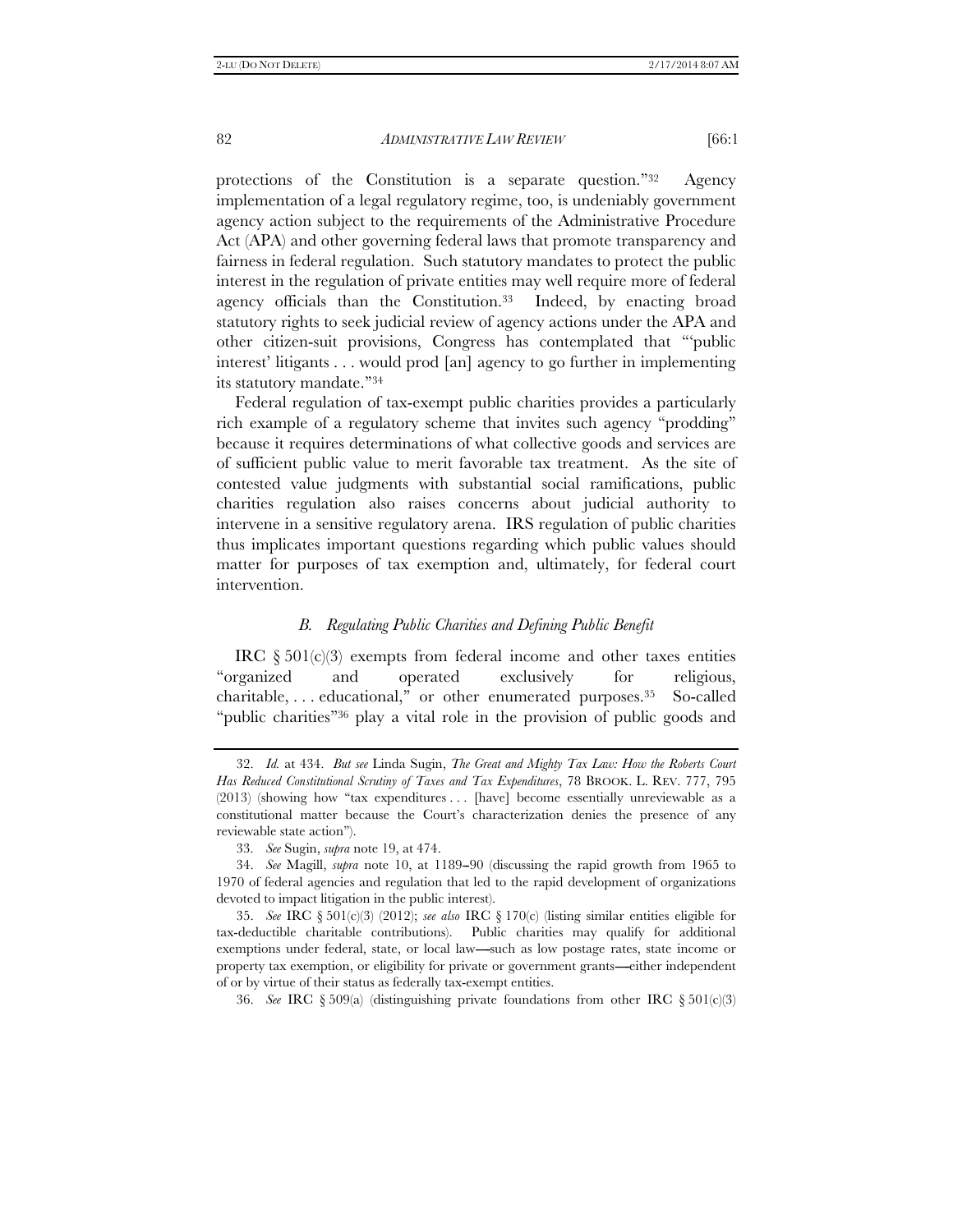protections of the Constitution is a separate question.''32 Agency implementation of a legal regulatory regime, too, is undeniably government agency action subject to the requirements of the Administrative Procedure Act (APA) and other governing federal laws that promote transparency and fairness in federal regulation. Such statutory mandates to protect the public interest in the regulation of private entities may well require more of federal agency officials than the Constitution.33 Indeed, by enacting broad statutory rights to seek judicial review of agency actions under the APA and other citizen-suit provisions, Congress has contemplated that '''public interest' litigants . . . would prod [an] agency to go further in implementing its statutory mandate.''34

Federal regulation of tax-exempt public charities provides a particularly rich example of a regulatory scheme that invites such agency "prodding" because it requires determinations of what collective goods and services are of sufficient public value to merit favorable tax treatment. As the site of contested value judgments with substantial social ramifications, public charities regulation also raises concerns about judicial authority to intervene in a sensitive regulatory arena. IRS regulation of public charities thus implicates important questions regarding which public values should matter for purposes of tax exemption and, ultimately, for federal court intervention.

# *B. Regulating Public Charities and Defining Public Benefit*

IRC  $\S 501(c)(3)$  exempts from federal income and other taxes entities ''organized and operated exclusively for religious, charitable, . . . educational,'' or other enumerated purposes.35 So-called "public charities"<sup>36</sup> play a vital role in the provision of public goods and

36. *See* IRC § 509(a) (distinguishing private foundations from other IRC § 501(c)(3)

 <sup>32.</sup> *Id.* at 434. *But see* Linda Sugin, *The Great and Mighty Tax Law: How the Roberts Court Has Reduced Constitutional Scrutiny of Taxes and Tax Expenditures*, 78 BROOK. L. REV. 777, 795 (2013) (showing how "tax expenditures . . . [have] become essentially unreviewable as a constitutional matter because the Court's characterization denies the presence of any reviewable state action'').

 <sup>33.</sup> *See* Sugin, *supra* note 19, at 474.

<sup>34.</sup> *See* Magill, *supra* note 10, at 1189-90 (discussing the rapid growth from 1965 to 1970 of federal agencies and regulation that led to the rapid development of organizations devoted to impact litigation in the public interest).

 <sup>35.</sup> *See* IRC § 501(c)(3) (2012); *see also* IRC § 170(c) (listing similar entities eligible for tax-deductible charitable contributions). Public charities may qualify for additional exemptions under federal, state, or local law—such as low postage rates, state income or property tax exemption, or eligibility for private or government grants----either independent of or by virtue of their status as federally tax-exempt entities.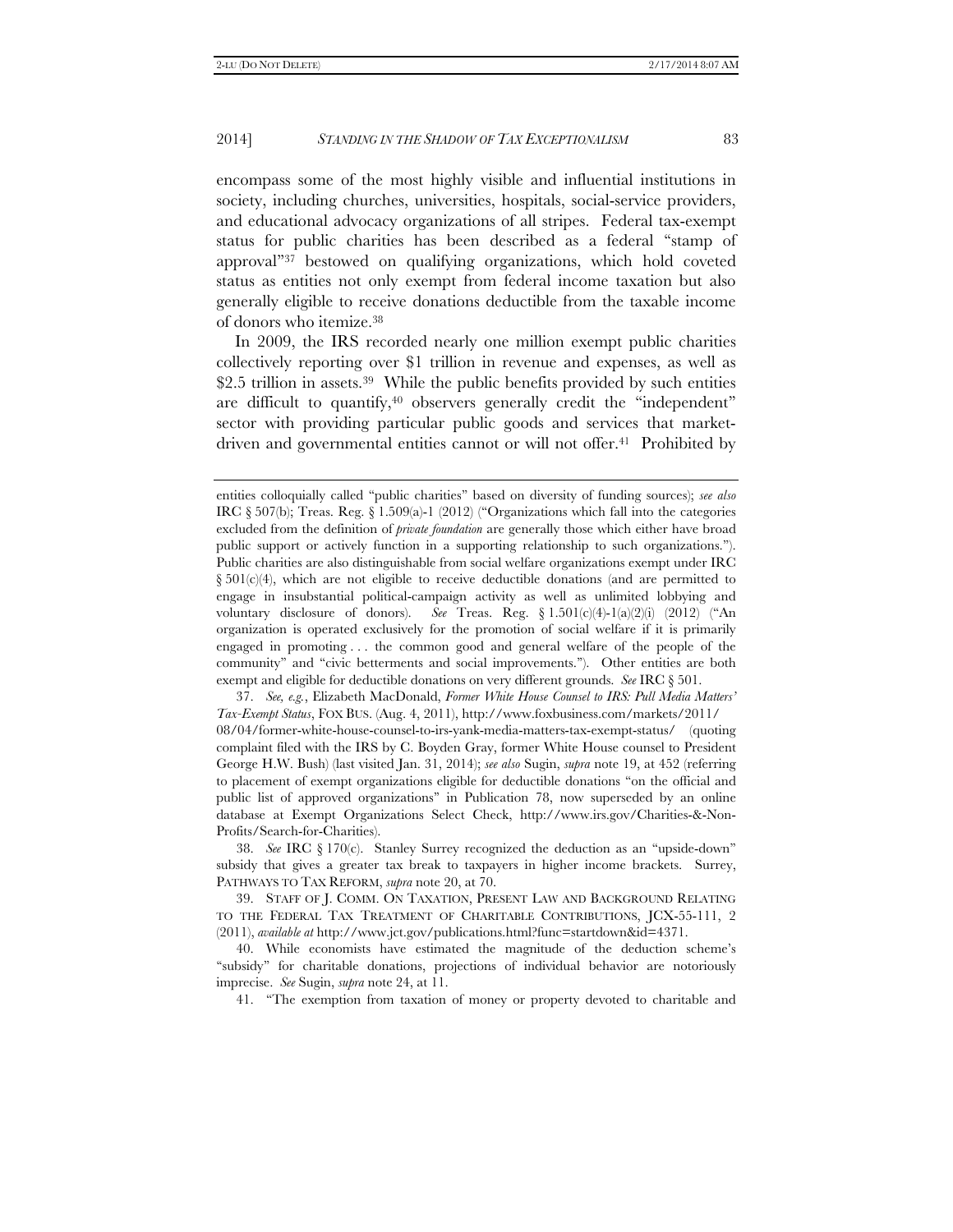encompass some of the most highly visible and influential institutions in society, including churches, universities, hospitals, social-service providers, and educational advocacy organizations of all stripes. Federal tax-exempt status for public charities has been described as a federal ''stamp of approval''37 bestowed on qualifying organizations, which hold coveted status as entities not only exempt from federal income taxation but also generally eligible to receive donations deductible from the taxable income of donors who itemize.38

In 2009, the IRS recorded nearly one million exempt public charities collectively reporting over \$1 trillion in revenue and expenses, as well as \$2.5 trillion in assets.<sup>39</sup> While the public benefits provided by such entities are difficult to quantify,40 observers generally credit the ''independent'' sector with providing particular public goods and services that marketdriven and governmental entities cannot or will not offer.<sup>41</sup> Prohibited by

 37. *See, e.g.*, Elizabeth MacDonald, *Former White House Counsel to IRS: Pull Media Matters' Tax-Exempt Status*, FOX BUS. (Aug. 4, 2011), http://www.foxbusiness.com/markets/2011/ 08/04/former-white-house-counsel-to-irs-yank-media-matters-tax-exempt-status/ (quoting complaint filed with the IRS by C. Boyden Gray, former White House counsel to President George H.W. Bush) (last visited Jan. 31, 2014); *see also* Sugin, *supra* note 19, at 452 (referring to placement of exempt organizations eligible for deductible donations ''on the official and public list of approved organizations'' in Publication 78, now superseded by an online database at Exempt Organizations Select Check, http://www.irs.gov/Charities-&-Non-Profits/Search-for-Charities).

 38. *See* IRC § 170(c). Stanley Surrey recognized the deduction as an ''upside-down'' subsidy that gives a greater tax break to taxpayers in higher income brackets. Surrey, PATHWAYS TO TAX REFORM, *supra* note 20, at 70.

 39. STAFF OF J. COMM. ON TAXATION, PRESENT LAW AND BACKGROUND RELATING TO THE FEDERAL TAX TREATMENT OF CHARITABLE CONTRIBUTIONS, JCX-55-111, 2 (2011), *available at* http://www.jct.gov/publications.html?func=startdown&id=4371.

 40. While economists have estimated the magnitude of the deduction scheme's "subsidy" for charitable donations, projections of individual behavior are notoriously imprecise. *See* Sugin, *supra* note 24, at 11.

41. ''The exemption from taxation of money or property devoted to charitable and

entities colloquially called ''public charities'' based on diversity of funding sources); *see also*  IRC  $\S 507(b)$ ; Treas. Reg.  $\S 1.509(a)$ -1 (2012) ("Organizations which fall into the categories excluded from the definition of *private foundation* are generally those which either have broad public support or actively function in a supporting relationship to such organizations.''). Public charities are also distinguishable from social welfare organizations exempt under IRC  $\S 501(c)(4)$ , which are not eligible to receive deductible donations (and are permitted to engage in insubstantial political-campaign activity as well as unlimited lobbying and voluntary disclosure of donors). *See* Treas. Reg. § 1.501(c)(4)-1(a)(2)(i) (2012) (''An organization is operated exclusively for the promotion of social welfare if it is primarily engaged in promoting . . . the common good and general welfare of the people of the community" and "civic betterments and social improvements."). Other entities are both exempt and eligible for deductible donations on very different grounds. *See* IRC § 501.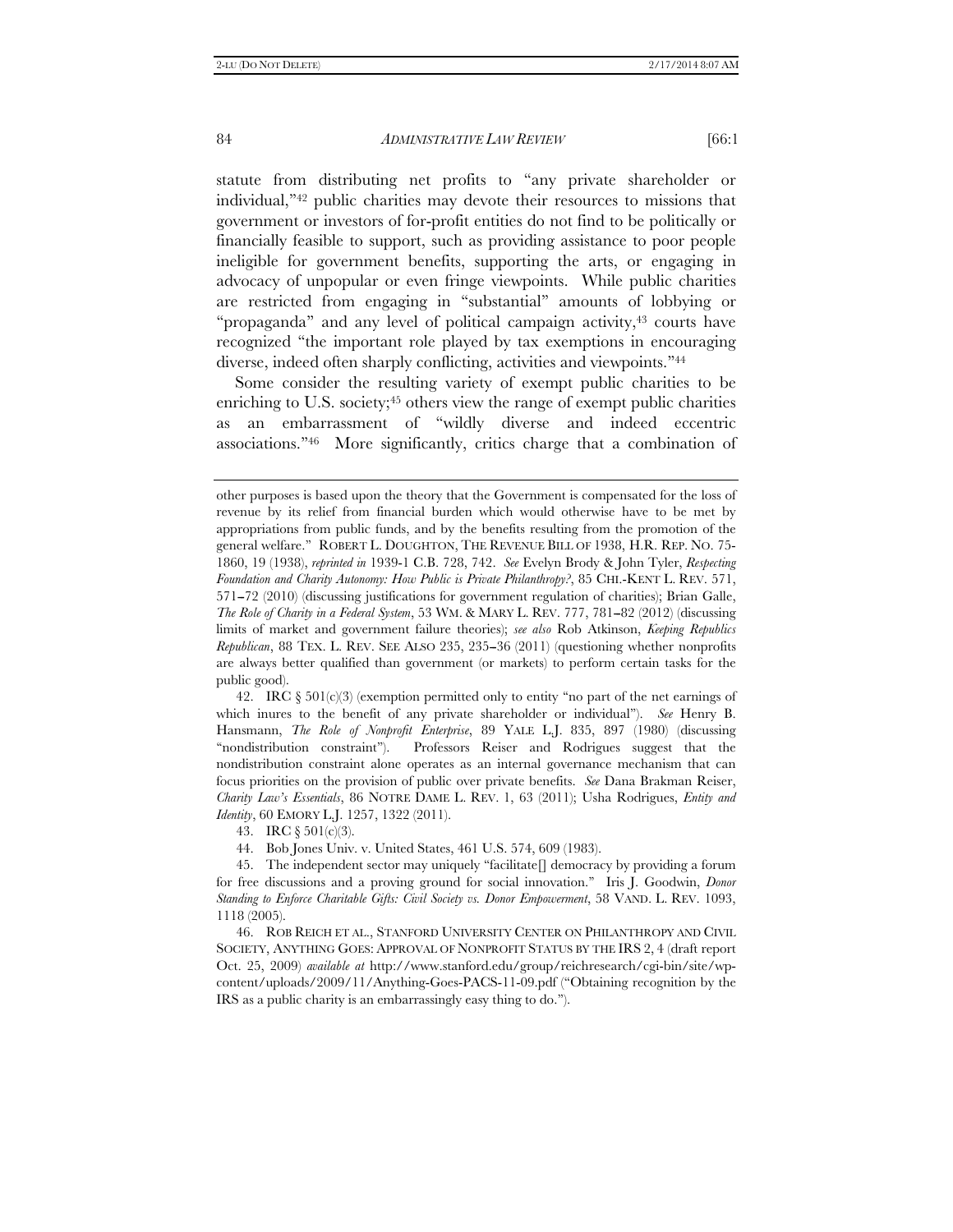statute from distributing net profits to ''any private shareholder or individual,''42 public charities may devote their resources to missions that government or investors of for-profit entities do not find to be politically or financially feasible to support, such as providing assistance to poor people ineligible for government benefits, supporting the arts, or engaging in advocacy of unpopular or even fringe viewpoints. While public charities are restricted from engaging in ''substantial'' amounts of lobbying or "propaganda" and any level of political campaign activity,<sup>43</sup> courts have recognized ''the important role played by tax exemptions in encouraging diverse, indeed often sharply conflicting, activities and viewpoints.''44

Some consider the resulting variety of exempt public charities to be enriching to U.S. society;<sup>45</sup> others view the range of exempt public charities as an embarrassment of ''wildly diverse and indeed eccentric associations.''46 More significantly, critics charge that a combination of

42. IRC  $\S 501(c)(3)$  (exemption permitted only to entity "no part of the net earnings of which inures to the benefit of any private shareholder or individual''). *See* Henry B. Hansmann, *The Role of Nonprofit Enterprise*, 89 YALE L.J. 835, 897 (1980) (discussing ''nondistribution constraint''). Professors Reiser and Rodrigues suggest that the nondistribution constraint alone operates as an internal governance mechanism that can focus priorities on the provision of public over private benefits. *See* Dana Brakman Reiser, *Charity Law's Essentials*, 86 NOTRE DAME L. REV. 1, 63 (2011); Usha Rodrigues, *Entity and Identity*, 60 EMORY L.J. 1257, 1322 (2011).

43. IRC § 501(c)(3).

44. Bob Jones Univ. v. United States, 461 U.S. 574, 609 (1983).

other purposes is based upon the theory that the Government is compensated for the loss of revenue by its relief from financial burden which would otherwise have to be met by appropriations from public funds, and by the benefits resulting from the promotion of the general welfare.'' ROBERT L. DOUGHTON, THE REVENUE BILL OF 1938, H.R. REP. NO. 75- 1860, 19 (1938), *reprinted in* 1939-1 C.B. 728, 742. *See* Evelyn Brody & John Tyler, *Respecting Foundation and Charity Autonomy: How Public is Private Philanthropy?*, 85 CHI.-KENT L. REV. 571, 571-72 (2010) (discussing justifications for government regulation of charities); Brian Galle, *The Role of Charity in a Federal System,* 53 WM. & MARY L. REV. 777, 781-82 (2012) (discussing limits of market and government failure theories); *see also* Rob Atkinson, *Keeping Republics Republican*, 88 TEX. L. REV. SEE ALSO 235, 235--36 (2011) (questioning whether nonprofits are always better qualified than government (or markets) to perform certain tasks for the public good).

 <sup>45.</sup> The independent sector may uniquely ''facilitate[] democracy by providing a forum for free discussions and a proving ground for social innovation.'' Iris J. Goodwin, *Donor Standing to Enforce Charitable Gifts: Civil Society vs. Donor Empowerment*, 58 VAND. L. REV. 1093, 1118 (2005).

 <sup>46.</sup> ROB REICH ET AL., STANFORD UNIVERSITY CENTER ON PHILANTHROPY AND CIVIL SOCIETY, ANYTHING GOES: APPROVAL OF NONPROFIT STATUS BY THE IRS 2, 4 (draft report Oct. 25, 2009) *available at* http://www.stanford.edu/group/reichresearch/cgi-bin/site/wpcontent/uploads/2009/11/Anything-Goes-PACS-11-09.pdf (''Obtaining recognition by the IRS as a public charity is an embarrassingly easy thing to do.'').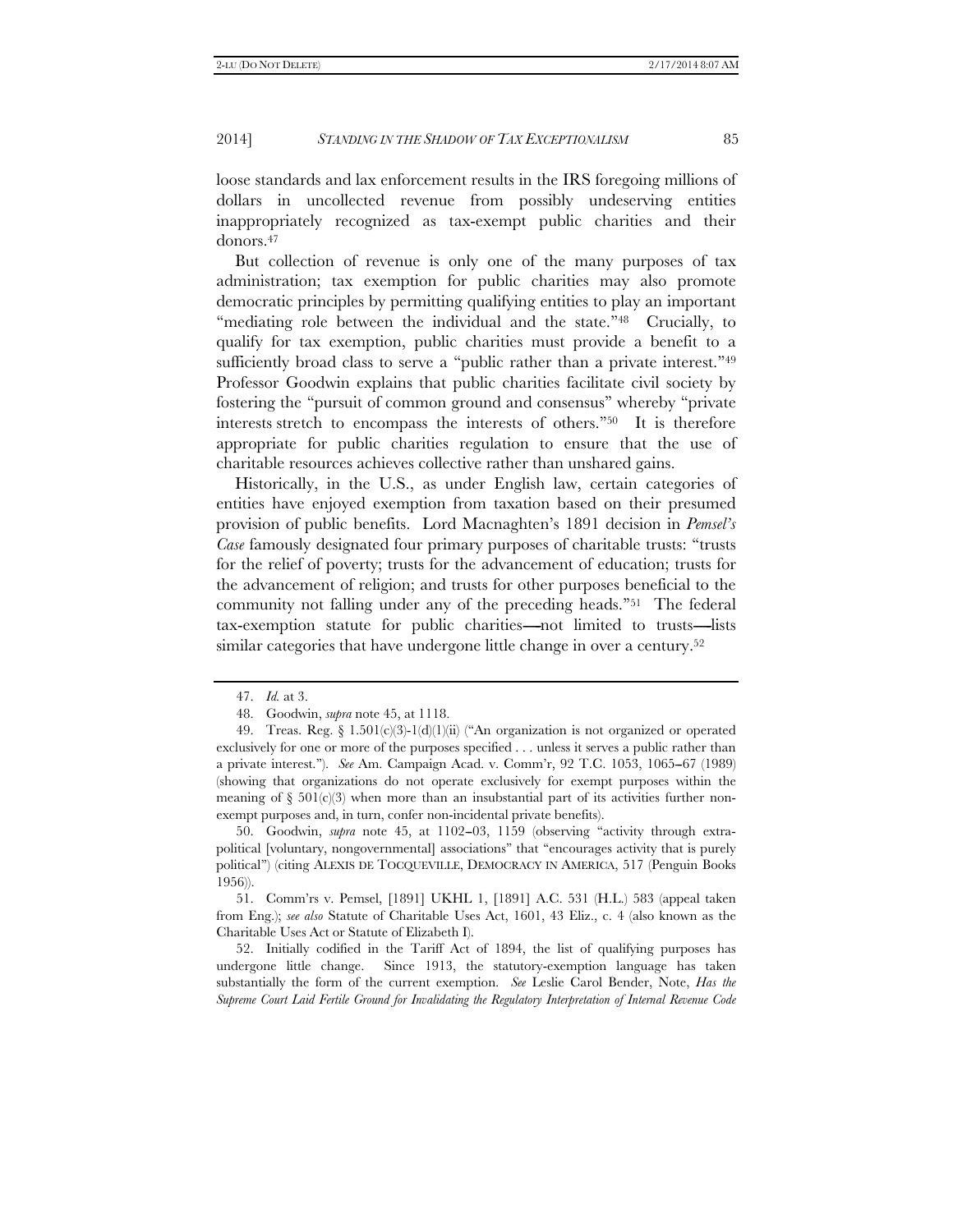loose standards and lax enforcement results in the IRS foregoing millions of dollars in uncollected revenue from possibly undeserving entities inappropriately recognized as tax-exempt public charities and their donors.47

But collection of revenue is only one of the many purposes of tax administration; tax exemption for public charities may also promote democratic principles by permitting qualifying entities to play an important "mediating role between the individual and the state."<sup>48</sup> Crucially, to qualify for tax exemption, public charities must provide a benefit to a sufficiently broad class to serve a "public rather than a private interest."<sup>49</sup> Professor Goodwin explains that public charities facilitate civil society by fostering the ''pursuit of common ground and consensus'' whereby ''private interests stretch to encompass the interests of others.''50 It is therefore appropriate for public charities regulation to ensure that the use of charitable resources achieves collective rather than unshared gains.

Historically, in the U.S., as under English law, certain categories of entities have enjoyed exemption from taxation based on their presumed provision of public benefits. Lord Macnaghten's 1891 decision in *Pemsel's Case* famously designated four primary purposes of charitable trusts: ''trusts for the relief of poverty; trusts for the advancement of education; trusts for the advancement of religion; and trusts for other purposes beneficial to the community not falling under any of the preceding heads."<sup>51</sup> The federal tax-exemption statute for public charities-not limited to trusts-lists similar categories that have undergone little change in over a century.<sup>52</sup>

50. Goodwin, *supra* note 45, at 1102-03, 1159 (observing "activity through extrapolitical [voluntary, nongovernmental] associations'' that ''encourages activity that is purely political'') (citing ALEXIS DE TOCQUEVILLE, DEMOCRACY IN AMERICA, 517 (Penguin Books 1956)).

 51. Comm'rs v. Pemsel, [1891] UKHL 1, [1891] A.C. 531 (H.L.) 583 (appeal taken from Eng.); *see also* Statute of Charitable Uses Act, 1601, 43 Eliz., c. 4 (also known as the Charitable Uses Act or Statute of Elizabeth I).

 52. Initially codified in the Tariff Act of 1894, the list of qualifying purposes has undergone little change. Since 1913, the statutory-exemption language has taken substantially the form of the current exemption. *See* Leslie Carol Bender, Note, *Has the Supreme Court Laid Fertile Ground for Invalidating the Regulatory Interpretation of Internal Revenue Code* 

 <sup>47.</sup> *Id.* at 3.

 <sup>48.</sup> Goodwin, *supra* note 45, at 1118.

<sup>49.</sup> Treas. Reg.  $\S 1.501(c)(3)-1(d)(1)(ii)$  ("An organization is not organized or operated exclusively for one or more of the purposes specified . . . unless it serves a public rather than a private interest.''). *See* Am. Campaign Acad. v. Comm'r, 92 T.C. 1053, 1065--67 (1989) (showing that organizations do not operate exclusively for exempt purposes within the meaning of  $\S$  501(c)(3) when more than an insubstantial part of its activities further nonexempt purposes and, in turn, confer non-incidental private benefits).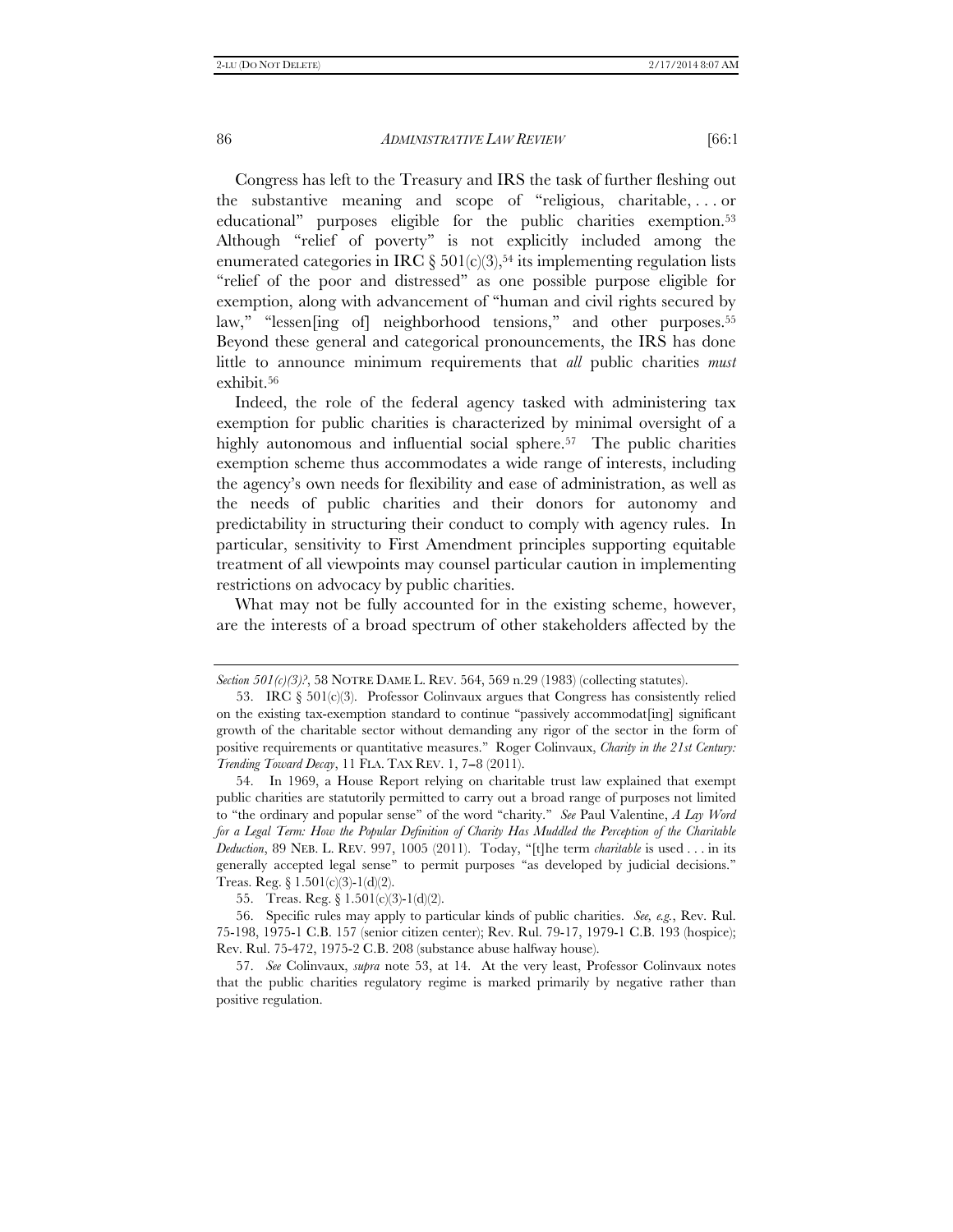Congress has left to the Treasury and IRS the task of further fleshing out the substantive meaning and scope of ''religious, charitable, . . . or educational" purposes eligible for the public charities exemption.<sup>53</sup> Although "relief of poverty" is not explicitly included among the enumerated categories in IRC  $\S 501(c)(3)$ ,<sup>54</sup> its implementing regulation lists "relief of the poor and distressed" as one possible purpose eligible for exemption, along with advancement of ''human and civil rights secured by law," "lessen[ing of] neighborhood tensions," and other purposes.<sup>55</sup> Beyond these general and categorical pronouncements, the IRS has done little to announce minimum requirements that *all* public charities *must* exhibit.56

Indeed, the role of the federal agency tasked with administering tax exemption for public charities is characterized by minimal oversight of a highly autonomous and influential social sphere.<sup>57</sup> The public charities exemption scheme thus accommodates a wide range of interests, including the agency's own needs for flexibility and ease of administration, as well as the needs of public charities and their donors for autonomy and predictability in structuring their conduct to comply with agency rules. In particular, sensitivity to First Amendment principles supporting equitable treatment of all viewpoints may counsel particular caution in implementing restrictions on advocacy by public charities.

What may not be fully accounted for in the existing scheme, however, are the interests of a broad spectrum of other stakeholders affected by the

*Section 501(c)(3)?*, 58 NOTRE DAME L. REV. 564, 569 n.29 (1983) (collecting statutes).

<sup>53.</sup> IRC  $\S$  501(c)(3). Professor Colinvaux argues that Congress has consistently relied on the existing tax-exemption standard to continue ''passively accommodat[ing] significant growth of the charitable sector without demanding any rigor of the sector in the form of positive requirements or quantitative measures.'' Roger Colinvaux, *Charity in the 21st Century: Trending Toward Decay*, 11 FLA. TAX REV. 1, 7-8 (2011).

 <sup>54.</sup> In 1969, a House Report relying on charitable trust law explained that exempt public charities are statutorily permitted to carry out a broad range of purposes not limited to ''the ordinary and popular sense'' of the word ''charity.'' *See* Paul Valentine, *A Lay Word for a Legal Term: How the Popular Definition of Charity Has Muddled the Perception of the Charitable Deduction*, 89 NEB. L. REV. 997, 1005 (2011). Today, ''[t]he term *charitable* is used . . . in its generally accepted legal sense'' to permit purposes ''as developed by judicial decisions.'' Treas. Reg.  $\S 1.501(c)(3)-1(d)(2)$ .

 <sup>55.</sup> Treas. Reg. § 1.501(c)(3)-1(d)(2).

 <sup>56.</sup> Specific rules may apply to particular kinds of public charities. *See, e.g.*, Rev. Rul. 75-198, 1975-1 C.B. 157 (senior citizen center); Rev. Rul. 79-17, 1979-1 C.B. 193 (hospice); Rev. Rul. 75-472, 1975-2 C.B. 208 (substance abuse halfway house).

 <sup>57.</sup> *See* Colinvaux, *supra* note 53, at 14. At the very least, Professor Colinvaux notes that the public charities regulatory regime is marked primarily by negative rather than positive regulation.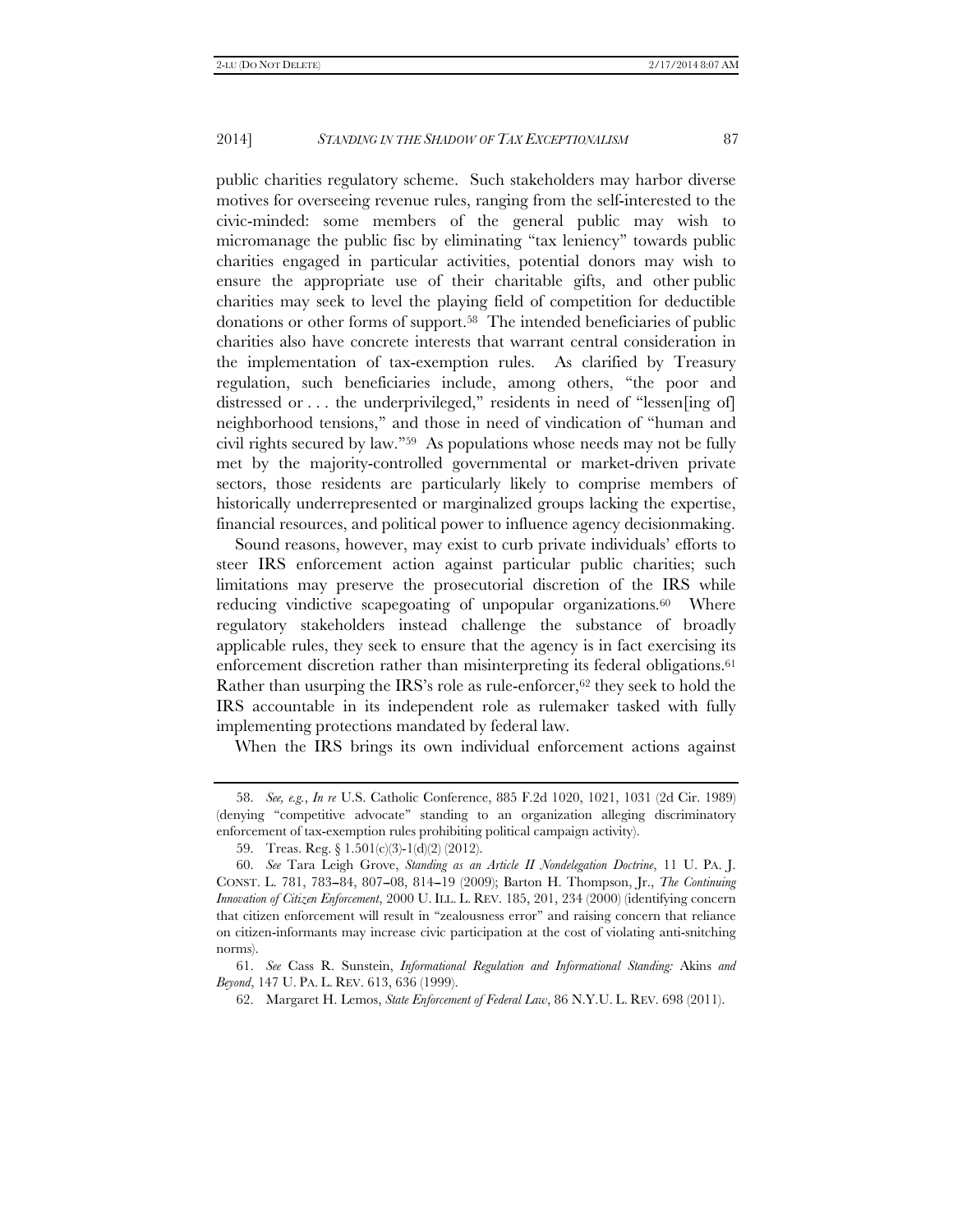public charities regulatory scheme. Such stakeholders may harbor diverse motives for overseeing revenue rules, ranging from the self-interested to the civic-minded: some members of the general public may wish to micromanage the public fisc by eliminating ''tax leniency'' towards public charities engaged in particular activities, potential donors may wish to ensure the appropriate use of their charitable gifts, and other public charities may seek to level the playing field of competition for deductible donations or other forms of support.58 The intended beneficiaries of public charities also have concrete interests that warrant central consideration in the implementation of tax-exemption rules. As clarified by Treasury regulation, such beneficiaries include, among others, ''the poor and distressed or . . . the underprivileged," residents in need of "lessen[ing of] neighborhood tensions,'' and those in need of vindication of ''human and civil rights secured by law.''59 As populations whose needs may not be fully met by the majority-controlled governmental or market-driven private sectors, those residents are particularly likely to comprise members of historically underrepresented or marginalized groups lacking the expertise, financial resources, and political power to influence agency decisionmaking.

Sound reasons, however, may exist to curb private individuals' efforts to steer IRS enforcement action against particular public charities; such limitations may preserve the prosecutorial discretion of the IRS while reducing vindictive scapegoating of unpopular organizations.<sup>60</sup> Where regulatory stakeholders instead challenge the substance of broadly applicable rules, they seek to ensure that the agency is in fact exercising its enforcement discretion rather than misinterpreting its federal obligations.<sup>61</sup> Rather than usurping the IRS's role as rule-enforcer,  $62$  they seek to hold the IRS accountable in its independent role as rulemaker tasked with fully implementing protections mandated by federal law.

When the IRS brings its own individual enforcement actions against

 <sup>58.</sup> *See, e.g.*, *In re* U.S. Catholic Conference, 885 F.2d 1020, 1021, 1031 (2d Cir. 1989) (denying ''competitive advocate'' standing to an organization alleging discriminatory enforcement of tax-exemption rules prohibiting political campaign activity).

 <sup>59.</sup> Treas. Reg. § 1.501(c)(3)-1(d)(2) (2012).

 <sup>60.</sup> *See* Tara Leigh Grove, *Standing as an Article II Nondelegation Doctrine*, 11 U. PA. J. CONST. L. 781, 783-84, 807-08, 814-19 (2009); Barton H. Thompson, Jr., *The Continuing Innovation of Citizen Enforcement*, 2000 U. ILL. L. REV. 185, 201, 234 (2000) (identifying concern that citizen enforcement will result in ''zealousness error'' and raising concern that reliance on citizen-informants may increase civic participation at the cost of violating anti-snitching norms).

 <sup>61.</sup> *See* Cass R. Sunstein, *Informational Regulation and Informational Standing:* Akins *and Beyond*, 147 U. PA. L. REV. 613, 636 (1999).

 <sup>62.</sup> Margaret H. Lemos, *State Enforcement of Federal Law*, 86 N.Y.U. L. REV. 698 (2011).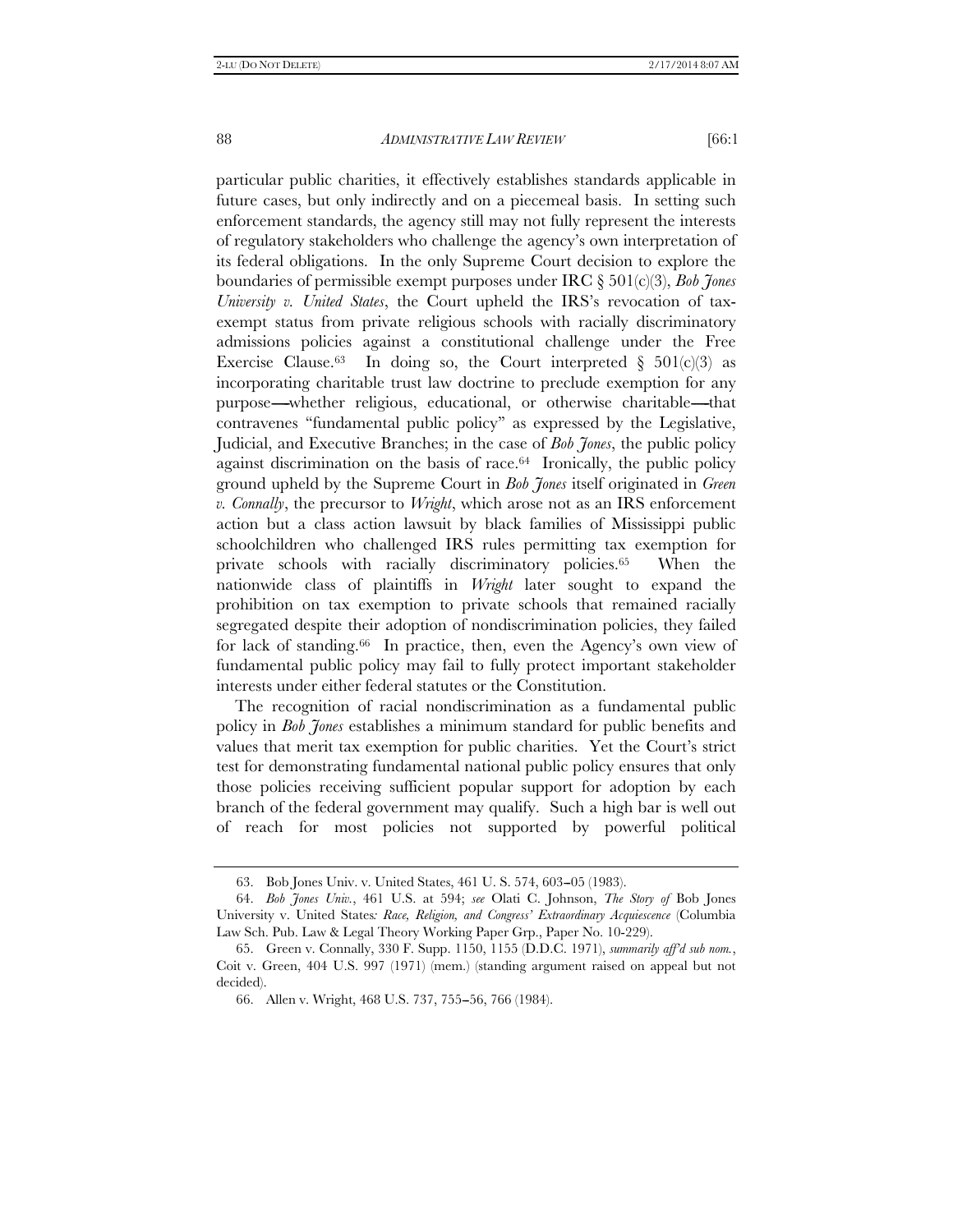particular public charities, it effectively establishes standards applicable in future cases, but only indirectly and on a piecemeal basis. In setting such enforcement standards, the agency still may not fully represent the interests of regulatory stakeholders who challenge the agency's own interpretation of its federal obligations. In the only Supreme Court decision to explore the boundaries of permissible exempt purposes under IRC § 501(c)(3), *Bob Jones University v. United States*, the Court upheld the IRS's revocation of taxexempt status from private religious schools with racially discriminatory admissions policies against a constitutional challenge under the Free Exercise Clause.<sup>63</sup> In doing so, the Court interpreted  $\S$  501(c)(3) as incorporating charitable trust law doctrine to preclude exemption for any purpose---whether religious, educational, or otherwise charitable---that contravenes ''fundamental public policy'' as expressed by the Legislative, Judicial, and Executive Branches; in the case of *Bob Jones*, the public policy against discrimination on the basis of race.64 Ironically, the public policy ground upheld by the Supreme Court in *Bob Jones* itself originated in *Green v. Connally*, the precursor to *Wright*, which arose not as an IRS enforcement action but a class action lawsuit by black families of Mississippi public schoolchildren who challenged IRS rules permitting tax exemption for private schools with racially discriminatory policies.65 When the nationwide class of plaintiffs in *Wright* later sought to expand the prohibition on tax exemption to private schools that remained racially segregated despite their adoption of nondiscrimination policies, they failed for lack of standing.66 In practice, then, even the Agency's own view of fundamental public policy may fail to fully protect important stakeholder interests under either federal statutes or the Constitution.

The recognition of racial nondiscrimination as a fundamental public policy in *Bob Jones* establishes a minimum standard for public benefits and values that merit tax exemption for public charities. Yet the Court's strict test for demonstrating fundamental national public policy ensures that only those policies receiving sufficient popular support for adoption by each branch of the federal government may qualify. Such a high bar is well out of reach for most policies not supported by powerful political

 <sup>63.</sup> Bob Jones Univ. v. United States, 461 U. S. 574, 603--05 (1983).

 <sup>64.</sup> *Bob Jones Univ.*, 461 U.S. at 594; *see* Olati C. Johnson, *The Story of* Bob Jones University v. United States*: Race, Religion, and Congress' Extraordinary Acquiescence* (Columbia Law Sch. Pub. Law & Legal Theory Working Paper Grp., Paper No. 10-229).

 <sup>65.</sup> Green v. Connally, 330 F. Supp. 1150, 1155 (D.D.C. 1971), *summarily aff'd sub nom.*, Coit v. Green, 404 U.S. 997 (1971) (mem.) (standing argument raised on appeal but not decided).

 <sup>66.</sup> Allen v. Wright, 468 U.S. 737, 755--56, 766 (1984).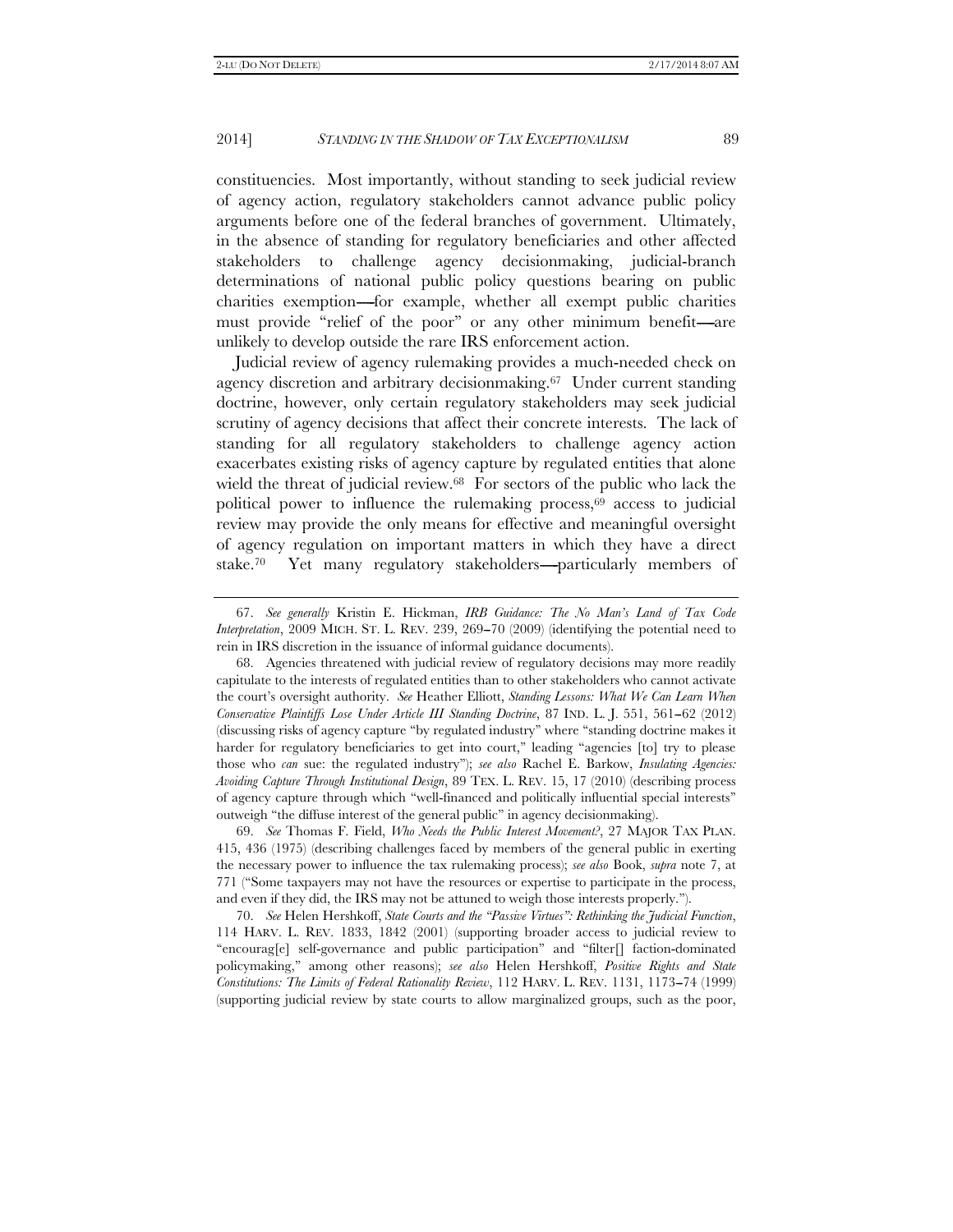constituencies. Most importantly, without standing to seek judicial review of agency action, regulatory stakeholders cannot advance public policy arguments before one of the federal branches of government. Ultimately, in the absence of standing for regulatory beneficiaries and other affected stakeholders to challenge agency decisionmaking, judicial-branch determinations of national public policy questions bearing on public charities exemption-for example, whether all exempt public charities must provide "relief of the poor" or any other minimum benefit—are unlikely to develop outside the rare IRS enforcement action.

Judicial review of agency rulemaking provides a much-needed check on agency discretion and arbitrary decisionmaking.67 Under current standing doctrine, however, only certain regulatory stakeholders may seek judicial scrutiny of agency decisions that affect their concrete interests. The lack of standing for all regulatory stakeholders to challenge agency action exacerbates existing risks of agency capture by regulated entities that alone wield the threat of judicial review.<sup>68</sup> For sectors of the public who lack the political power to influence the rulemaking process,69 access to judicial review may provide the only means for effective and meaningful oversight of agency regulation on important matters in which they have a direct stake.<sup>70</sup> Yet many regulatory stakeholders---particularly members of

 69. *See* Thomas F. Field, *Who Needs the Public Interest Movement?*, 27 MAJOR TAX PLAN. 415, 436 (1975) (describing challenges faced by members of the general public in exerting the necessary power to influence the tax rulemaking process); *see also* Book, *supra* note 7, at 771 (''Some taxpayers may not have the resources or expertise to participate in the process, and even if they did, the IRS may not be attuned to weigh those interests properly.'').

 70. *See* Helen Hershkoff, *State Courts and the ''Passive Virtues'': Rethinking the Judicial Function*, 114 HARV. L. REV. 1833, 1842 (2001) (supporting broader access to judicial review to ''encourag[e] self-governance and public participation'' and ''filter[] faction-dominated policymaking,'' among other reasons); *see also* Helen Hershkoff, *Positive Rights and State Constitutions: The Limits of Federal Rationality Review*, 112 HARV. L. REV. 1131, 1173--74 (1999) (supporting judicial review by state courts to allow marginalized groups, such as the poor,

 <sup>67.</sup> *See generally* Kristin E. Hickman, *IRB Guidance: The No Man's Land of Tax Code Interpretation*, 2009 MICH. ST. L. REV. 239, 269–70 (2009) (identifying the potential need to rein in IRS discretion in the issuance of informal guidance documents).

 <sup>68.</sup> Agencies threatened with judicial review of regulatory decisions may more readily capitulate to the interests of regulated entities than to other stakeholders who cannot activate the court's oversight authority. *See* Heather Elliott, *Standing Lessons: What We Can Learn When Conservative Plaintiffs Lose Under Article III Standing Doctrine*, 87 IND. L. J. 551, 561–62 (2012) (discussing risks of agency capture ''by regulated industry'' where ''standing doctrine makes it harder for regulatory beneficiaries to get into court," leading "agencies [to] try to please those who *can* sue: the regulated industry''); *see also* Rachel E. Barkow, *Insulating Agencies: Avoiding Capture Through Institutional Design*, 89 TEX. L. REV. 15, 17 (2010) (describing process of agency capture through which ''well-financed and politically influential special interests'' outweigh ''the diffuse interest of the general public'' in agency decisionmaking).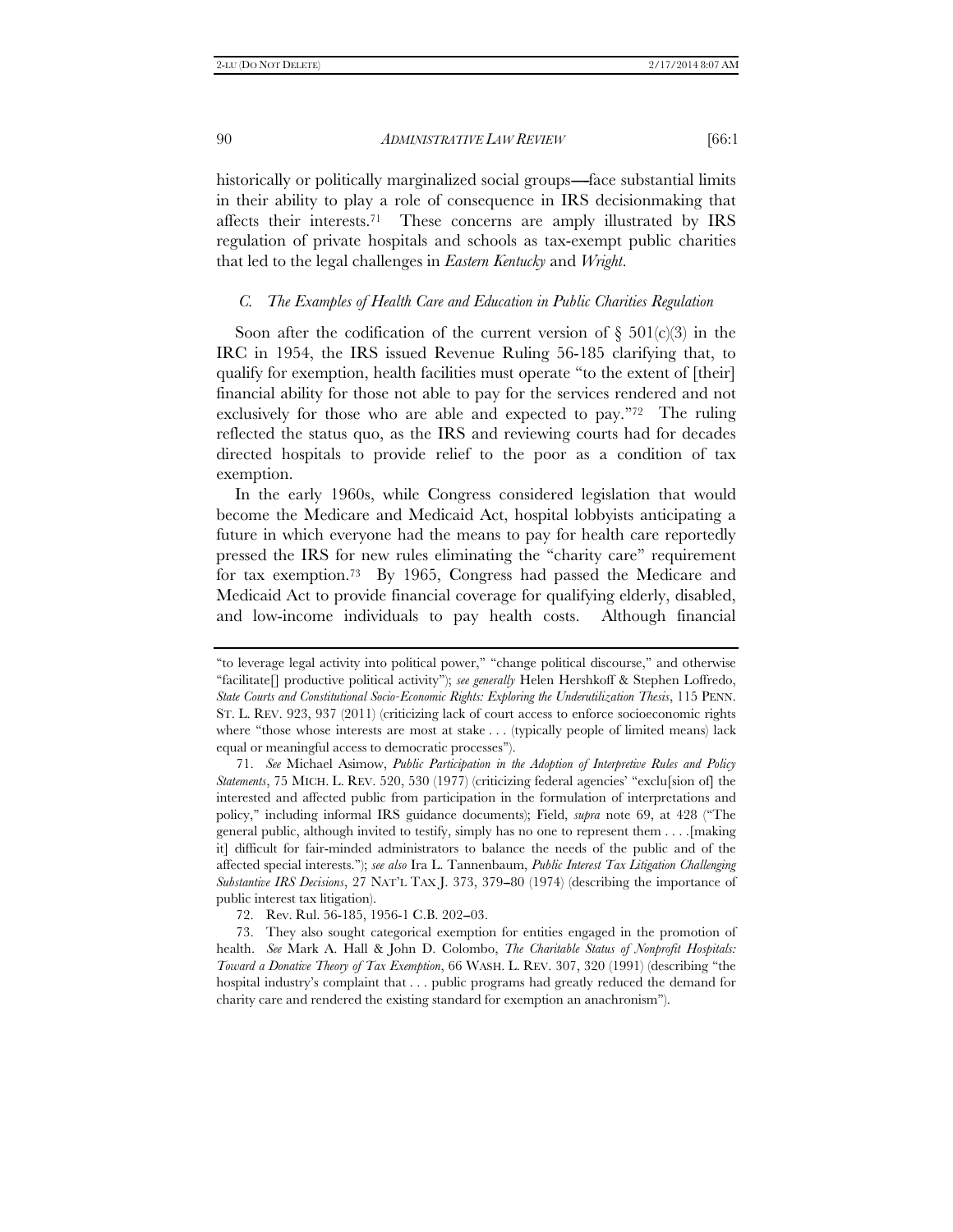historically or politically marginalized social groups—face substantial limits in their ability to play a role of consequence in IRS decisionmaking that affects their interests.71 These concerns are amply illustrated by IRS regulation of private hospitals and schools as tax-exempt public charities that led to the legal challenges in *Eastern Kentucky* and *Wright*.

## *C. The Examples of Health Care and Education in Public Charities Regulation*

Soon after the codification of the current version of  $\S$  501(c)(3) in the IRC in 1954, the IRS issued Revenue Ruling 56-185 clarifying that, to qualify for exemption, health facilities must operate ''to the extent of [their] financial ability for those not able to pay for the services rendered and not exclusively for those who are able and expected to pay.<sup>"72</sup> The ruling reflected the status quo, as the IRS and reviewing courts had for decades directed hospitals to provide relief to the poor as a condition of tax exemption.

In the early 1960s, while Congress considered legislation that would become the Medicare and Medicaid Act, hospital lobbyists anticipating a future in which everyone had the means to pay for health care reportedly pressed the IRS for new rules eliminating the ''charity care'' requirement for tax exemption.73 By 1965, Congress had passed the Medicare and Medicaid Act to provide financial coverage for qualifying elderly, disabled, and low-income individuals to pay health costs. Although financial

72. Rev. Rul. 56-185, 1956-1 C.B. 202-03.

 73. They also sought categorical exemption for entities engaged in the promotion of health. *See* Mark A. Hall & John D. Colombo, *The Charitable Status of Nonprofit Hospitals: Toward a Donative Theory of Tax Exemption*, 66 WASH. L. REV. 307, 320 (1991) (describing ''the hospital industry's complaint that . . . public programs had greatly reduced the demand for charity care and rendered the existing standard for exemption an anachronism'').

<sup>&#</sup>x27;'to leverage legal activity into political power,'' ''change political discourse,'' and otherwise ''facilitate[] productive political activity''); *see generally* Helen Hershkoff & Stephen Loffredo, *State Courts and Constitutional Socio-Economic Rights: Exploring the Underutilization Thesis*, 115 PENN. ST. L. REV. 923, 937 (2011) (criticizing lack of court access to enforce socioeconomic rights where "those whose interests are most at stake . . . (typically people of limited means) lack equal or meaningful access to democratic processes'').

 <sup>71.</sup> *See* Michael Asimow, *Public Participation in the Adoption of Interpretive Rules and Policy Statements*, 75 MICH. L. REV. 520, 530 (1977) (criticizing federal agencies' ''exclu[sion of] the interested and affected public from participation in the formulation of interpretations and policy,'' including informal IRS guidance documents); Field, *supra* note 69, at 428 (''The general public, although invited to testify, simply has no one to represent them . . . .[making it] difficult for fair-minded administrators to balance the needs of the public and of the affected special interests.''); *see also* Ira L. Tannenbaum, *Public Interest Tax Litigation Challenging Substantive IRS Decisions*, 27 NAT'L TAX J. 373, 379--80 (1974) (describing the importance of public interest tax litigation).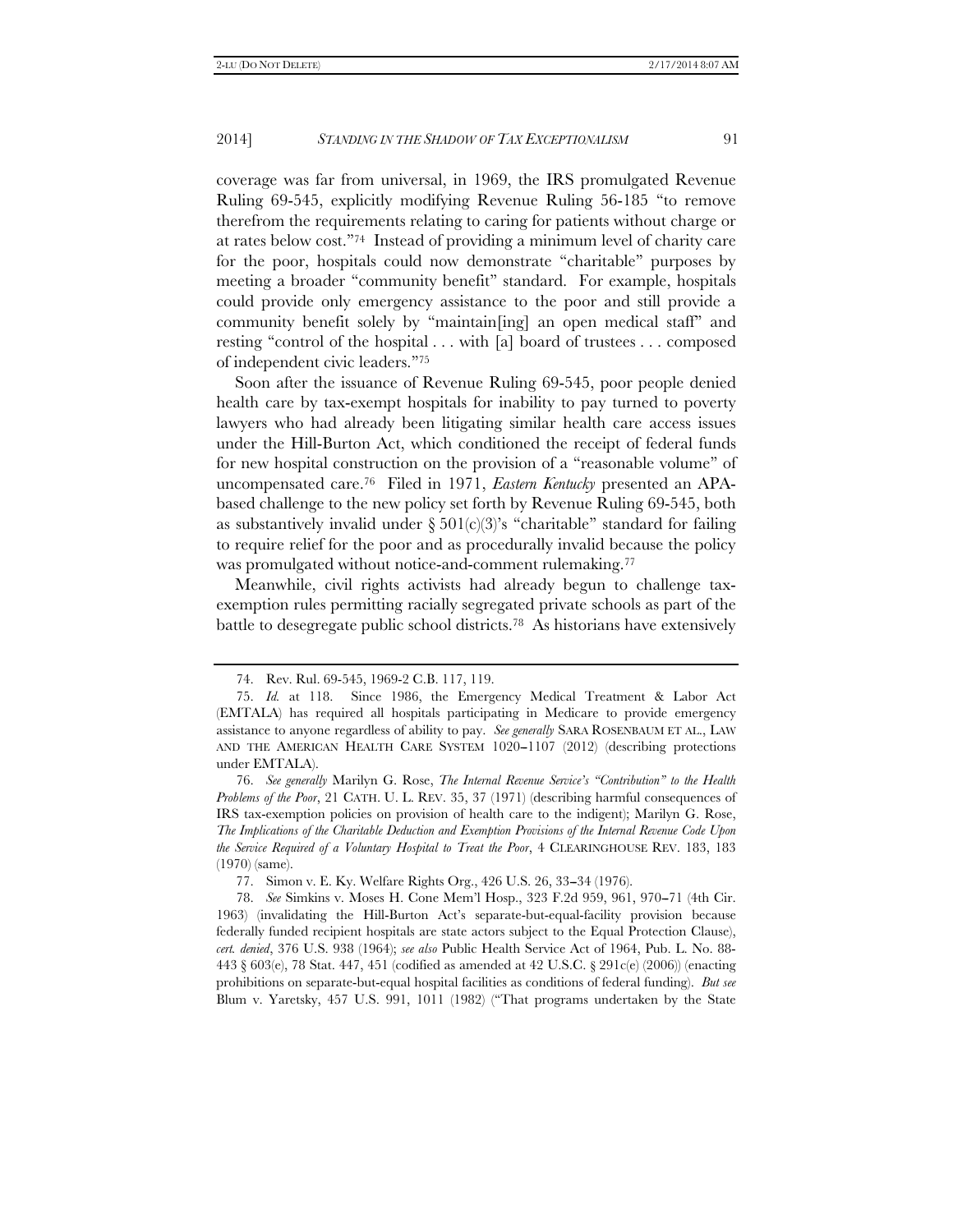coverage was far from universal, in 1969, the IRS promulgated Revenue Ruling 69-545, explicitly modifying Revenue Ruling 56-185 ''to remove therefrom the requirements relating to caring for patients without charge or at rates below cost.''74 Instead of providing a minimum level of charity care for the poor, hospitals could now demonstrate ''charitable'' purposes by meeting a broader "community benefit" standard. For example, hospitals could provide only emergency assistance to the poor and still provide a community benefit solely by ''maintain[ing] an open medical staff'' and resting ''control of the hospital . . . with [a] board of trustees . . . composed of independent civic leaders.''75

Soon after the issuance of Revenue Ruling 69-545, poor people denied health care by tax-exempt hospitals for inability to pay turned to poverty lawyers who had already been litigating similar health care access issues under the Hill-Burton Act, which conditioned the receipt of federal funds for new hospital construction on the provision of a ''reasonable volume'' of uncompensated care.76 Filed in 1971, *Eastern Kentucky* presented an APAbased challenge to the new policy set forth by Revenue Ruling 69-545, both as substantively invalid under  $\S 501(c)(3)$ 's "charitable" standard for failing to require relief for the poor and as procedurally invalid because the policy was promulgated without notice-and-comment rulemaking.<sup>77</sup>

Meanwhile, civil rights activists had already begun to challenge taxexemption rules permitting racially segregated private schools as part of the battle to desegregate public school districts.78 As historians have extensively

 <sup>74.</sup> Rev. Rul. 69-545, 1969-2 C.B. 117, 119.

 <sup>75.</sup> *Id.* at 118. Since 1986, the Emergency Medical Treatment & Labor Act (EMTALA) has required all hospitals participating in Medicare to provide emergency assistance to anyone regardless of ability to pay. *See generally* SARA ROSENBAUM ET AL., LAW AND THE AMERICAN HEALTH CARE SYSTEM  $1020-1107$  (2012) (describing protections under EMTALA).

 <sup>76.</sup> *See generally* Marilyn G. Rose, *The Internal Revenue Service's ''Contribution'' to the Health Problems of the Poor*, 21 CATH. U. L. REV. 35, 37 (1971) (describing harmful consequences of IRS tax-exemption policies on provision of health care to the indigent); Marilyn G. Rose, *The Implications of the Charitable Deduction and Exemption Provisions of the Internal Revenue Code Upon the Service Required of a Voluntary Hospital to Treat the Poor*, 4 CLEARINGHOUSE REV. 183, 183 (1970) (same).

 <sup>77.</sup> Simon v. E. Ky. Welfare Rights Org., 426 U.S. 26, 33--34 (1976).

<sup>78.</sup> *See* Simkins v. Moses H. Cone Mem'l Hosp., 323 F.2d 959, 961, 970-71 (4th Cir. 1963) (invalidating the Hill-Burton Act's separate-but-equal-facility provision because federally funded recipient hospitals are state actors subject to the Equal Protection Clause), *cert. denied*, 376 U.S. 938 (1964); *see also* Public Health Service Act of 1964, Pub. L. No. 88- 443 § 603(e), 78 Stat. 447, 451 (codified as amended at 42 U.S.C. § 291c(e) (2006)) (enacting prohibitions on separate-but-equal hospital facilities as conditions of federal funding). *But see*  Blum v. Yaretsky, 457 U.S. 991, 1011 (1982) (''That programs undertaken by the State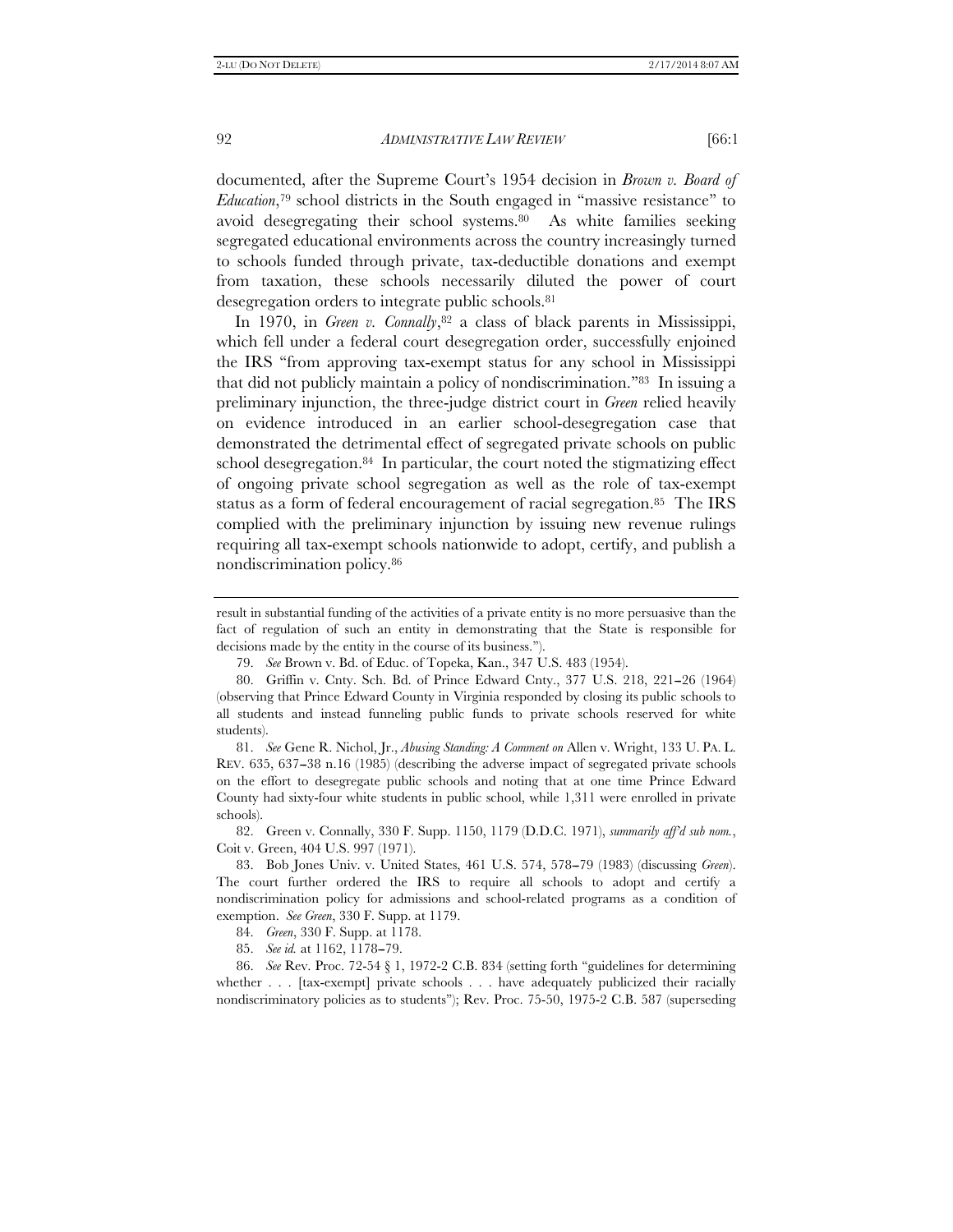documented, after the Supreme Court's 1954 decision in *Brown v. Board of Education*,79 school districts in the South engaged in ''massive resistance'' to avoid desegregating their school systems.80 As white families seeking segregated educational environments across the country increasingly turned to schools funded through private, tax-deductible donations and exempt from taxation, these schools necessarily diluted the power of court desegregation orders to integrate public schools.81

In 1970, in *Green v. Connally*,<sup>82</sup> a class of black parents in Mississippi, which fell under a federal court desegregation order, successfully enjoined the IRS ''from approving tax-exempt status for any school in Mississippi that did not publicly maintain a policy of nondiscrimination.''83 In issuing a preliminary injunction, the three-judge district court in *Green* relied heavily on evidence introduced in an earlier school-desegregation case that demonstrated the detrimental effect of segregated private schools on public school desegregation.84 In particular, the court noted the stigmatizing effect of ongoing private school segregation as well as the role of tax-exempt status as a form of federal encouragement of racial segregation.<sup>85</sup> The IRS complied with the preliminary injunction by issuing new revenue rulings requiring all tax-exempt schools nationwide to adopt, certify, and publish a nondiscrimination policy.86

 82. Green v. Connally, 330 F. Supp. 1150, 1179 (D.D.C. 1971), *summarily aff'd sub nom.*, Coit v. Green, 404 U.S. 997 (1971).

result in substantial funding of the activities of a private entity is no more persuasive than the fact of regulation of such an entity in demonstrating that the State is responsible for decisions made by the entity in the course of its business.'').

 <sup>79.</sup> *See* Brown v. Bd. of Educ. of Topeka, Kan., 347 U.S. 483 (1954).

 <sup>80.</sup> Griffin v. Cnty. Sch. Bd. of Prince Edward Cnty., 377 U.S. 218, 221--26 (1964) (observing that Prince Edward County in Virginia responded by closing its public schools to all students and instead funneling public funds to private schools reserved for white students).

 <sup>81.</sup> *See* Gene R. Nichol, Jr., *Abusing Standing: A Comment on* Allen v. Wright, 133 U. PA. L. REV. 635, 637–38 n.16 (1985) (describing the adverse impact of segregated private schools on the effort to desegregate public schools and noting that at one time Prince Edward County had sixty-four white students in public school, while 1,311 were enrolled in private schools).

 <sup>83.</sup> Bob Jones Univ. v. United States, 461 U.S. 574, 578--79 (1983) (discussing *Green*). The court further ordered the IRS to require all schools to adopt and certify a nondiscrimination policy for admissions and school-related programs as a condition of exemption. *See Green*, 330 F. Supp. at 1179.

 <sup>84.</sup> *Green*, 330 F. Supp. at 1178.

<sup>85.</sup> *See id.* at 1162, 1178-79.

 <sup>86.</sup> *See* Rev. Proc. 72-54 § 1, 1972-2 C.B. 834 (setting forth ''guidelines for determining whether . . . [tax-exempt] private schools . . . have adequately publicized their racially nondiscriminatory policies as to students''); Rev. Proc. 75-50, 1975-2 C.B. 587 (superseding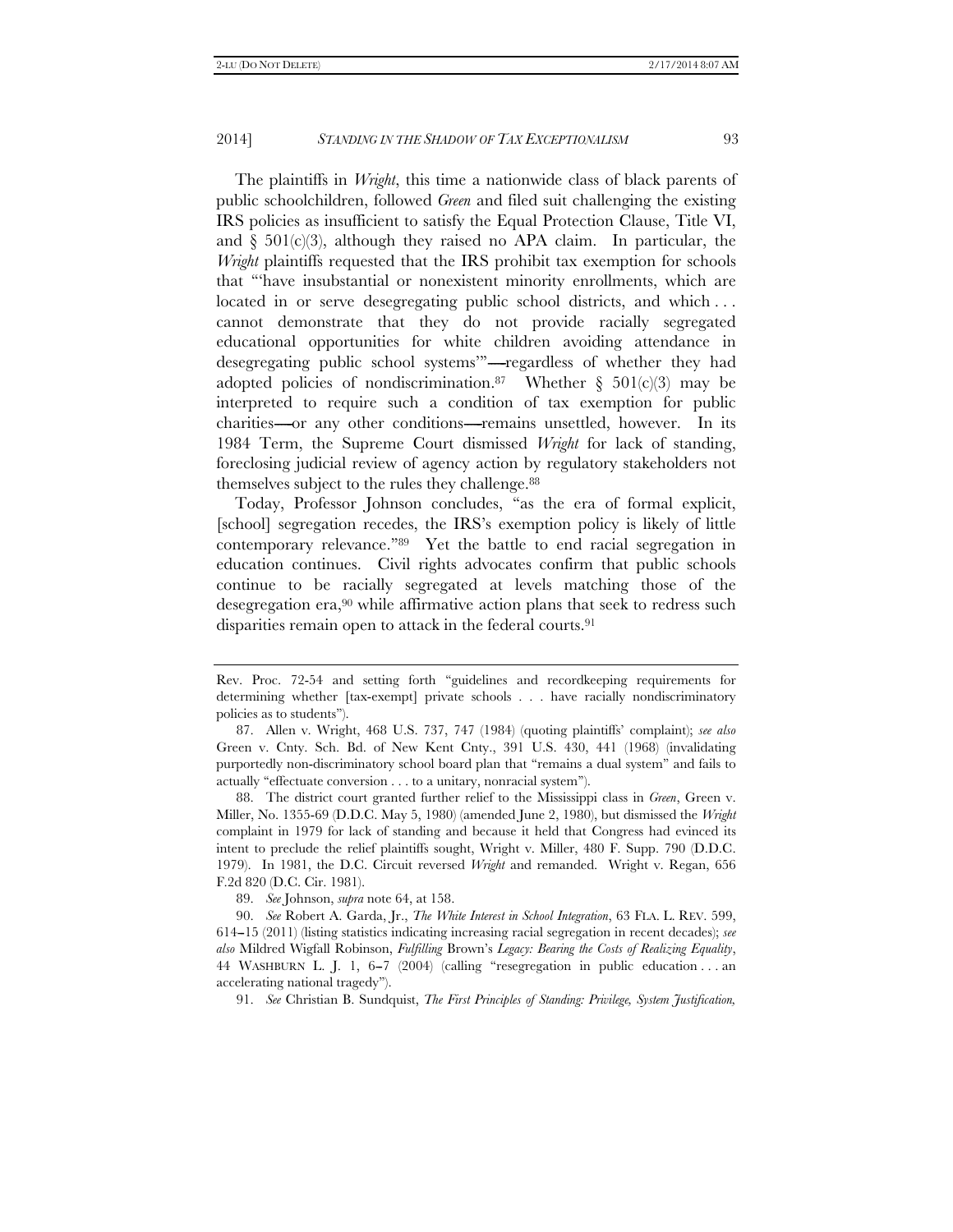The plaintiffs in *Wright*, this time a nationwide class of black parents of public schoolchildren, followed *Green* and filed suit challenging the existing IRS policies as insufficient to satisfy the Equal Protection Clause, Title VI, and  $\S$  501(c)(3), although they raised no APA claim. In particular, the *Wright* plaintiffs requested that the IRS prohibit tax exemption for schools that '''have insubstantial or nonexistent minority enrollments, which are located in or serve desegregating public school districts, and which ... cannot demonstrate that they do not provide racially segregated educational opportunities for white children avoiding attendance in desegregating public school systems""-regardless of whether they had adopted policies of nondiscrimination.<sup>87</sup> Whether  $\S$  501(c)(3) may be interpreted to require such a condition of tax exemption for public charities------or any other conditions------remains unsettled, however. In its 1984 Term, the Supreme Court dismissed *Wright* for lack of standing, foreclosing judicial review of agency action by regulatory stakeholders not themselves subject to the rules they challenge.<sup>88</sup>

Today, Professor Johnson concludes, ''as the era of formal explicit, [school] segregation recedes, the IRS's exemption policy is likely of little contemporary relevance.''89 Yet the battle to end racial segregation in education continues. Civil rights advocates confirm that public schools continue to be racially segregated at levels matching those of the desegregation era,90 while affirmative action plans that seek to redress such disparities remain open to attack in the federal courts.<sup>91</sup>

 88. The district court granted further relief to the Mississippi class in *Green*, Green v. Miller, No. 1355-69 (D.D.C. May 5, 1980) (amended June 2, 1980), but dismissed the *Wright* complaint in 1979 for lack of standing and because it held that Congress had evinced its intent to preclude the relief plaintiffs sought, Wright v. Miller, 480 F. Supp. 790 (D.D.C. 1979). In 1981, the D.C. Circuit reversed *Wright* and remanded. Wright v. Regan, 656 F.2d 820 (D.C. Cir. 1981).

89. *See* Johnson, *supra* note 64, at 158.

 90. *See* Robert A. Garda, Jr., *The White Interest in School Integration*, 63 FLA. L. REV. 599, 614--15 (2011) (listing statistics indicating increasing racial segregation in recent decades); *see also* Mildred Wigfall Robinson, *Fulfilling* Brown's *Legacy: Bearing the Costs of Realizing Equality*, 44 WASHBURN L. J. 1, 6--7 (2004) (calling ''resegregation in public education . . . an accelerating national tragedy'').

91. *See* Christian B. Sundquist, *The First Principles of Standing: Privilege, System Justification,* 

Rev. Proc. 72-54 and setting forth ''guidelines and recordkeeping requirements for determining whether [tax-exempt] private schools . . . have racially nondiscriminatory policies as to students'').

 <sup>87.</sup> Allen v. Wright, 468 U.S. 737, 747 (1984) (quoting plaintiffs' complaint); *see also*  Green v. Cnty. Sch. Bd. of New Kent Cnty., 391 U.S. 430, 441 (1968) (invalidating purportedly non-discriminatory school board plan that ''remains a dual system'' and fails to actually ''effectuate conversion . . . to a unitary, nonracial system'').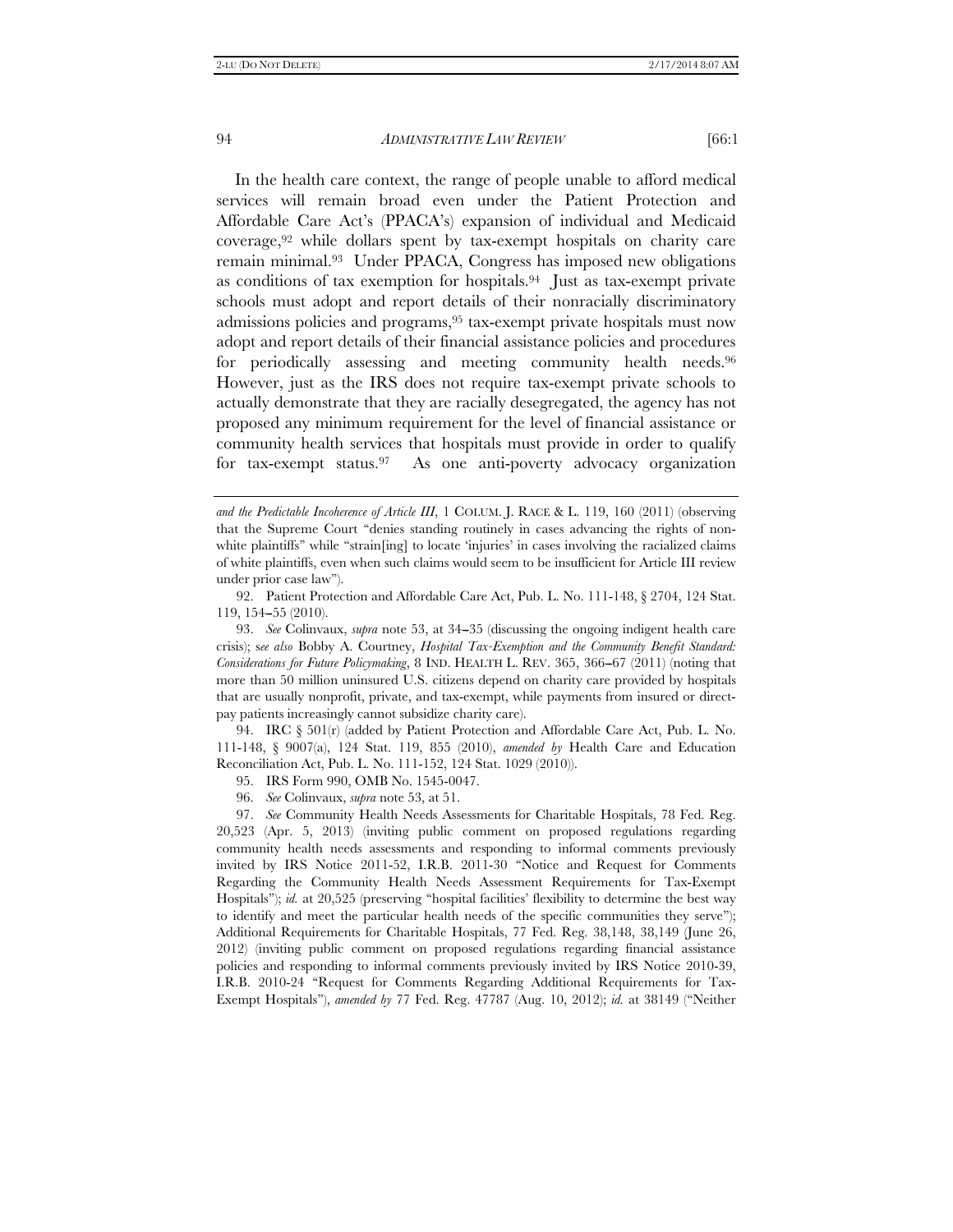In the health care context, the range of people unable to afford medical services will remain broad even under the Patient Protection and Affordable Care Act's (PPACA's) expansion of individual and Medicaid coverage,92 while dollars spent by tax-exempt hospitals on charity care remain minimal.93 Under PPACA, Congress has imposed new obligations as conditions of tax exemption for hospitals.94 Just as tax-exempt private schools must adopt and report details of their nonracially discriminatory admissions policies and programs,95 tax-exempt private hospitals must now adopt and report details of their financial assistance policies and procedures for periodically assessing and meeting community health needs.<sup>96</sup> However, just as the IRS does not require tax-exempt private schools to actually demonstrate that they are racially desegregated, the agency has not proposed any minimum requirement for the level of financial assistance or community health services that hospitals must provide in order to qualify for tax-exempt status.97 As one anti-poverty advocacy organization

 94. IRC § 501(r) (added by Patient Protection and Affordable Care Act, Pub. L. No. 111-148, § 9007(a), 124 Stat. 119, 855 (2010), *amended by* Health Care and Education Reconciliation Act, Pub. L. No. 111-152, 124 Stat. 1029 (2010)).

95. IRS Form 990, OMB No. 1545-0047.

96. *See* Colinvaux, *supra* note 53, at 51.

*and the Predictable Incoherence of Article III*, 1 COLUM. J. RACE & L. 119, 160 (2011) (observing that the Supreme Court ''denies standing routinely in cases advancing the rights of nonwhite plaintiffs" while "strain[ing] to locate 'injuries' in cases involving the racialized claims of white plaintiffs, even when such claims would seem to be insufficient for Article III review under prior case law'').

 <sup>92.</sup> Patient Protection and Affordable Care Act, Pub. L. No. 111-148, § 2704, 124 Stat. 119, 154-55 (2010).

 <sup>93.</sup> *See* Colinvaux, *supra* note 53, at 34--35 (discussing the ongoing indigent health care crisis); s*ee also* Bobby A. Courtney, *Hospital Tax-Exemption and the Community Benefit Standard: Considerations for Future Policymaking*, 8 IND. HEALTH L. REV. 365, 366--67 (2011) (noting that more than 50 million uninsured U.S. citizens depend on charity care provided by hospitals that are usually nonprofit, private, and tax-exempt, while payments from insured or directpay patients increasingly cannot subsidize charity care).

 <sup>97.</sup> *See* Community Health Needs Assessments for Charitable Hospitals, 78 Fed. Reg. 20,523 (Apr. 5, 2013) (inviting public comment on proposed regulations regarding community health needs assessments and responding to informal comments previously invited by IRS Notice 2011-52, I.R.B. 2011-30 ''Notice and Request for Comments Regarding the Community Health Needs Assessment Requirements for Tax-Exempt Hospitals"); *id.* at 20,525 (preserving "hospital facilities' flexibility to determine the best way to identify and meet the particular health needs of the specific communities they serve''); Additional Requirements for Charitable Hospitals, 77 Fed. Reg. 38,148, 38,149 (June 26, 2012) (inviting public comment on proposed regulations regarding financial assistance policies and responding to informal comments previously invited by IRS Notice 2010-39, I.R.B. 2010-24 ''Request for Comments Regarding Additional Requirements for Tax-Exempt Hospitals''), *amended by* 77 Fed. Reg. 47787 (Aug. 10, 2012); *id.* at 38149 (''Neither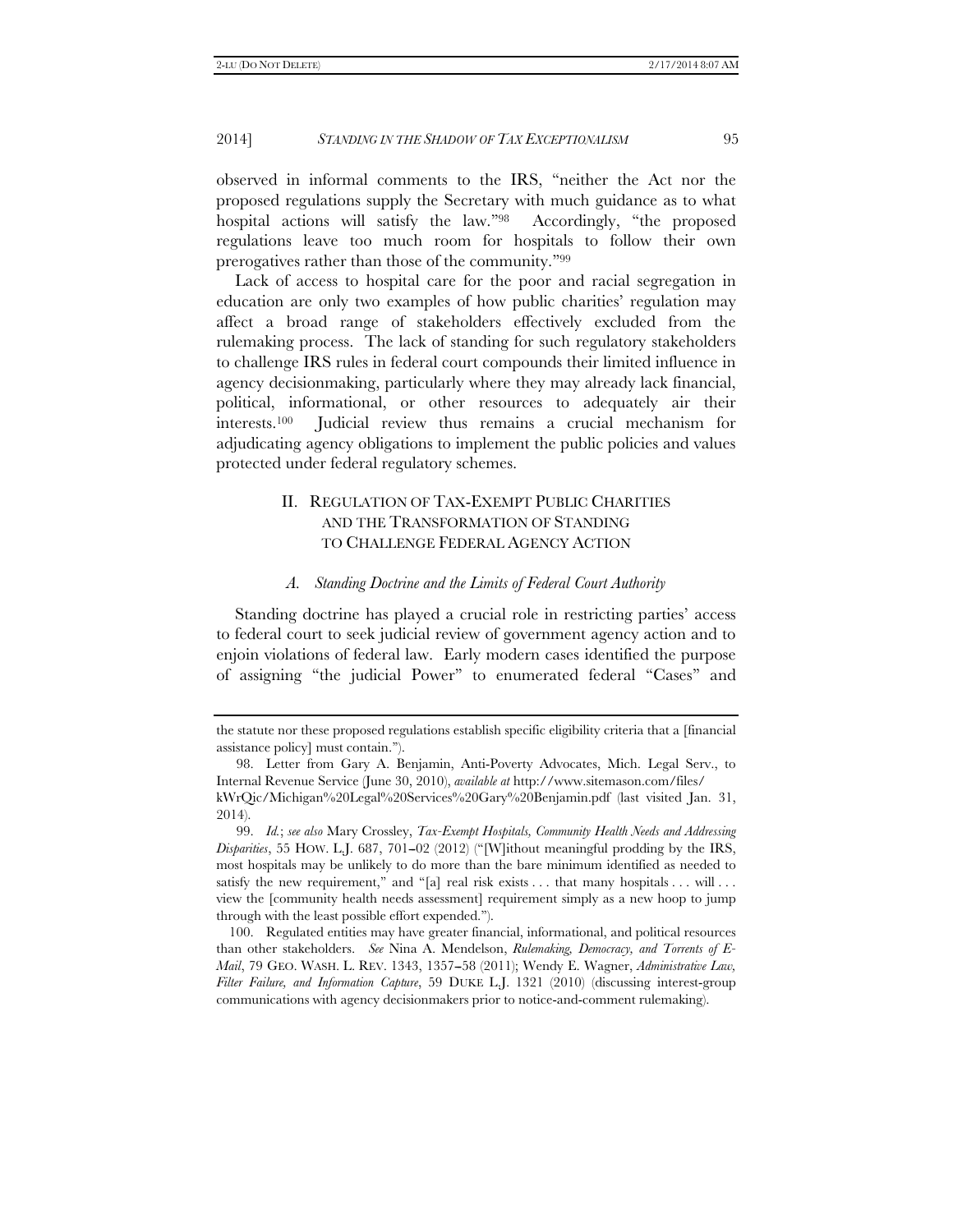observed in informal comments to the IRS, ''neither the Act nor the proposed regulations supply the Secretary with much guidance as to what hospital actions will satisfy the law."98 Accordingly, "the proposed regulations leave too much room for hospitals to follow their own prerogatives rather than those of the community.''99

Lack of access to hospital care for the poor and racial segregation in education are only two examples of how public charities' regulation may affect a broad range of stakeholders effectively excluded from the rulemaking process. The lack of standing for such regulatory stakeholders to challenge IRS rules in federal court compounds their limited influence in agency decisionmaking, particularly where they may already lack financial, political, informational, or other resources to adequately air their interests.100 Judicial review thus remains a crucial mechanism for adjudicating agency obligations to implement the public policies and values protected under federal regulatory schemes.

# II. REGULATION OF TAX-EXEMPT PUBLIC CHARITIES AND THE TRANSFORMATION OF STANDING TO CHALLENGE FEDERAL AGENCY ACTION

#### *A. Standing Doctrine and the Limits of Federal Court Authority*

Standing doctrine has played a crucial role in restricting parties' access to federal court to seek judicial review of government agency action and to enjoin violations of federal law. Early modern cases identified the purpose of assigning ''the judicial Power'' to enumerated federal ''Cases'' and

 100. Regulated entities may have greater financial, informational, and political resources than other stakeholders. *See* Nina A. Mendelson, *Rulemaking, Democracy, and Torrents of E-Mail*, 79 GEO. WASH. L. REV. 1343, 1357-58 (2011); Wendy E. Wagner, *Administrative Law*, *Filter Failure, and Information Capture*, 59 DUKE L.J. 1321 (2010) (discussing interest-group communications with agency decisionmakers prior to notice-and-comment rulemaking).

the statute nor these proposed regulations establish specific eligibility criteria that a [financial assistance policy] must contain.'').

 <sup>98.</sup> Letter from Gary A. Benjamin, Anti-Poverty Advocates, Mich. Legal Serv., to Internal Revenue Service (June 30, 2010), *available at* http://www.sitemason.com/files/ kWrQic/Michigan%20Legal%20Services%20Gary%20Benjamin.pdf (last visited Jan. 31,

<sup>2014).</sup>  99. *Id.*; *see also* Mary Crossley, *Tax-Exempt Hospitals, Community Health Needs and Addressing* 

 $Disparities$ , 55 HOW. L.J. 687, 701-02 (2012) ("[W]ithout meaningful prodding by the IRS, most hospitals may be unlikely to do more than the bare minimum identified as needed to satisfy the new requirement," and "[a] real risk exists  $\dots$  that many hospitals  $\dots$  will  $\dots$ view the [community health needs assessment] requirement simply as a new hoop to jump through with the least possible effort expended.'').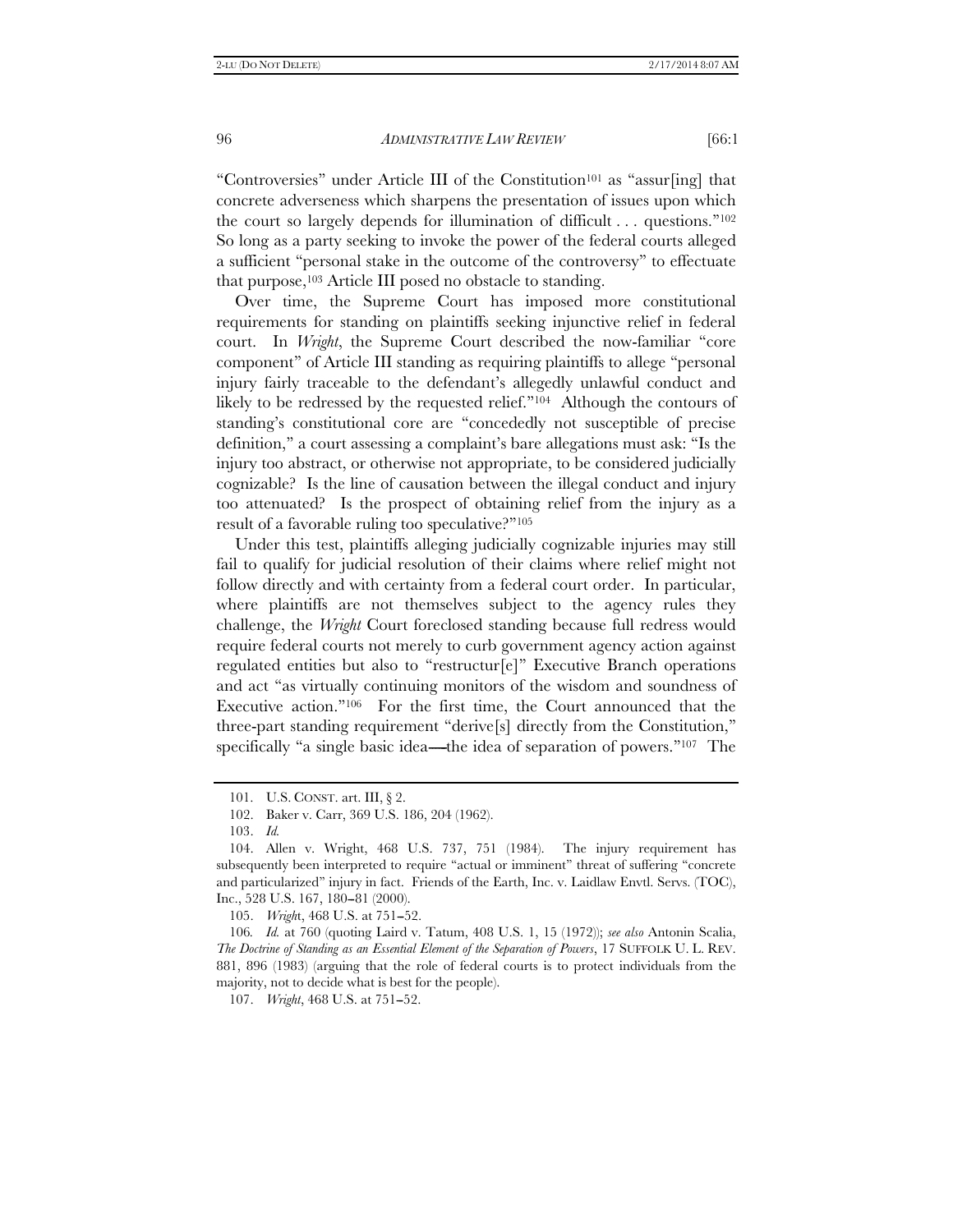"Controversies" under Article III of the Constitution<sup>101</sup> as "assur[ing] that concrete adverseness which sharpens the presentation of issues upon which the court so largely depends for illumination of difficult . . . questions.''102 So long as a party seeking to invoke the power of the federal courts alleged a sufficient ''personal stake in the outcome of the controversy'' to effectuate that purpose,103 Article III posed no obstacle to standing.

Over time, the Supreme Court has imposed more constitutional requirements for standing on plaintiffs seeking injunctive relief in federal court. In *Wright*, the Supreme Court described the now-familiar ''core component'' of Article III standing as requiring plaintiffs to allege ''personal injury fairly traceable to the defendant's allegedly unlawful conduct and likely to be redressed by the requested relief.''104 Although the contours of standing's constitutional core are ''concededly not susceptible of precise definition,'' a court assessing a complaint's bare allegations must ask: ''Is the injury too abstract, or otherwise not appropriate, to be considered judicially cognizable? Is the line of causation between the illegal conduct and injury too attenuated? Is the prospect of obtaining relief from the injury as a result of a favorable ruling too speculative?''105

Under this test, plaintiffs alleging judicially cognizable injuries may still fail to qualify for judicial resolution of their claims where relief might not follow directly and with certainty from a federal court order. In particular, where plaintiffs are not themselves subject to the agency rules they challenge, the *Wright* Court foreclosed standing because full redress would require federal courts not merely to curb government agency action against regulated entities but also to "restructur[e]" Executive Branch operations and act ''as virtually continuing monitors of the wisdom and soundness of Executive action."<sup>106</sup> For the first time, the Court announced that the three-part standing requirement ''derive[s] directly from the Constitution,'' specifically "a single basic idea—the idea of separation of powers." $107$  The

105. *Wright*, 468 U.S. at 751-52.

106*. Id.* at 760 (quoting Laird v. Tatum, 408 U.S. 1, 15 (1972)); *see also* Antonin Scalia, *The Doctrine of Standing as an Essential Element of the Separation of Powers*, 17 SUFFOLK U. L. REV. 881, 896 (1983) (arguing that the role of federal courts is to protect individuals from the majority, not to decide what is best for the people).

107. *Wright*, 468 U.S. at 751-52.

 <sup>101.</sup> U.S. CONST. art. III, § 2.

 <sup>102.</sup> Baker v. Carr, 369 U.S. 186, 204 (1962).

 <sup>103.</sup> *Id.*

 <sup>104.</sup> Allen v. Wright, 468 U.S. 737, 751 (1984). The injury requirement has subsequently been interpreted to require "actual or imminent" threat of suffering "concrete and particularized'' injury in fact. Friends of the Earth, Inc. v. Laidlaw Envtl. Servs. (TOC), Inc., 528 U.S. 167, 180-81 (2000).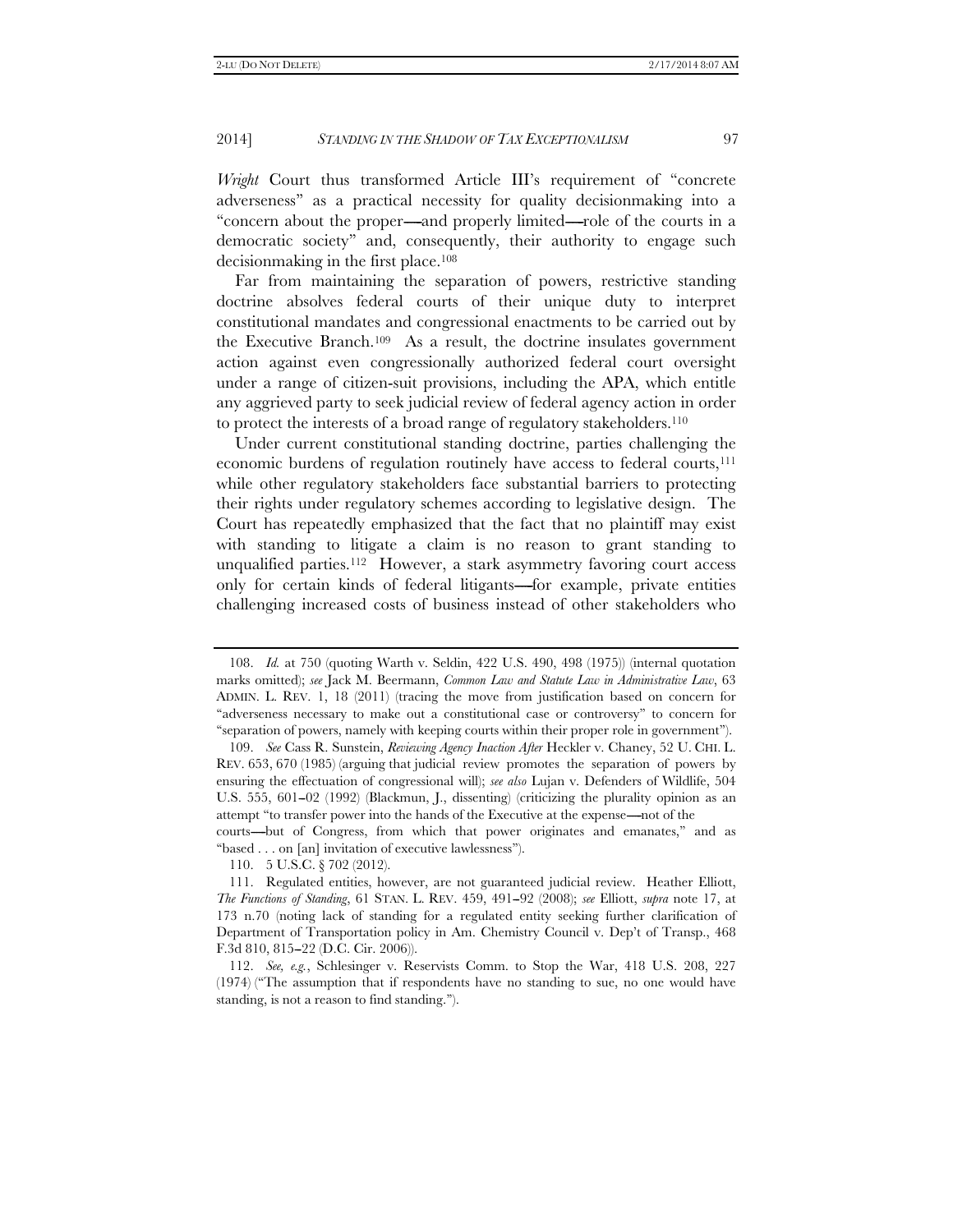*Wright* Court thus transformed Article III's requirement of ''concrete adverseness'' as a practical necessity for quality decisionmaking into a "concern about the proper----and properly limited---role of the courts in a democratic society'' and, consequently, their authority to engage such decisionmaking in the first place.108

Far from maintaining the separation of powers, restrictive standing doctrine absolves federal courts of their unique duty to interpret constitutional mandates and congressional enactments to be carried out by the Executive Branch.109 As a result, the doctrine insulates government action against even congressionally authorized federal court oversight under a range of citizen-suit provisions, including the APA, which entitle any aggrieved party to seek judicial review of federal agency action in order to protect the interests of a broad range of regulatory stakeholders.110

Under current constitutional standing doctrine, parties challenging the economic burdens of regulation routinely have access to federal courts,111 while other regulatory stakeholders face substantial barriers to protecting their rights under regulatory schemes according to legislative design. The Court has repeatedly emphasized that the fact that no plaintiff may exist with standing to litigate a claim is no reason to grant standing to unqualified parties.112 However, a stark asymmetry favoring court access only for certain kinds of federal litigants—for example, private entities challenging increased costs of business instead of other stakeholders who

courts—but of Congress, from which that power originates and emanates," and as ''based . . . on [an] invitation of executive lawlessness'').

110. 5 U.S.C. § 702 (2012).

 <sup>108.</sup> *Id.* at 750 (quoting Warth v. Seldin, 422 U.S. 490, 498 (1975)) (internal quotation marks omitted); *see* Jack M. Beermann, *Common Law and Statute Law in Administrative Law*, 63 ADMIN. L. REV. 1, 18 (2011) (tracing the move from justification based on concern for ''adverseness necessary to make out a constitutional case or controversy'' to concern for ''separation of powers, namely with keeping courts within their proper role in government'').

 <sup>109.</sup> *See* Cass R. Sunstein, *Reviewing Agency Inaction After* Heckler v. Chaney, 52 U. CHI. L. REV. 653, 670 (1985) (arguing that judicial review promotes the separation of powers by ensuring the effectuation of congressional will); *see also* Lujan v. Defenders of Wildlife, 504 U.S. 555,  $601-02$  (1992) (Blackmun, J., dissenting) (criticizing the plurality opinion as an attempt "to transfer power into the hands of the Executive at the expense—not of the

 <sup>111.</sup> Regulated entities, however, are not guaranteed judicial review. Heather Elliott, *The Functions of Standing*, 61 STAN. L. REV. 459, 491-92 (2008); *see* Elliott, *supra* note 17, at 173 n.70 (noting lack of standing for a regulated entity seeking further clarification of Department of Transportation policy in Am. Chemistry Council v. Dep't of Transp., 468 F.3d 810, 815-22 (D.C. Cir. 2006)).

 <sup>112.</sup> *See, e.g.*, Schlesinger v. Reservists Comm. to Stop the War, 418 U.S. 208, 227 (1974) (''The assumption that if respondents have no standing to sue, no one would have standing, is not a reason to find standing.'').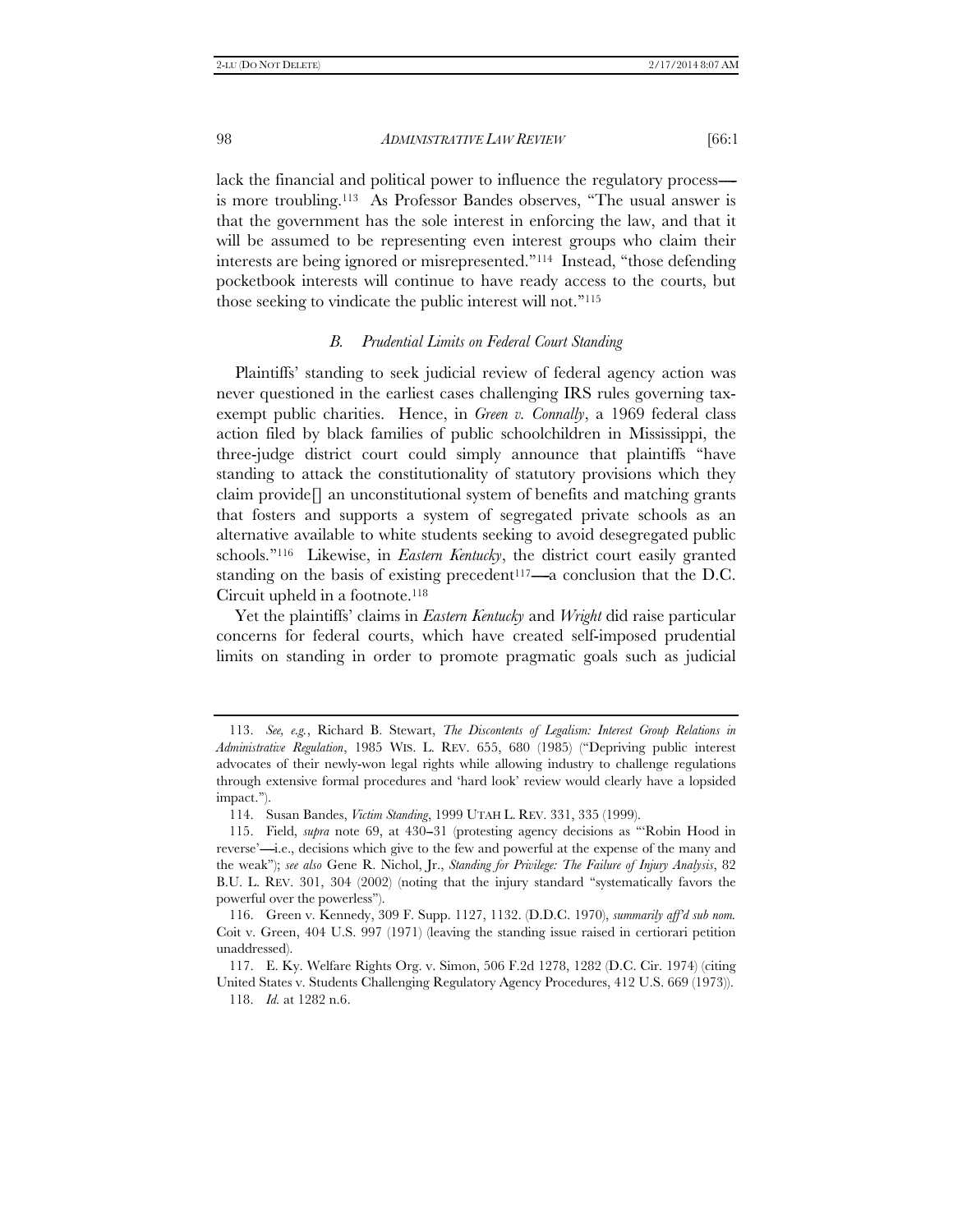lack the financial and political power to influence the regulatory process is more troubling.113 As Professor Bandes observes, ''The usual answer is that the government has the sole interest in enforcing the law, and that it will be assumed to be representing even interest groups who claim their interests are being ignored or misrepresented.''114 Instead, ''those defending pocketbook interests will continue to have ready access to the courts, but those seeking to vindicate the public interest will not.''115

# *B. Prudential Limits on Federal Court Standing*

Plaintiffs' standing to seek judicial review of federal agency action was never questioned in the earliest cases challenging IRS rules governing taxexempt public charities. Hence, in *Green v. Connally*, a 1969 federal class action filed by black families of public schoolchildren in Mississippi, the three-judge district court could simply announce that plaintiffs ''have standing to attack the constitutionality of statutory provisions which they claim provide[] an unconstitutional system of benefits and matching grants that fosters and supports a system of segregated private schools as an alternative available to white students seeking to avoid desegregated public schools.''116 Likewise, in *Eastern Kentucky*, the district court easily granted standing on the basis of existing precedent<sup>117</sup>—a conclusion that the D.C. Circuit upheld in a footnote.118

Yet the plaintiffs' claims in *Eastern Kentucky* and *Wright* did raise particular concerns for federal courts, which have created self-imposed prudential limits on standing in order to promote pragmatic goals such as judicial

 117. E. Ky. Welfare Rights Org. v. Simon, 506 F.2d 1278, 1282 (D.C. Cir. 1974) (citing United States v. Students Challenging Regulatory Agency Procedures, 412 U.S. 669 (1973)).

 <sup>113.</sup> *See, e.g.*, Richard B. Stewart, *The Discontents of Legalism: Interest Group Relations in Administrative Regulation*, 1985 WIS. L. REV. 655, 680 (1985) (''Depriving public interest advocates of their newly-won legal rights while allowing industry to challenge regulations through extensive formal procedures and 'hard look' review would clearly have a lopsided impact.'').

 <sup>114.</sup> Susan Bandes, *Victim Standing*, 1999 UTAH L. REV. 331, 335 (1999).

<sup>115.</sup> Field, *supra* note 69, at 430–31 (protesting agency decisions as "Robin Hood in reverse'—i.e., decisions which give to the few and powerful at the expense of the many and the weak''); *see also* Gene R. Nichol, Jr., *Standing for Privilege: The Failure of Injury Analysis*, 82 B.U. L. REV. 301, 304 (2002) (noting that the injury standard ''systematically favors the powerful over the powerless'').

 <sup>116.</sup> Green v. Kennedy, 309 F. Supp. 1127, 1132. (D.D.C. 1970), *summarily aff'd sub nom.* Coit v. Green, 404 U.S. 997 (1971) (leaving the standing issue raised in certiorari petition unaddressed).

 <sup>118.</sup> *Id.* at 1282 n.6.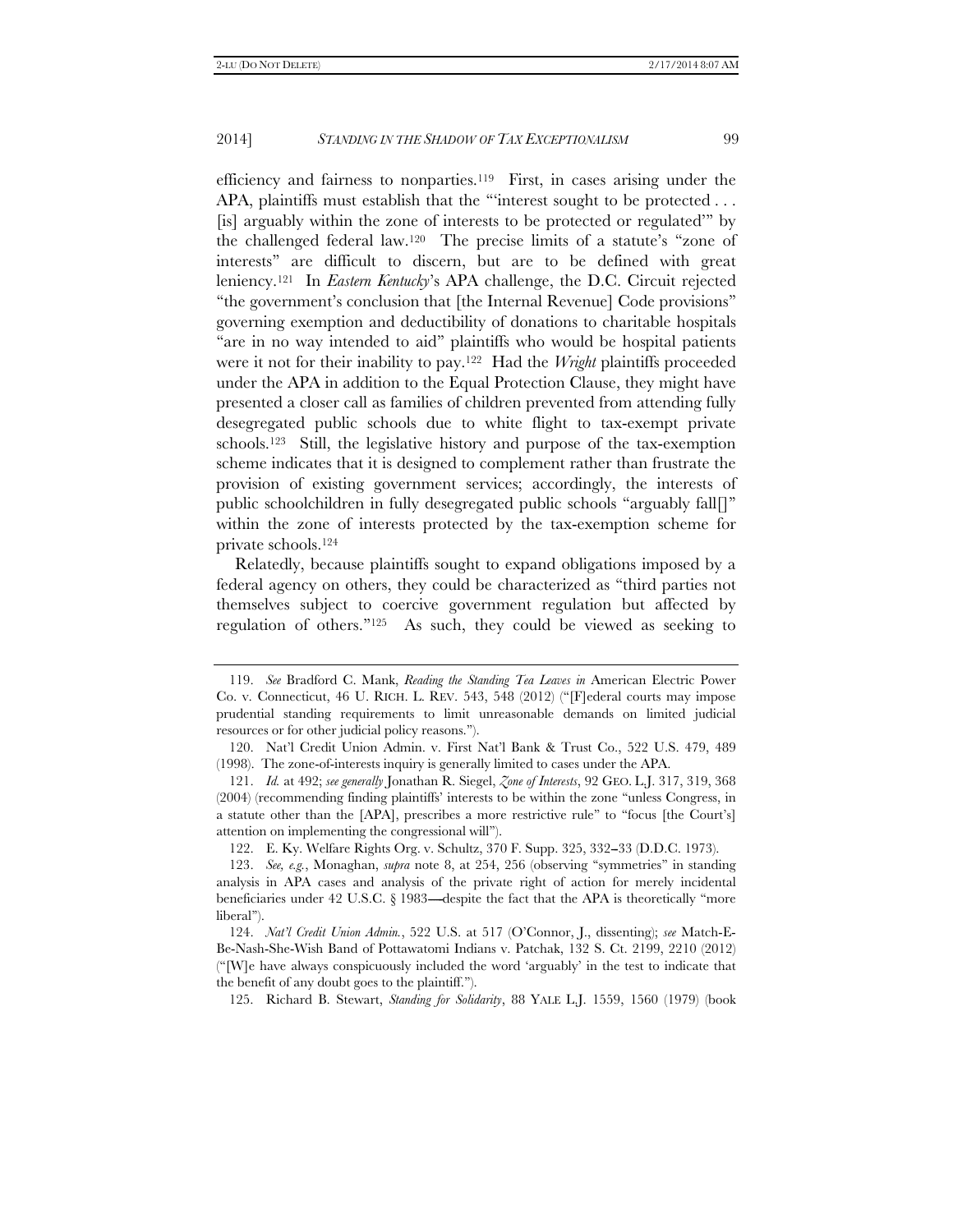efficiency and fairness to nonparties.119 First, in cases arising under the APA, plaintiffs must establish that the "'interest sought to be protected ... [is] arguably within the zone of interests to be protected or regulated''' by the challenged federal law.120 The precise limits of a statute's ''zone of interests'' are difficult to discern, but are to be defined with great leniency.121 In *Eastern Kentucky*'s APA challenge, the D.C. Circuit rejected ''the government's conclusion that [the Internal Revenue] Code provisions'' governing exemption and deductibility of donations to charitable hospitals "are in no way intended to aid" plaintiffs who would be hospital patients were it not for their inability to pay.122 Had the *Wright* plaintiffs proceeded under the APA in addition to the Equal Protection Clause, they might have presented a closer call as families of children prevented from attending fully desegregated public schools due to white flight to tax-exempt private schools.123 Still, the legislative history and purpose of the tax-exemption scheme indicates that it is designed to complement rather than frustrate the provision of existing government services; accordingly, the interests of public schoolchildren in fully desegregated public schools ''arguably fall[]'' within the zone of interests protected by the tax-exemption scheme for private schools.124

Relatedly, because plaintiffs sought to expand obligations imposed by a federal agency on others, they could be characterized as ''third parties not themselves subject to coercive government regulation but affected by regulation of others.''125 As such, they could be viewed as seeking to

 <sup>119.</sup> *See* Bradford C. Mank, *Reading the Standing Tea Leaves in* American Electric Power Co. v. Connecticut, 46 U. RICH. L. REV. 543, 548 (2012) (''[F]ederal courts may impose prudential standing requirements to limit unreasonable demands on limited judicial resources or for other judicial policy reasons.'').

 <sup>120.</sup> Nat'l Credit Union Admin. v. First Nat'l Bank & Trust Co., 522 U.S. 479, 489 (1998). The zone-of-interests inquiry is generally limited to cases under the APA.

 <sup>121.</sup> *Id.* at 492; *see generally* Jonathan R. Siegel, *Zone of Interests*, 92 GEO. L.J. 317, 319, 368 (2004) (recommending finding plaintiffs' interests to be within the zone ''unless Congress, in a statute other than the [APA], prescribes a more restrictive rule'' to ''focus [the Court's] attention on implementing the congressional will'').

 <sup>122.</sup> E. Ky. Welfare Rights Org. v. Schultz, 370 F. Supp. 325, 332--33 (D.D.C. 1973).

 <sup>123.</sup> *See, e.g.*, Monaghan, *supra* note 8, at 254, 256 (observing ''symmetries'' in standing analysis in APA cases and analysis of the private right of action for merely incidental beneficiaries under 42 U.S.C.  $\S$  1983—despite the fact that the APA is theoretically "more liberal'').

 <sup>124.</sup> *Nat'l Credit Union Admin.*, 522 U.S. at 517 (O'Connor, J., dissenting); *see* Match-E-Be-Nash-She-Wish Band of Pottawatomi Indians v. Patchak, 132 S. Ct. 2199, 2210 (2012) (''[W]e have always conspicuously included the word 'arguably' in the test to indicate that the benefit of any doubt goes to the plaintiff.'').

 <sup>125.</sup> Richard B. Stewart, *Standing for Solidarity*, 88 YALE L.J. 1559, 1560 (1979) (book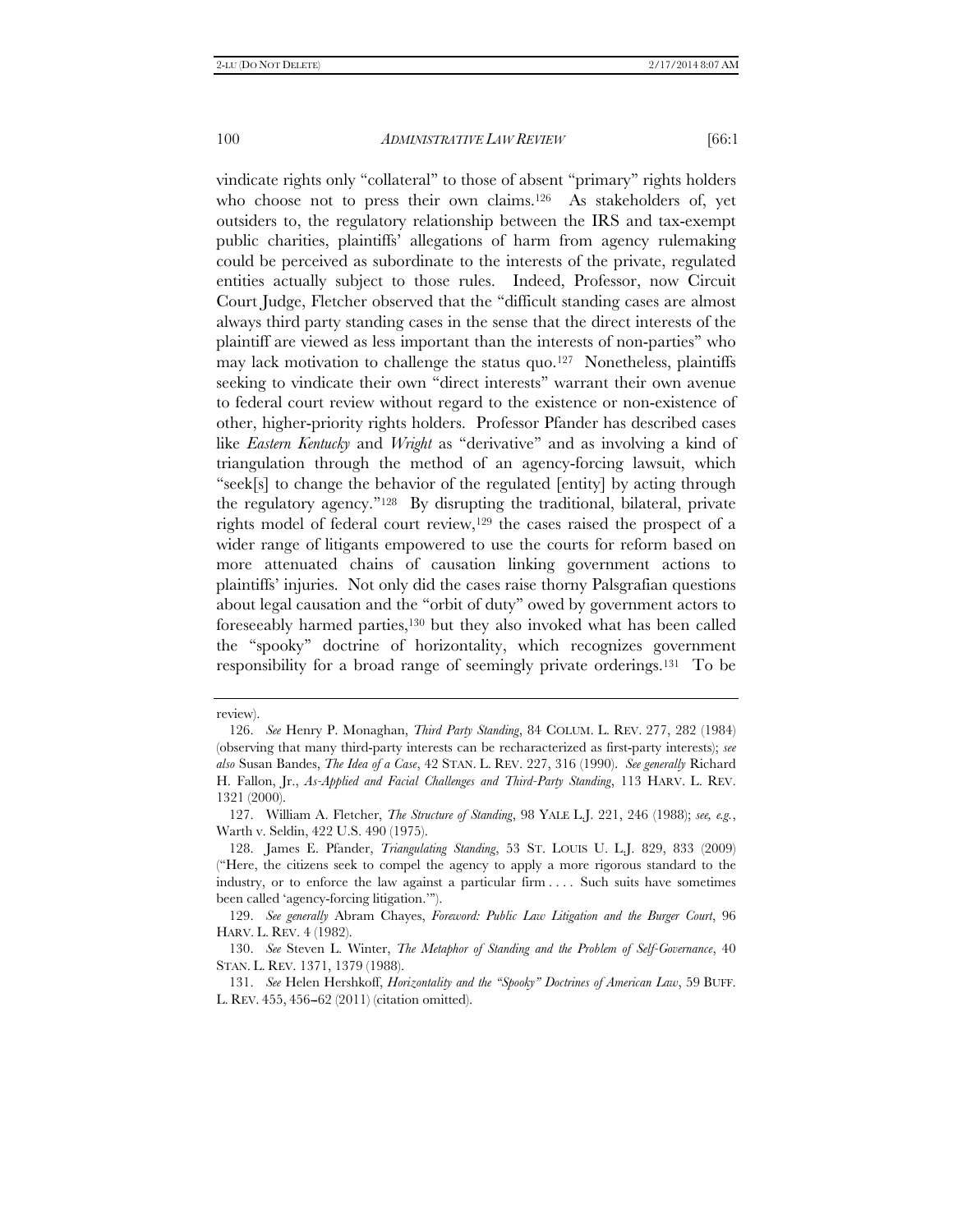vindicate rights only ''collateral'' to those of absent ''primary'' rights holders who choose not to press their own claims.<sup>126</sup> As stakeholders of, yet outsiders to, the regulatory relationship between the IRS and tax-exempt public charities, plaintiffs' allegations of harm from agency rulemaking could be perceived as subordinate to the interests of the private, regulated entities actually subject to those rules. Indeed, Professor, now Circuit Court Judge, Fletcher observed that the ''difficult standing cases are almost always third party standing cases in the sense that the direct interests of the plaintiff are viewed as less important than the interests of non-parties'' who may lack motivation to challenge the status quo.<sup>127</sup> Nonetheless, plaintiffs seeking to vindicate their own ''direct interests'' warrant their own avenue to federal court review without regard to the existence or non-existence of other, higher-priority rights holders. Professor Pfander has described cases like *Eastern Kentucky* and *Wright* as ''derivative'' and as involving a kind of triangulation through the method of an agency-forcing lawsuit, which ''seek[s] to change the behavior of the regulated [entity] by acting through the regulatory agency.''128 By disrupting the traditional, bilateral, private rights model of federal court review,129 the cases raised the prospect of a wider range of litigants empowered to use the courts for reform based on more attenuated chains of causation linking government actions to plaintiffs' injuries. Not only did the cases raise thorny Palsgrafian questions about legal causation and the ''orbit of duty'' owed by government actors to foreseeably harmed parties,130 but they also invoked what has been called the ''spooky'' doctrine of horizontality, which recognizes government responsibility for a broad range of seemingly private orderings.131 To be

review).

 <sup>126.</sup> *See* Henry P. Monaghan, *Third Party Standing*, 84 COLUM. L. REV. 277, 282 (1984) (observing that many third-party interests can be recharacterized as first-party interests); *see also* Susan Bandes, *The Idea of a Case*, 42 STAN. L. REV. 227, 316 (1990). *See generally* Richard H. Fallon, Jr., *As-Applied and Facial Challenges and Third-Party Standing*, 113 HARV. L. REV. 1321 (2000).

 <sup>127.</sup> William A. Fletcher, *The Structure of Standing*, 98 YALE L.J. 221, 246 (1988); *see, e.g.*, Warth v. Seldin, 422 U.S. 490 (1975).

 <sup>128.</sup> James E. Pfander, *Triangulating Standing*, 53 ST. LOUIS U. L.J. 829, 833 (2009) (''Here, the citizens seek to compel the agency to apply a more rigorous standard to the industry, or to enforce the law against a particular firm . . . . Such suits have sometimes been called 'agency-forcing litigation.''').

 <sup>129.</sup> *See generally* Abram Chayes, *Foreword: Public Law Litigation and the Burger Court*, 96 HARV. L. REV. 4 (1982).

 <sup>130.</sup> *See* Steven L. Winter, *The Metaphor of Standing and the Problem of Self-Governance*, 40 STAN. L. REV. 1371, 1379 (1988).

 <sup>131.</sup> *See* Helen Hershkoff, *Horizontality and the ''Spooky'' Doctrines of American Law*, 59 BUFF. L. REV. 455, 456-62 (2011) (citation omitted).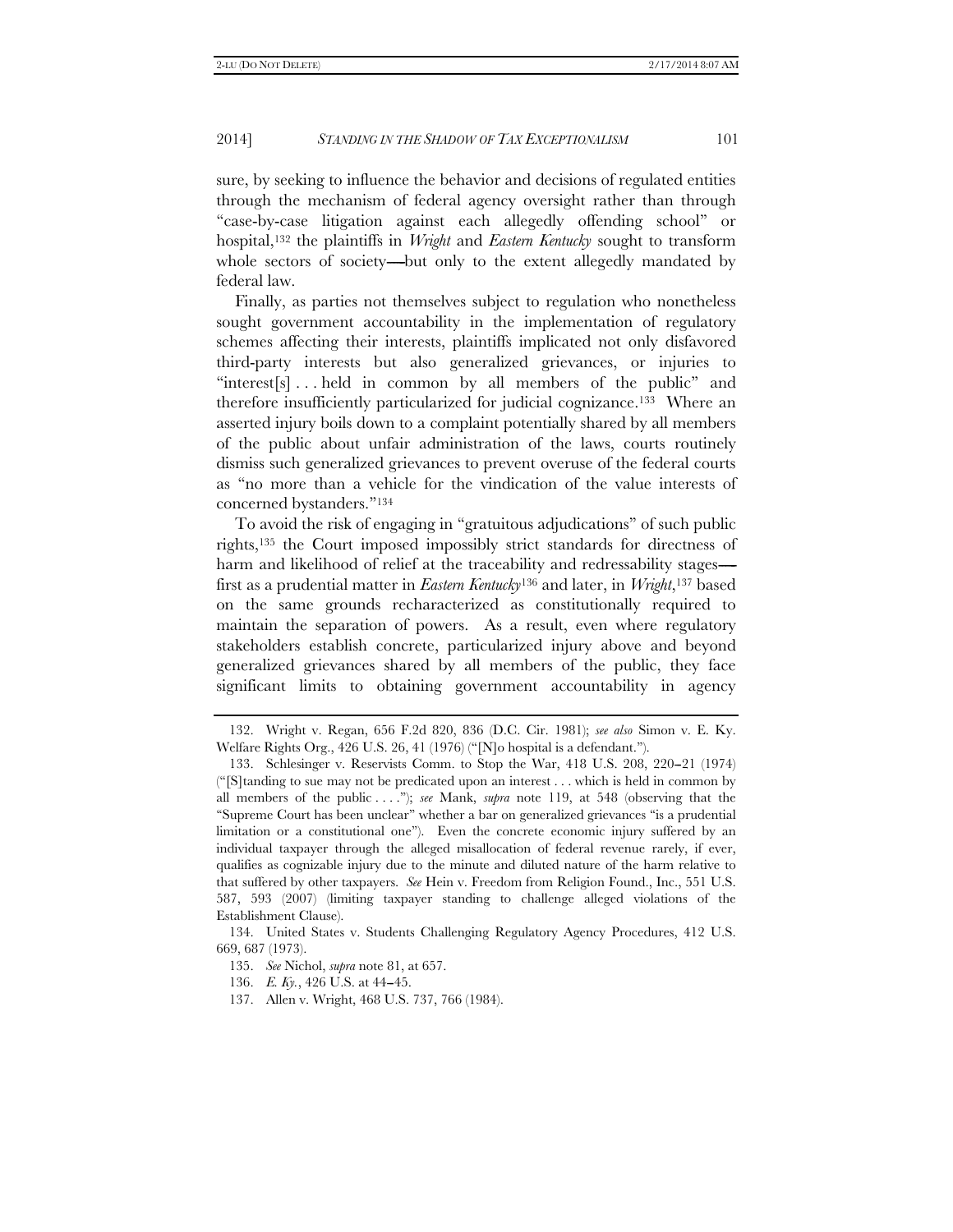sure, by seeking to influence the behavior and decisions of regulated entities through the mechanism of federal agency oversight rather than through ''case-by-case litigation against each allegedly offending school'' or hospital,132 the plaintiffs in *Wright* and *Eastern Kentucky* sought to transform whole sectors of society—but only to the extent allegedly mandated by federal law.

Finally, as parties not themselves subject to regulation who nonetheless sought government accountability in the implementation of regulatory schemes affecting their interests, plaintiffs implicated not only disfavored third-party interests but also generalized grievances, or injuries to "interest[s]...held in common by all members of the public" and therefore insufficiently particularized for judicial cognizance.133 Where an asserted injury boils down to a complaint potentially shared by all members of the public about unfair administration of the laws, courts routinely dismiss such generalized grievances to prevent overuse of the federal courts as ''no more than a vehicle for the vindication of the value interests of concerned bystanders.''134

To avoid the risk of engaging in ''gratuitous adjudications'' of such public rights,135 the Court imposed impossibly strict standards for directness of harm and likelihood of relief at the traceability and redressability stagesfirst as a prudential matter in *Eastern Kentucky*136 and later, in *Wright*,137 based on the same grounds recharacterized as constitutionally required to maintain the separation of powers. As a result, even where regulatory stakeholders establish concrete, particularized injury above and beyond generalized grievances shared by all members of the public, they face significant limits to obtaining government accountability in agency

 <sup>132.</sup> Wright v. Regan, 656 F.2d 820, 836 (D.C. Cir. 1981); *see also* Simon v. E. Ky. Welfare Rights Org., 426 U.S. 26, 41 (1976) (''[N]o hospital is a defendant.'').

<sup>133.</sup> Schlesinger v. Reservists Comm. to Stop the War, 418 U.S. 208, 220–21 (1974) (''[S]tanding to sue may not be predicated upon an interest . . . which is held in common by all members of the public . . . .''); *see* Mank, *supra* note 119, at 548 (observing that the ''Supreme Court has been unclear'' whether a bar on generalized grievances ''is a prudential limitation or a constitutional one''). Even the concrete economic injury suffered by an individual taxpayer through the alleged misallocation of federal revenue rarely, if ever, qualifies as cognizable injury due to the minute and diluted nature of the harm relative to that suffered by other taxpayers. *See* Hein v. Freedom from Religion Found., Inc., 551 U.S. 587, 593 (2007) (limiting taxpayer standing to challenge alleged violations of the Establishment Clause).

 <sup>134.</sup> United States v. Students Challenging Regulatory Agency Procedures, 412 U.S. 669, 687 (1973).

 <sup>135.</sup> *See* Nichol, *supra* note 81, at 657.

<sup>136.</sup> *E. Ky.*, 426 U.S. at 44-45.

 <sup>137.</sup> Allen v. Wright, 468 U.S. 737, 766 (1984).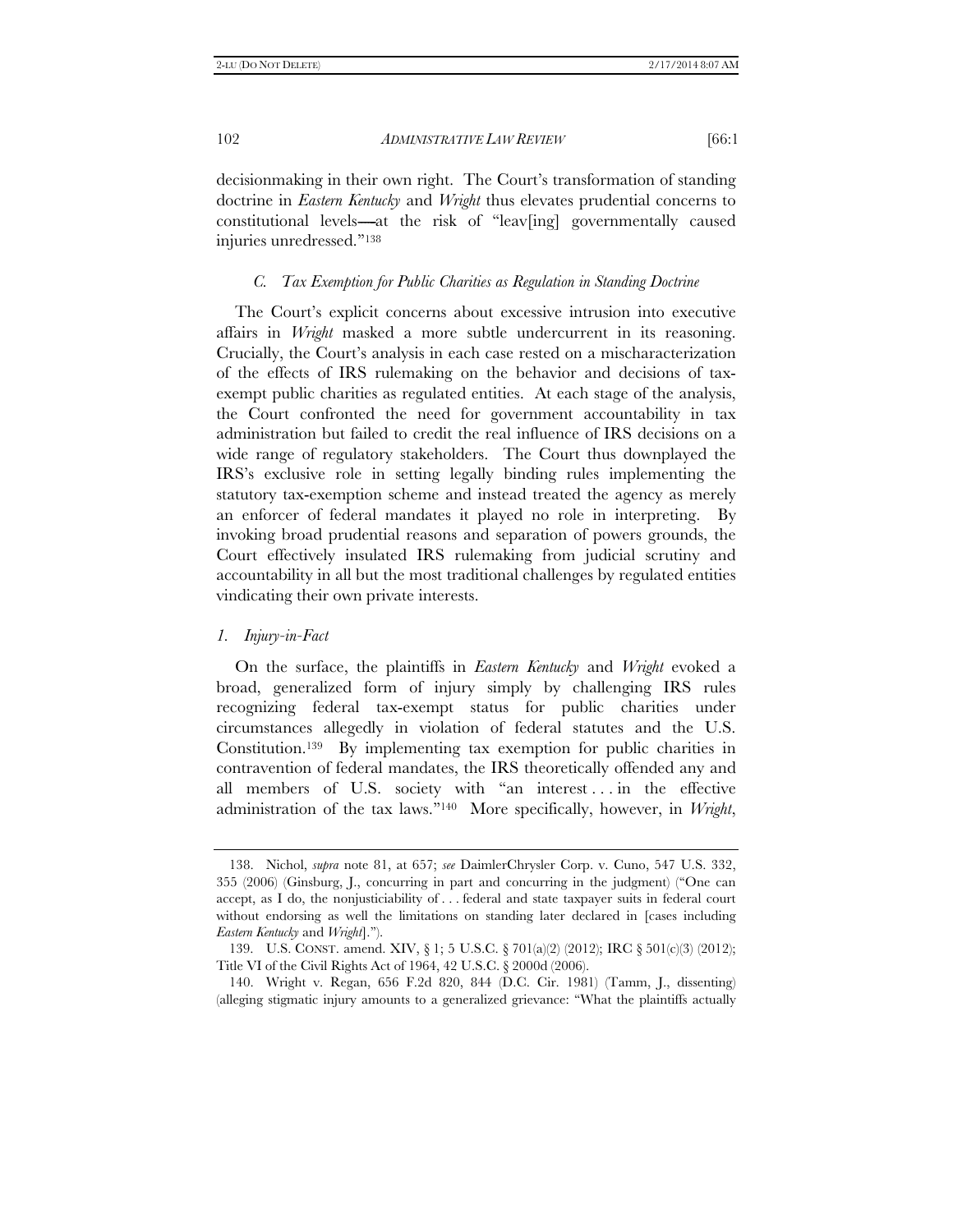decisionmaking in their own right. The Court's transformation of standing doctrine in *Eastern Kentucky* and *Wright* thus elevates prudential concerns to constitutional levels---at the risk of "leav[ing] governmentally caused injuries unredressed.''138

# *C. Tax Exemption for Public Charities as Regulation in Standing Doctrine*

The Court's explicit concerns about excessive intrusion into executive affairs in *Wright* masked a more subtle undercurrent in its reasoning. Crucially, the Court's analysis in each case rested on a mischaracterization of the effects of IRS rulemaking on the behavior and decisions of taxexempt public charities as regulated entities. At each stage of the analysis, the Court confronted the need for government accountability in tax administration but failed to credit the real influence of IRS decisions on a wide range of regulatory stakeholders. The Court thus downplayed the IRS's exclusive role in setting legally binding rules implementing the statutory tax-exemption scheme and instead treated the agency as merely an enforcer of federal mandates it played no role in interpreting. By invoking broad prudential reasons and separation of powers grounds, the Court effectively insulated IRS rulemaking from judicial scrutiny and accountability in all but the most traditional challenges by regulated entities vindicating their own private interests.

# *1. Injury-in-Fact*

On the surface, the plaintiffs in *Eastern Kentucky* and *Wright* evoked a broad, generalized form of injury simply by challenging IRS rules recognizing federal tax-exempt status for public charities under circumstances allegedly in violation of federal statutes and the U.S. Constitution.139 By implementing tax exemption for public charities in contravention of federal mandates, the IRS theoretically offended any and all members of U.S. society with "an interest ... in the effective administration of the tax laws.''140 More specifically, however, in *Wright*,

 <sup>138.</sup> Nichol, *supra* note 81, at 657; *see* DaimlerChrysler Corp. v. Cuno, 547 U.S. 332, 355 (2006) (Ginsburg, J., concurring in part and concurring in the judgment) (''One can accept, as I do, the nonjusticiability of . . . federal and state taxpayer suits in federal court without endorsing as well the limitations on standing later declared in [cases including *Eastern Kentucky* and *Wright*].'').

 <sup>139.</sup> U.S. CONST. amend. XIV, § 1; 5 U.S.C. § 701(a)(2) (2012); IRC § 501(c)(3) (2012); Title VI of the Civil Rights Act of 1964, 42 U.S.C. § 2000d (2006).

 <sup>140.</sup> Wright v. Regan, 656 F.2d 820, 844 (D.C. Cir. 1981) (Tamm, J., dissenting) (alleging stigmatic injury amounts to a generalized grievance: ''What the plaintiffs actually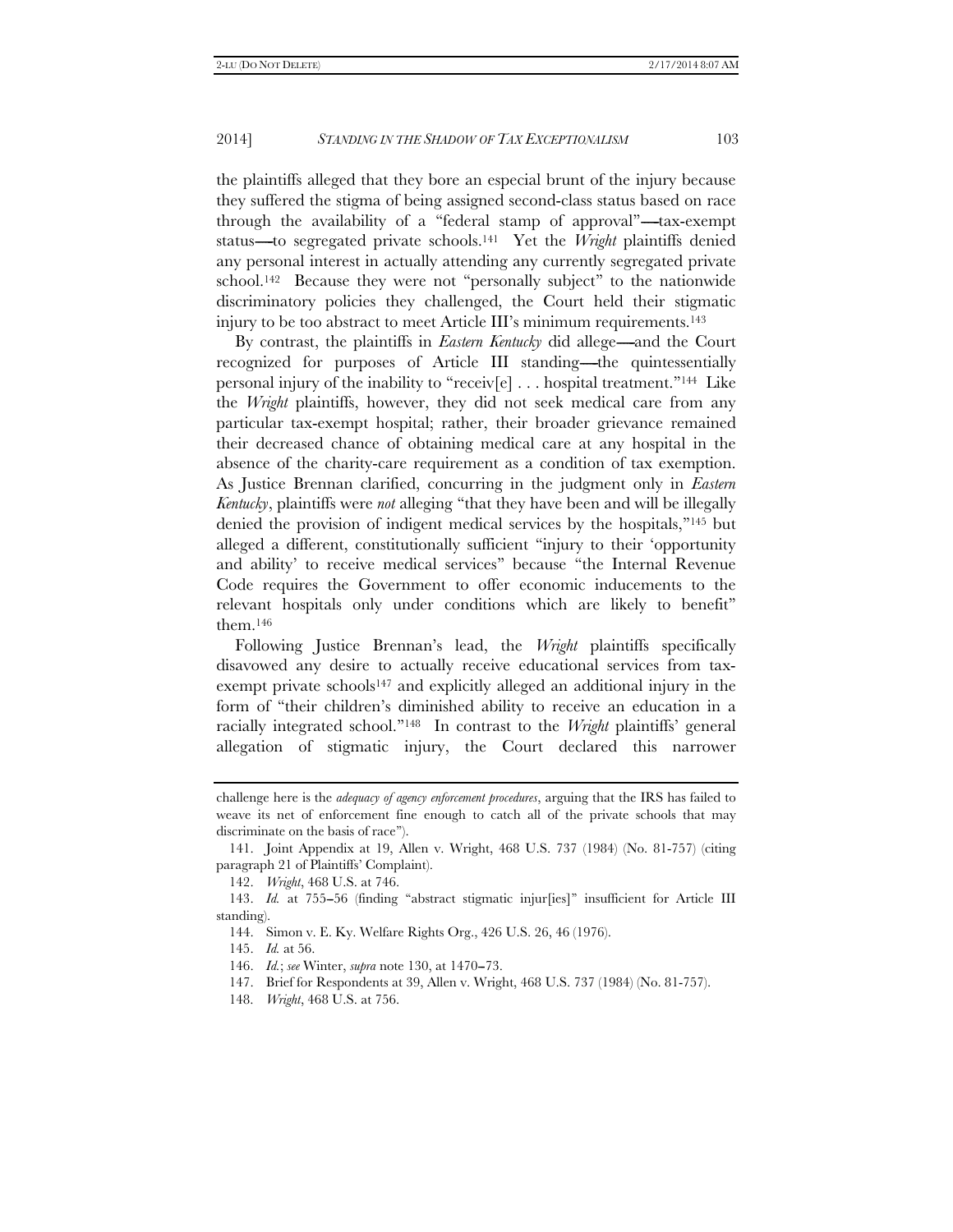the plaintiffs alleged that they bore an especial brunt of the injury because they suffered the stigma of being assigned second-class status based on race through the availability of a "federal stamp of approval"—tax-exempt status-to segregated private schools.<sup>141</sup> Yet the *Wright* plaintiffs denied any personal interest in actually attending any currently segregated private school.<sup>142</sup> Because they were not "personally subject" to the nationwide discriminatory policies they challenged, the Court held their stigmatic injury to be too abstract to meet Article III's minimum requirements.143

By contrast, the plaintiffs in *Eastern Kentucky* did allege—and the Court recognized for purposes of Article III standing—the quintessentially personal injury of the inability to "receiv[e] . . . hospital treatment."<sup>144</sup> Like the *Wright* plaintiffs, however, they did not seek medical care from any particular tax-exempt hospital; rather, their broader grievance remained their decreased chance of obtaining medical care at any hospital in the absence of the charity-care requirement as a condition of tax exemption. As Justice Brennan clarified, concurring in the judgment only in *Eastern Kentucky*, plaintiffs were *not* alleging ''that they have been and will be illegally denied the provision of indigent medical services by the hospitals,''145 but alleged a different, constitutionally sufficient ''injury to their 'opportunity and ability' to receive medical services'' because ''the Internal Revenue Code requires the Government to offer economic inducements to the relevant hospitals only under conditions which are likely to benefit'' them.146

Following Justice Brennan's lead, the *Wright* plaintiffs specifically disavowed any desire to actually receive educational services from taxexempt private schools<sup>147</sup> and explicitly alleged an additional injury in the form of ''their children's diminished ability to receive an education in a racially integrated school.''148 In contrast to the *Wright* plaintiffs' general allegation of stigmatic injury, the Court declared this narrower

challenge here is the *adequacy of agency enforcement procedures*, arguing that the IRS has failed to weave its net of enforcement fine enough to catch all of the private schools that may discriminate on the basis of race'').

 <sup>141.</sup> Joint Appendix at 19, Allen v. Wright, 468 U.S. 737 (1984) (No. 81-757) (citing paragraph 21 of Plaintiffs' Complaint).

 <sup>142.</sup> *Wright*, 468 U.S. at 746.

<sup>143.</sup> *Id.* at 755-56 (finding "abstract stigmatic injur[ies]" insufficient for Article III standing).

 <sup>144.</sup> Simon v. E. Ky. Welfare Rights Org., 426 U.S. 26, 46 (1976).

 <sup>145.</sup> *Id.* at 56.

<sup>146.</sup> *Id.*; *see* Winter, *supra* note 130, at 1470-73.

 <sup>147.</sup> Brief for Respondents at 39, Allen v. Wright, 468 U.S. 737 (1984) (No. 81-757).

 <sup>148.</sup> *Wright*, 468 U.S. at 756.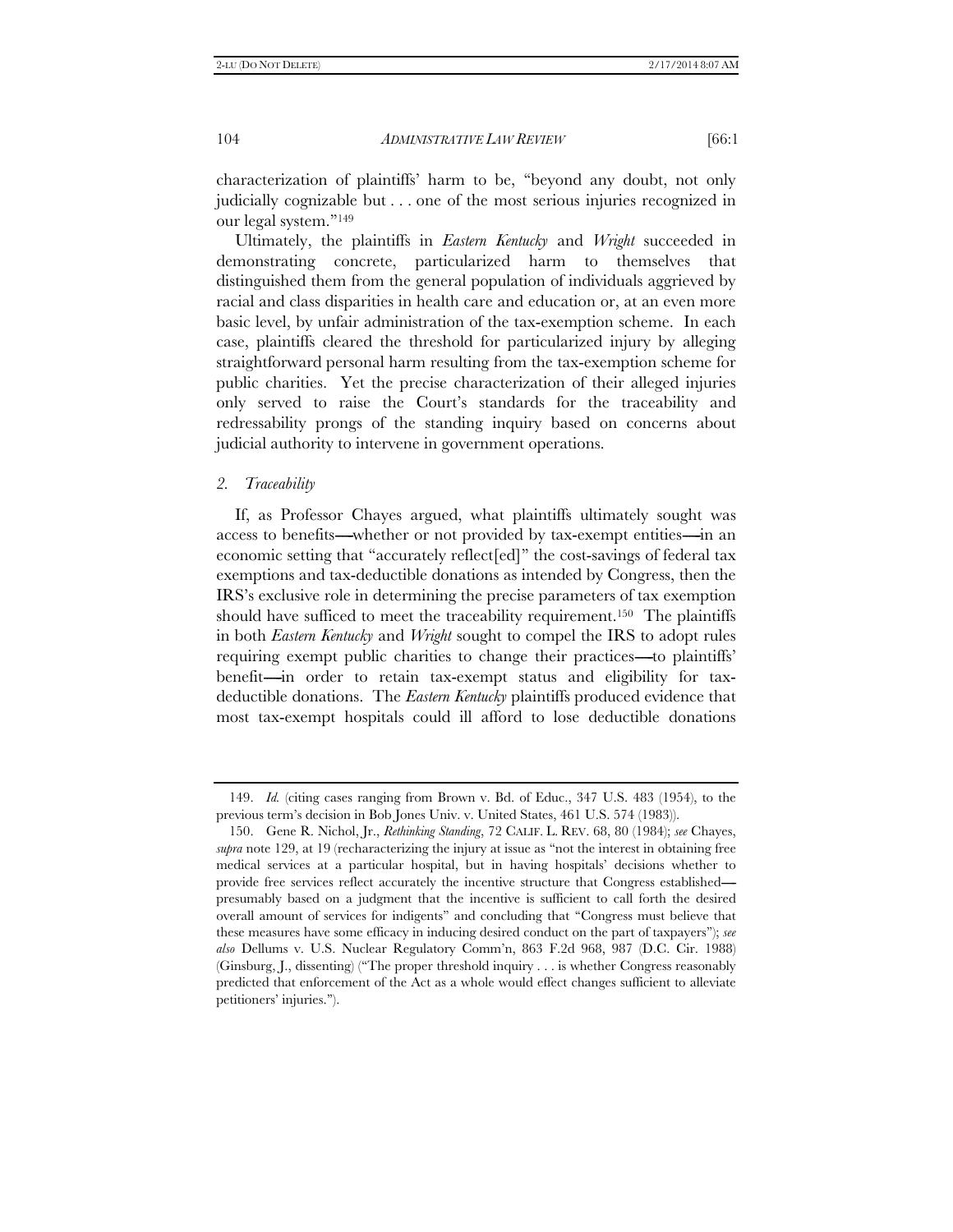characterization of plaintiffs' harm to be, ''beyond any doubt, not only judicially cognizable but . . . one of the most serious injuries recognized in our legal system.''149

Ultimately, the plaintiffs in *Eastern Kentucky* and *Wright* succeeded in demonstrating concrete, particularized harm to themselves that distinguished them from the general population of individuals aggrieved by racial and class disparities in health care and education or, at an even more basic level, by unfair administration of the tax-exemption scheme. In each case, plaintiffs cleared the threshold for particularized injury by alleging straightforward personal harm resulting from the tax-exemption scheme for public charities. Yet the precise characterization of their alleged injuries only served to raise the Court's standards for the traceability and redressability prongs of the standing inquiry based on concerns about judicial authority to intervene in government operations.

#### *2. Traceability*

If, as Professor Chayes argued, what plaintiffs ultimately sought was access to benefits—whether or not provided by tax-exempt entities—in an economic setting that ''accurately reflect[ed]'' the cost-savings of federal tax exemptions and tax-deductible donations as intended by Congress, then the IRS's exclusive role in determining the precise parameters of tax exemption should have sufficed to meet the traceability requirement.<sup>150</sup> The plaintiffs in both *Eastern Kentucky* and *Wright* sought to compel the IRS to adopt rules requiring exempt public charities to change their practices—to plaintiffs' benefit—in order to retain tax-exempt status and eligibility for taxdeductible donations. The *Eastern Kentucky* plaintiffs produced evidence that most tax-exempt hospitals could ill afford to lose deductible donations

 <sup>149.</sup> *Id.* (citing cases ranging from Brown v. Bd. of Educ., 347 U.S. 483 (1954), to the previous term's decision in Bob Jones Univ. v. United States, 461 U.S. 574 (1983)).

 <sup>150.</sup> Gene R. Nichol, Jr., *Rethinking Standing*, 72 CALIF. L. REV. 68, 80 (1984); *see* Chayes, *supra* note 129, at 19 (recharacterizing the injury at issue as ''not the interest in obtaining free medical services at a particular hospital, but in having hospitals' decisions whether to provide free services reflect accurately the incentive structure that Congress established----- presumably based on a judgment that the incentive is sufficient to call forth the desired overall amount of services for indigents'' and concluding that ''Congress must believe that these measures have some efficacy in inducing desired conduct on the part of taxpayers''); *see also* Dellums v. U.S. Nuclear Regulatory Comm'n, 863 F.2d 968, 987 (D.C. Cir. 1988) (Ginsburg, J., dissenting) (''The proper threshold inquiry . . . is whether Congress reasonably predicted that enforcement of the Act as a whole would effect changes sufficient to alleviate petitioners' injuries.'').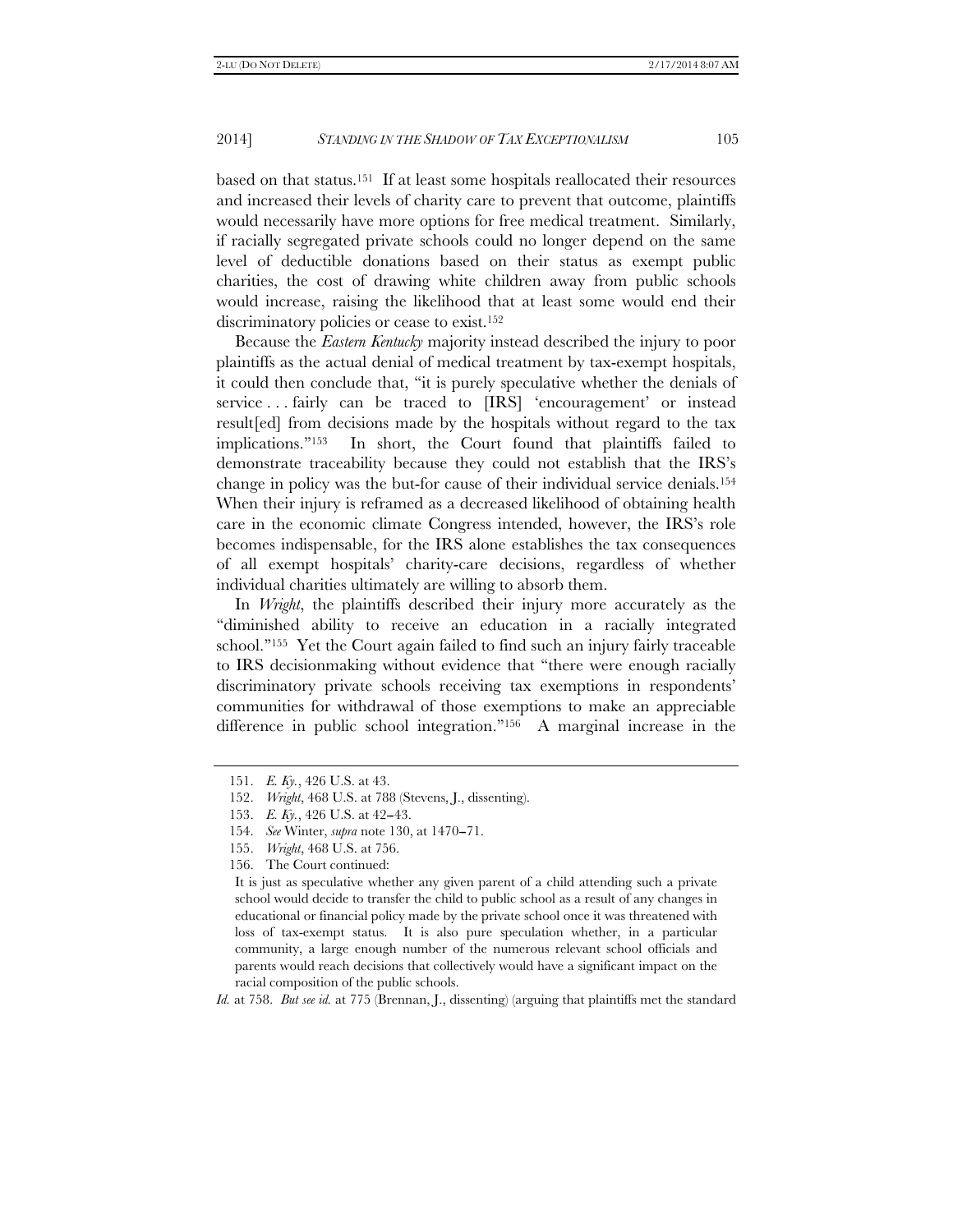based on that status.151 If at least some hospitals reallocated their resources and increased their levels of charity care to prevent that outcome, plaintiffs would necessarily have more options for free medical treatment. Similarly, if racially segregated private schools could no longer depend on the same level of deductible donations based on their status as exempt public charities, the cost of drawing white children away from public schools would increase, raising the likelihood that at least some would end their discriminatory policies or cease to exist.152

Because the *Eastern Kentucky* majority instead described the injury to poor plaintiffs as the actual denial of medical treatment by tax-exempt hospitals, it could then conclude that, ''it is purely speculative whether the denials of service . . . fairly can be traced to [IRS] 'encouragement' or instead result[ed] from decisions made by the hospitals without regard to the tax implications.''153 In short, the Court found that plaintiffs failed to demonstrate traceability because they could not establish that the IRS's change in policy was the but-for cause of their individual service denials.154 When their injury is reframed as a decreased likelihood of obtaining health care in the economic climate Congress intended, however, the IRS's role becomes indispensable, for the IRS alone establishes the tax consequences of all exempt hospitals' charity-care decisions, regardless of whether individual charities ultimately are willing to absorb them.

In *Wright*, the plaintiffs described their injury more accurately as the ''diminished ability to receive an education in a racially integrated school.''155 Yet the Court again failed to find such an injury fairly traceable to IRS decisionmaking without evidence that ''there were enough racially discriminatory private schools receiving tax exemptions in respondents' communities for withdrawal of those exemptions to make an appreciable difference in public school integration."<sup>156</sup> A marginal increase in the

*Id.* at 758. *But see id.* at 775 (Brennan, J., dissenting) (arguing that plaintiffs met the standard

 <sup>151.</sup> *E. Ky.*, 426 U.S. at 43.

 <sup>152.</sup> *Wright*, 468 U.S. at 788 (Stevens, J., dissenting).

<sup>153.</sup> *E. Ky.*, 426 U.S. at 42-43.

<sup>154.</sup> *See* Winter, *supra* note 130, at 1470-71.

 <sup>155.</sup> *Wright*, 468 U.S. at 756.

 <sup>156.</sup> The Court continued:

It is just as speculative whether any given parent of a child attending such a private school would decide to transfer the child to public school as a result of any changes in educational or financial policy made by the private school once it was threatened with loss of tax-exempt status. It is also pure speculation whether, in a particular community, a large enough number of the numerous relevant school officials and parents would reach decisions that collectively would have a significant impact on the racial composition of the public schools.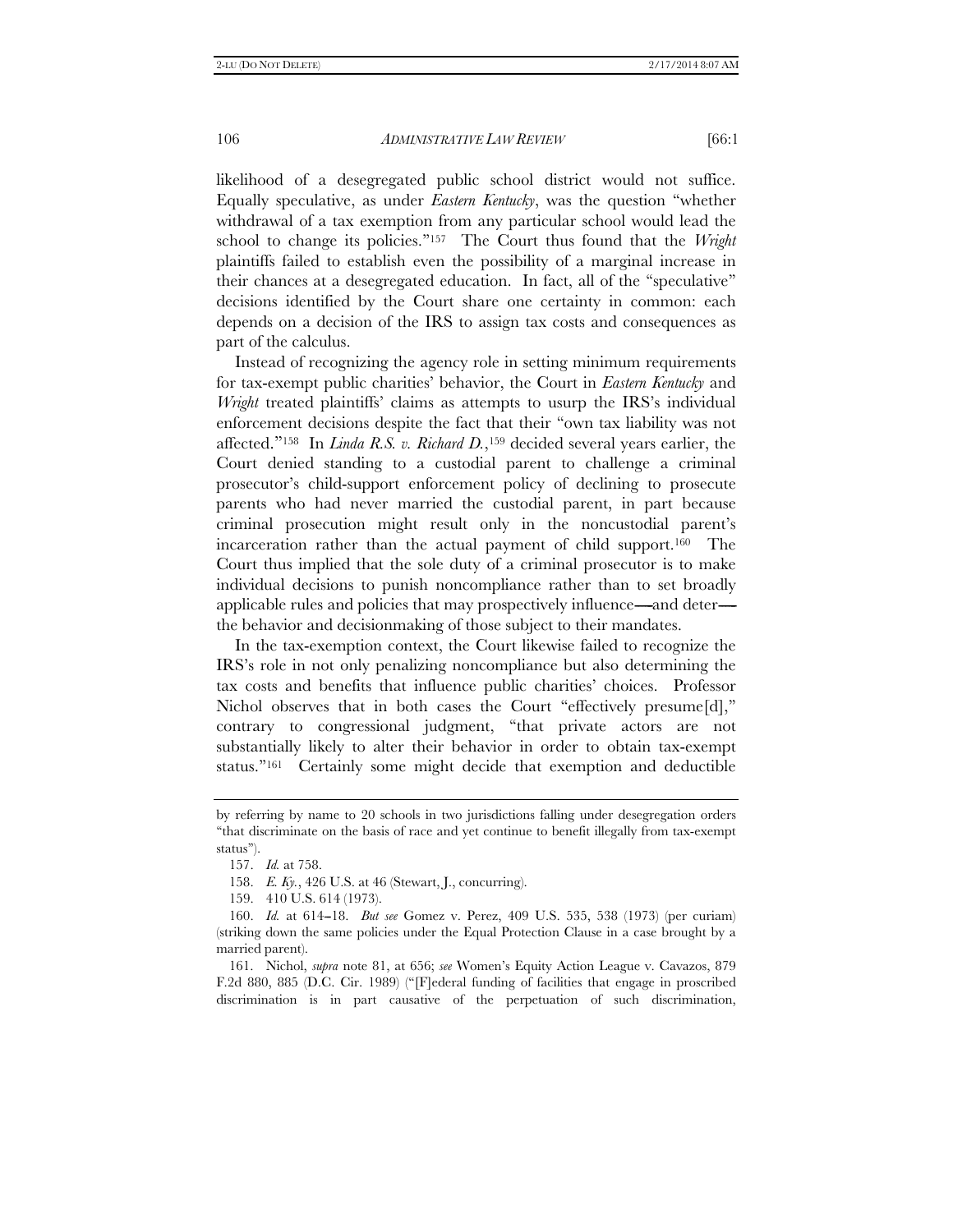likelihood of a desegregated public school district would not suffice. Equally speculative, as under *Eastern Kentucky*, was the question ''whether withdrawal of a tax exemption from any particular school would lead the school to change its policies.''157 The Court thus found that the *Wright* plaintiffs failed to establish even the possibility of a marginal increase in their chances at a desegregated education. In fact, all of the ''speculative'' decisions identified by the Court share one certainty in common: each depends on a decision of the IRS to assign tax costs and consequences as part of the calculus.

Instead of recognizing the agency role in setting minimum requirements for tax-exempt public charities' behavior, the Court in *Eastern Kentucky* and *Wright* treated plaintiffs' claims as attempts to usurp the IRS's individual enforcement decisions despite the fact that their ''own tax liability was not affected.''158 In *Linda R.S. v. Richard D.*,159 decided several years earlier, the Court denied standing to a custodial parent to challenge a criminal prosecutor's child-support enforcement policy of declining to prosecute parents who had never married the custodial parent, in part because criminal prosecution might result only in the noncustodial parent's incarceration rather than the actual payment of child support.160 The Court thus implied that the sole duty of a criminal prosecutor is to make individual decisions to punish noncompliance rather than to set broadly applicable rules and policies that may prospectively influence—and deter the behavior and decisionmaking of those subject to their mandates.

In the tax-exemption context, the Court likewise failed to recognize the IRS's role in not only penalizing noncompliance but also determining the tax costs and benefits that influence public charities' choices. Professor Nichol observes that in both cases the Court "effectively presume[d]," contrary to congressional judgment, ''that private actors are not substantially likely to alter their behavior in order to obtain tax-exempt status.''161 Certainly some might decide that exemption and deductible

 161. Nichol, *supra* note 81, at 656; *see* Women's Equity Action League v. Cavazos, 879 F.2d 880, 885 (D.C. Cir. 1989) (''[F]ederal funding of facilities that engage in proscribed discrimination is in part causative of the perpetuation of such discrimination,

by referring by name to 20 schools in two jurisdictions falling under desegregation orders ''that discriminate on the basis of race and yet continue to benefit illegally from tax-exempt status'').

 <sup>157.</sup> *Id.* at 758.

 <sup>158.</sup> *E. Ky.*, 426 U.S. at 46 (Stewart, J., concurring).

 <sup>159. 410</sup> U.S. 614 (1973).

 <sup>160.</sup> *Id.* at 614--18. *But see* Gomez v. Perez, 409 U.S. 535, 538 (1973) (per curiam) (striking down the same policies under the Equal Protection Clause in a case brought by a married parent).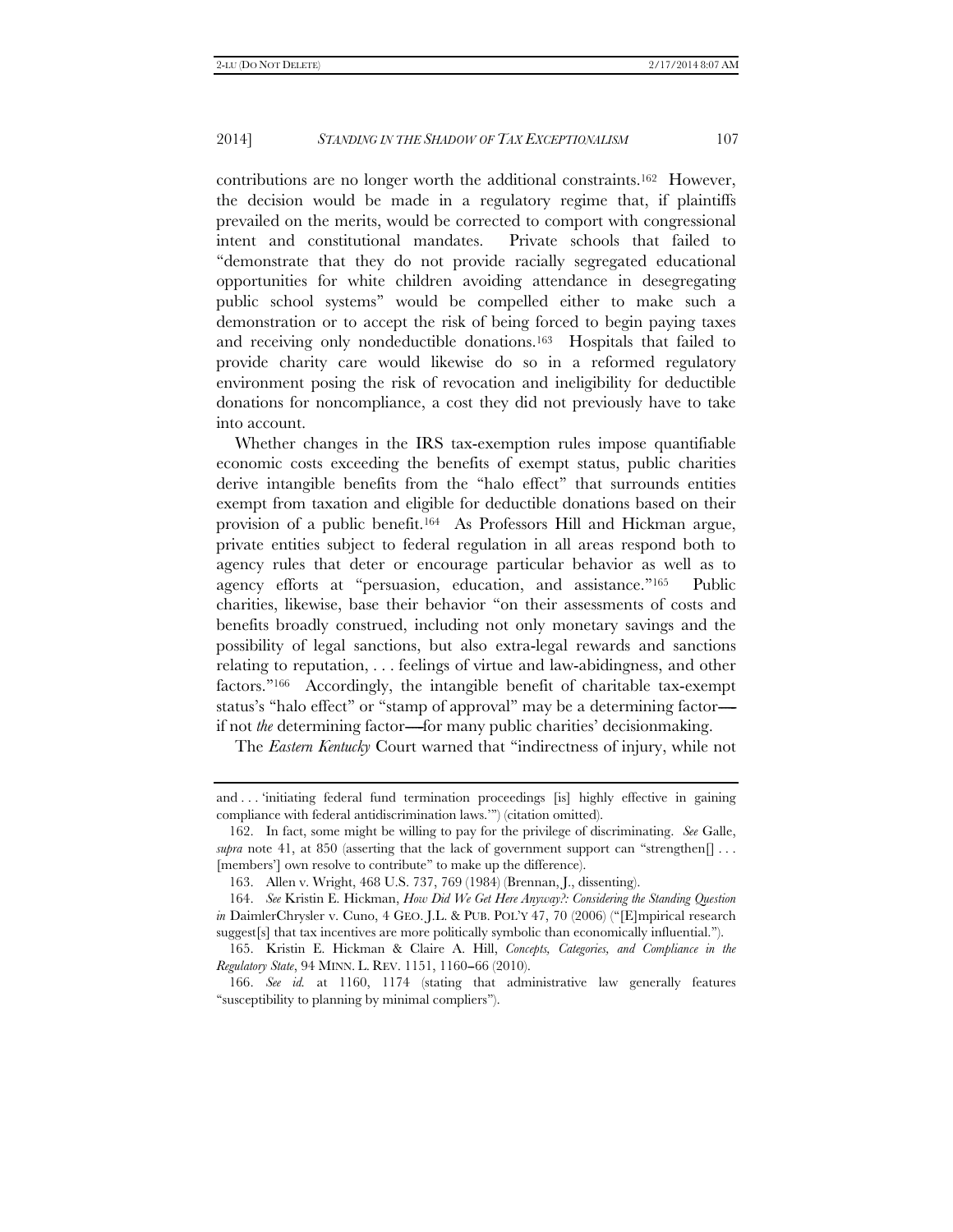contributions are no longer worth the additional constraints.162 However, the decision would be made in a regulatory regime that, if plaintiffs prevailed on the merits, would be corrected to comport with congressional intent and constitutional mandates. Private schools that failed to ''demonstrate that they do not provide racially segregated educational opportunities for white children avoiding attendance in desegregating public school systems'' would be compelled either to make such a demonstration or to accept the risk of being forced to begin paying taxes and receiving only nondeductible donations.163 Hospitals that failed to provide charity care would likewise do so in a reformed regulatory environment posing the risk of revocation and ineligibility for deductible donations for noncompliance, a cost they did not previously have to take into account.

Whether changes in the IRS tax-exemption rules impose quantifiable economic costs exceeding the benefits of exempt status, public charities derive intangible benefits from the ''halo effect'' that surrounds entities exempt from taxation and eligible for deductible donations based on their provision of a public benefit.164 As Professors Hill and Hickman argue, private entities subject to federal regulation in all areas respond both to agency rules that deter or encourage particular behavior as well as to agency efforts at ''persuasion, education, and assistance.''165 Public charities, likewise, base their behavior ''on their assessments of costs and benefits broadly construed, including not only monetary savings and the possibility of legal sanctions, but also extra-legal rewards and sanctions relating to reputation, . . . feelings of virtue and law-abidingness, and other factors.''166 Accordingly, the intangible benefit of charitable tax-exempt status's "halo effect" or "stamp of approval" may be a determining factorif not *the* determining factor—for many public charities' decisionmaking.

The *Eastern Kentucky* Court warned that ''indirectness of injury, while not

and . . . 'initiating federal fund termination proceedings [is] highly effective in gaining compliance with federal antidiscrimination laws.''') (citation omitted).

 <sup>162.</sup> In fact, some might be willing to pay for the privilege of discriminating. *See* Galle, *supra* note 41, at 850 (asserting that the lack of government support can "strengthen $[] \dots$ [members'] own resolve to contribute" to make up the difference).

 <sup>163.</sup> Allen v. Wright, 468 U.S. 737, 769 (1984) (Brennan, J., dissenting).

 <sup>164.</sup> *See* Kristin E. Hickman, *How Did We Get Here Anyway?: Considering the Standing Question in* DaimlerChrysler v. Cuno, 4 GEO. J.L. & PUB. POL'Y 47, 70 (2006) ("[E]mpirical research suggest[s] that tax incentives are more politically symbolic than economically influential.'').

 <sup>165.</sup> Kristin E. Hickman & Claire A. Hill, *Concepts, Categories, and Compliance in the Regulatory State*, 94 MINN. L. REV. 1151, 1160-66 (2010).

 <sup>166.</sup> *See id.* at 1160, 1174 (stating that administrative law generally features ''susceptibility to planning by minimal compliers'').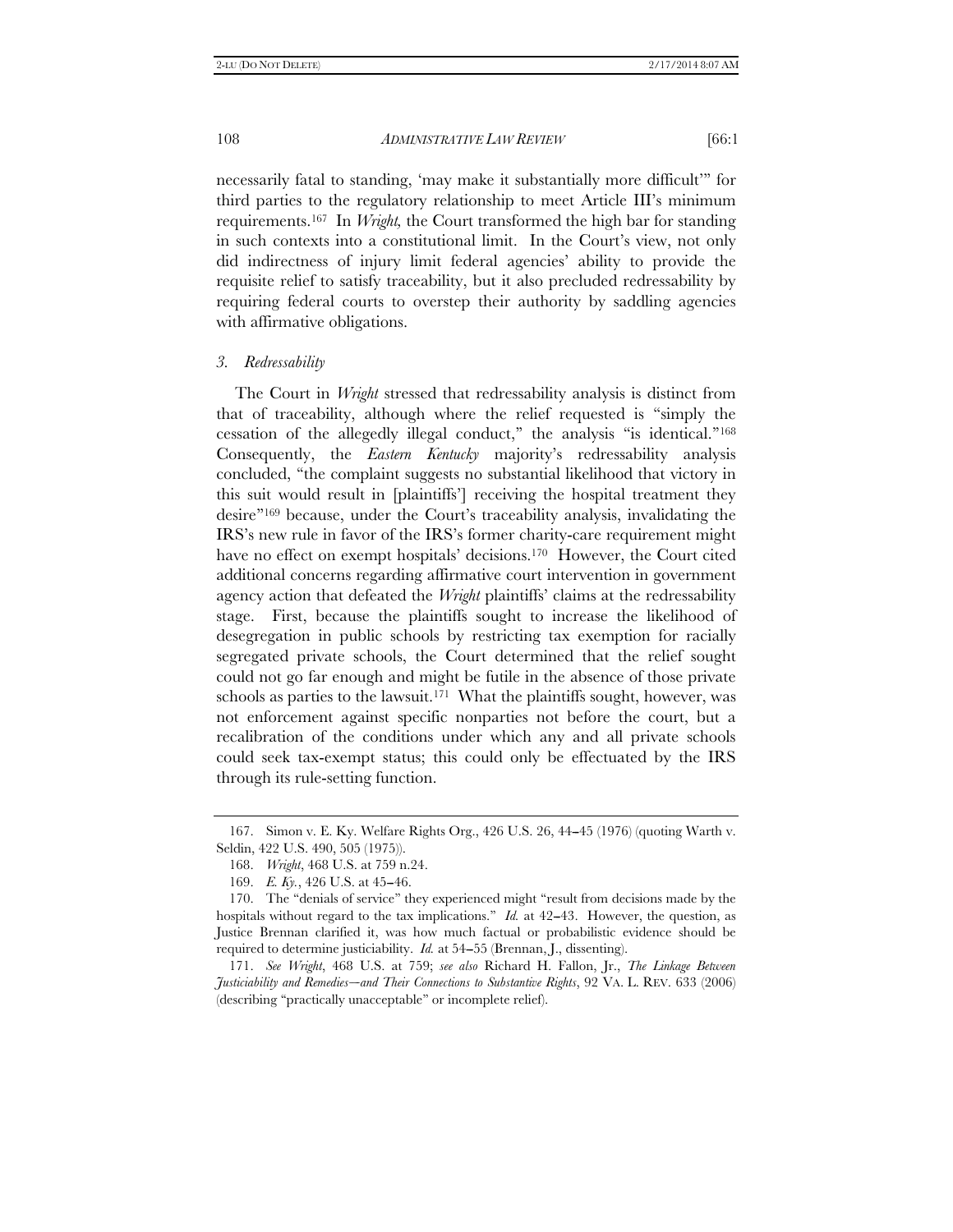necessarily fatal to standing, 'may make it substantially more difficult''' for third parties to the regulatory relationship to meet Article III's minimum requirements.167 In *Wright,* the Court transformed the high bar for standing in such contexts into a constitutional limit. In the Court's view, not only did indirectness of injury limit federal agencies' ability to provide the requisite relief to satisfy traceability, but it also precluded redressability by requiring federal courts to overstep their authority by saddling agencies with affirmative obligations.

#### *3. Redressability*

The Court in *Wright* stressed that redressability analysis is distinct from that of traceability, although where the relief requested is ''simply the cessation of the allegedly illegal conduct,'' the analysis ''is identical.''168 Consequently, the *Eastern Kentucky* majority's redressability analysis concluded, ''the complaint suggests no substantial likelihood that victory in this suit would result in [plaintiffs'] receiving the hospital treatment they desire''169 because, under the Court's traceability analysis, invalidating the IRS's new rule in favor of the IRS's former charity-care requirement might have no effect on exempt hospitals' decisions.<sup>170</sup> However, the Court cited additional concerns regarding affirmative court intervention in government agency action that defeated the *Wright* plaintiffs' claims at the redressability stage. First, because the plaintiffs sought to increase the likelihood of desegregation in public schools by restricting tax exemption for racially segregated private schools, the Court determined that the relief sought could not go far enough and might be futile in the absence of those private schools as parties to the lawsuit.<sup>171</sup> What the plaintiffs sought, however, was not enforcement against specific nonparties not before the court, but a recalibration of the conditions under which any and all private schools could seek tax-exempt status; this could only be effectuated by the IRS through its rule-setting function.

 <sup>167.</sup> Simon v. E. Ky. Welfare Rights Org., 426 U.S. 26, 44--45 (1976) (quoting Warth v. Seldin, 422 U.S. 490, 505 (1975)).

 <sup>168.</sup> *Wright*, 468 U.S. at 759 n.24.

<sup>169.</sup> *E. Ky.*, 426 U.S. at 45-46.

<sup>170.</sup> The "denials of service" they experienced might "result from decisions made by the hospitals without regard to the tax implications." *Id.* at 42–43. However, the question, as Justice Brennan clarified it, was how much factual or probabilistic evidence should be required to determine justiciability. *Id.* at 54-55 (Brennan, J., dissenting).

 <sup>171.</sup> *See Wright*, 468 U.S. at 759; *see also* Richard H. Fallon, Jr., *The Linkage Between*  Justiciability and Remedies-and Their Connections to Substantive Rights, 92 VA. L. REV. 633 (2006) (describing ''practically unacceptable'' or incomplete relief).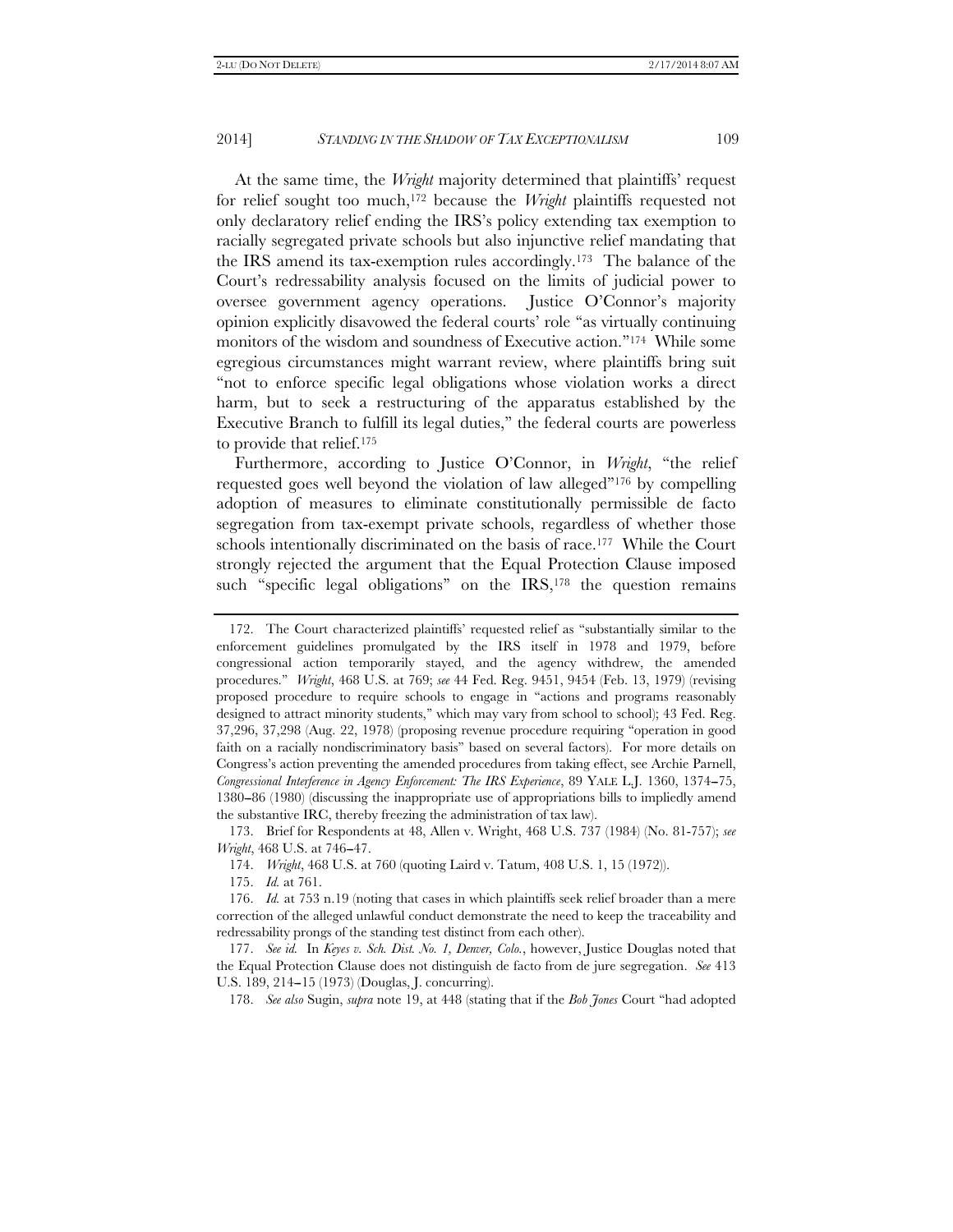At the same time, the *Wright* majority determined that plaintiffs' request for relief sought too much,172 because the *Wright* plaintiffs requested not only declaratory relief ending the IRS's policy extending tax exemption to racially segregated private schools but also injunctive relief mandating that the IRS amend its tax-exemption rules accordingly.173 The balance of the Court's redressability analysis focused on the limits of judicial power to oversee government agency operations. Justice O'Connor's majority opinion explicitly disavowed the federal courts' role ''as virtually continuing monitors of the wisdom and soundness of Executive action.''174 While some egregious circumstances might warrant review, where plaintiffs bring suit "not to enforce specific legal obligations whose violation works a direct harm, but to seek a restructuring of the apparatus established by the Executive Branch to fulfill its legal duties,'' the federal courts are powerless to provide that relief.175

Furthermore, according to Justice O'Connor, in *Wright*, ''the relief requested goes well beyond the violation of law alleged''176 by compelling adoption of measures to eliminate constitutionally permissible de facto segregation from tax-exempt private schools, regardless of whether those schools intentionally discriminated on the basis of race.<sup>177</sup> While the Court strongly rejected the argument that the Equal Protection Clause imposed such "specific legal obligations" on the IRS,<sup>178</sup> the question remains

 <sup>172.</sup> The Court characterized plaintiffs' requested relief as ''substantially similar to the enforcement guidelines promulgated by the IRS itself in 1978 and 1979, before congressional action temporarily stayed, and the agency withdrew, the amended procedures.'' *Wright*, 468 U.S. at 769; *see* 44 Fed. Reg. 9451, 9454 (Feb. 13, 1979) (revising proposed procedure to require schools to engage in ''actions and programs reasonably designed to attract minority students," which may vary from school to school); 43 Fed. Reg. 37,296, 37,298 (Aug. 22, 1978) (proposing revenue procedure requiring ''operation in good faith on a racially nondiscriminatory basis'' based on several factors). For more details on Congress's action preventing the amended procedures from taking effect, see Archie Parnell, *Congressional Interference in Agency Enforcement: The IRS Experience*, 89 YALE L.J. 1360, 1374--75, 1380-86 (1980) (discussing the inappropriate use of appropriations bills to impliedly amend the substantive IRC, thereby freezing the administration of tax law).

 <sup>173.</sup> Brief for Respondents at 48, Allen v. Wright, 468 U.S. 737 (1984) (No. 81-757); *see Wright*, 468 U.S. at 746-47.

 <sup>174.</sup> *Wright*, 468 U.S. at 760 (quoting Laird v. Tatum, 408 U.S. 1, 15 (1972)).

 <sup>175.</sup> *Id.* at 761.

 <sup>176.</sup> *Id.* at 753 n.19 (noting that cases in which plaintiffs seek relief broader than a mere correction of the alleged unlawful conduct demonstrate the need to keep the traceability and redressability prongs of the standing test distinct from each other).

 <sup>177.</sup> *See id.* In *Keyes v. Sch. Dist. No. 1, Denver, Colo.*, however, Justice Douglas noted that the Equal Protection Clause does not distinguish de facto from de jure segregation. *See* 413 U.S. 189, 214--15 (1973) (Douglas, J. concurring).

 <sup>178.</sup> *See also* Sugin, *supra* note 19, at 448 (stating that if the *Bob Jones* Court ''had adopted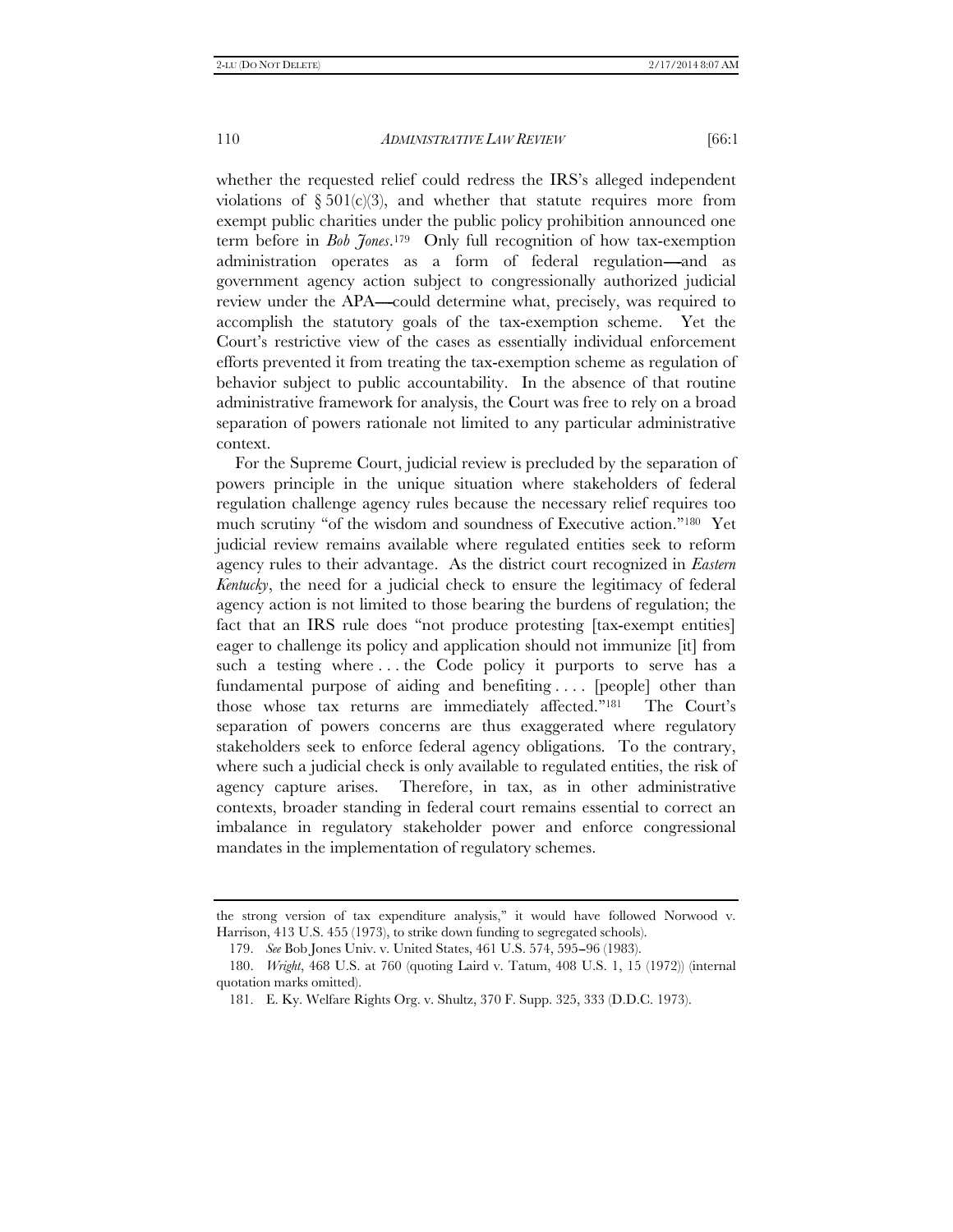whether the requested relief could redress the IRS's alleged independent violations of  $\S 501(c)(3)$ , and whether that statute requires more from exempt public charities under the public policy prohibition announced one term before in *Bob Jones*.179 Only full recognition of how tax-exemption administration operates as a form of federal regulation—and as government agency action subject to congressionally authorized judicial review under the APA—could determine what, precisely, was required to accomplish the statutory goals of the tax-exemption scheme. Yet the Court's restrictive view of the cases as essentially individual enforcement efforts prevented it from treating the tax-exemption scheme as regulation of behavior subject to public accountability. In the absence of that routine administrative framework for analysis, the Court was free to rely on a broad separation of powers rationale not limited to any particular administrative context.

For the Supreme Court, judicial review is precluded by the separation of powers principle in the unique situation where stakeholders of federal regulation challenge agency rules because the necessary relief requires too much scrutiny ''of the wisdom and soundness of Executive action.''180 Yet judicial review remains available where regulated entities seek to reform agency rules to their advantage. As the district court recognized in *Eastern Kentucky*, the need for a judicial check to ensure the legitimacy of federal agency action is not limited to those bearing the burdens of regulation; the fact that an IRS rule does "not produce protesting [tax-exempt entities] eager to challenge its policy and application should not immunize [it] from such a testing where . . . the Code policy it purports to serve has a fundamental purpose of aiding and benefiting .... [people] other than those whose tax returns are immediately affected.''181 The Court's separation of powers concerns are thus exaggerated where regulatory stakeholders seek to enforce federal agency obligations. To the contrary, where such a judicial check is only available to regulated entities, the risk of agency capture arises. Therefore, in tax, as in other administrative contexts, broader standing in federal court remains essential to correct an imbalance in regulatory stakeholder power and enforce congressional mandates in the implementation of regulatory schemes.

the strong version of tax expenditure analysis,'' it would have followed Norwood v. Harrison, 413 U.S. 455 (1973), to strike down funding to segregated schools).

 <sup>179.</sup> *See* Bob Jones Univ. v. United States, 461 U.S. 574, 595--96 (1983).

 <sup>180.</sup> *Wright*, 468 U.S. at 760 (quoting Laird v. Tatum, 408 U.S. 1, 15 (1972)) (internal quotation marks omitted).

 <sup>181.</sup> E. Ky. Welfare Rights Org. v. Shultz, 370 F. Supp. 325, 333 (D.D.C. 1973).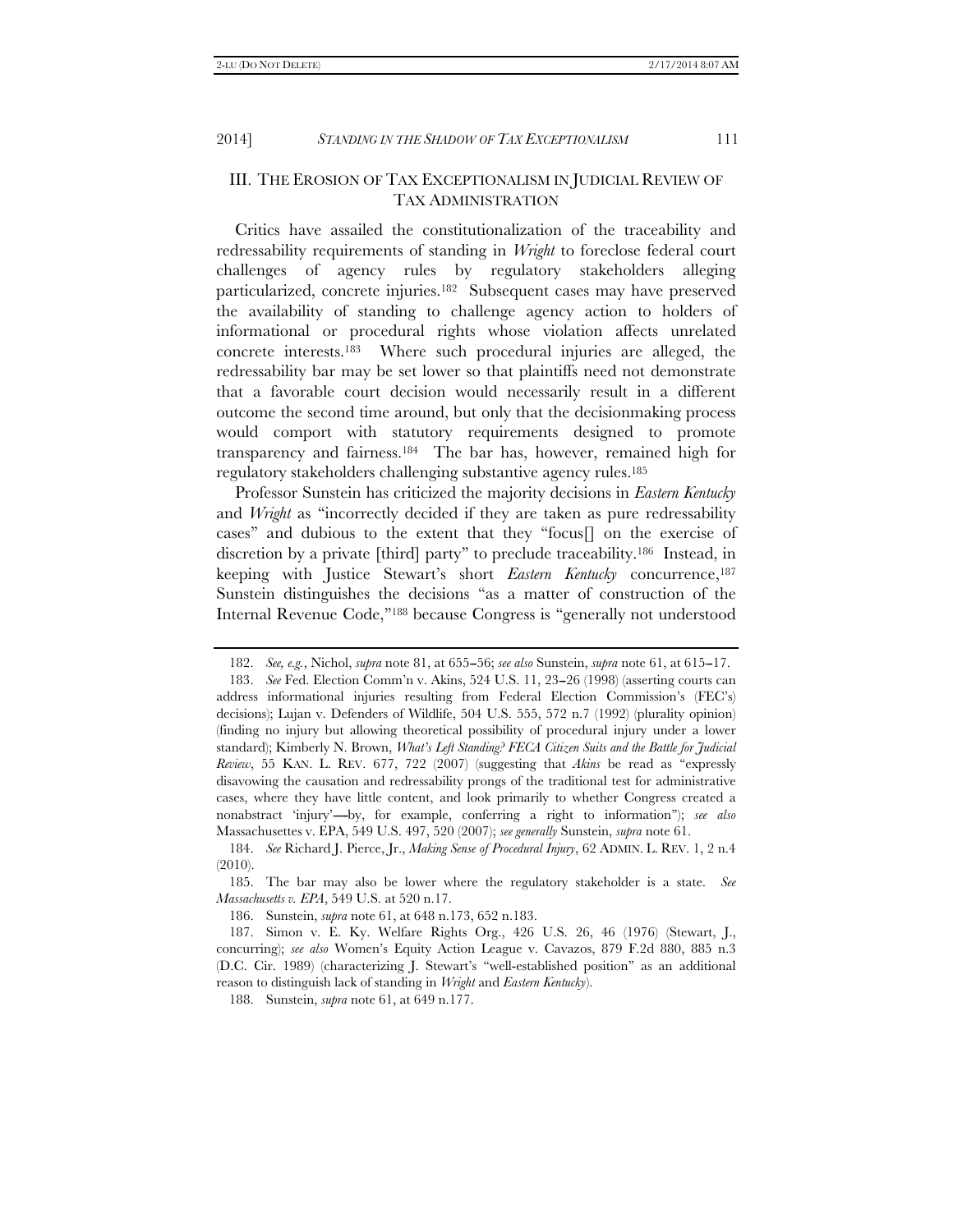III. THE EROSION OF TAX EXCEPTIONALISM IN JUDICIAL REVIEW OF TAX ADMINISTRATION

Critics have assailed the constitutionalization of the traceability and redressability requirements of standing in *Wright* to foreclose federal court challenges of agency rules by regulatory stakeholders alleging particularized, concrete injuries.182 Subsequent cases may have preserved the availability of standing to challenge agency action to holders of informational or procedural rights whose violation affects unrelated concrete interests.183 Where such procedural injuries are alleged, the redressability bar may be set lower so that plaintiffs need not demonstrate that a favorable court decision would necessarily result in a different outcome the second time around, but only that the decisionmaking process would comport with statutory requirements designed to promote transparency and fairness.184 The bar has, however, remained high for regulatory stakeholders challenging substantive agency rules.185

Professor Sunstein has criticized the majority decisions in *Eastern Kentucky* and *Wright* as ''incorrectly decided if they are taken as pure redressability cases'' and dubious to the extent that they ''focus[] on the exercise of discretion by a private [third] party'' to preclude traceability.186 Instead, in keeping with Justice Stewart's short *Eastern Kentucky* concurrence,187 Sunstein distinguishes the decisions ''as a matter of construction of the Internal Revenue Code,''188 because Congress is ''generally not understood

186. Sunstein, *supra* note 61, at 648 n.173, 652 n.183.

188. Sunstein, *supra* note 61, at 649 n.177.

 <sup>182.</sup> *See, e.g.*, Nichol, *supra* note 81, at 655--56; *see also* Sunstein, *supra* note 61, at 615--17.

<sup>183.</sup> *See* Fed. Election Comm'n v. Akins, 524 U.S. 11, 23–26 (1998) (asserting courts can address informational injuries resulting from Federal Election Commission's (FEC's) decisions); Lujan v. Defenders of Wildlife, 504 U.S. 555, 572 n.7 (1992) (plurality opinion) (finding no injury but allowing theoretical possibility of procedural injury under a lower standard); Kimberly N. Brown, *What's Left Standing? FECA Citizen Suits and the Battle for Judicial Review*, 55 KAN. L. REV. 677, 722 (2007) (suggesting that *Akins* be read as "expressly disavowing the causation and redressability prongs of the traditional test for administrative cases, where they have little content, and look primarily to whether Congress created a nonabstract 'injury'—by, for example, conferring a right to information"); *see also* Massachusettes v. EPA, 549 U.S. 497, 520 (2007); *see generally* Sunstein, *supra* note 61.

 <sup>184.</sup> *See* Richard J. Pierce, Jr., *Making Sense of Procedural Injury*, 62 ADMIN. L. REV. 1, 2 n.4 (2010).

 <sup>185.</sup> The bar may also be lower where the regulatory stakeholder is a state. *See Massachusetts v. EPA*, 549 U.S. at 520 n.17.

 <sup>187.</sup> Simon v. E. Ky. Welfare Rights Org., 426 U.S. 26, 46 (1976) (Stewart, J., concurring); *see also* Women's Equity Action League v. Cavazos, 879 F.2d 880, 885 n.3 (D.C. Cir. 1989) (characterizing J. Stewart's ''well-established position'' as an additional reason to distinguish lack of standing in *Wright* and *Eastern Kentucky*).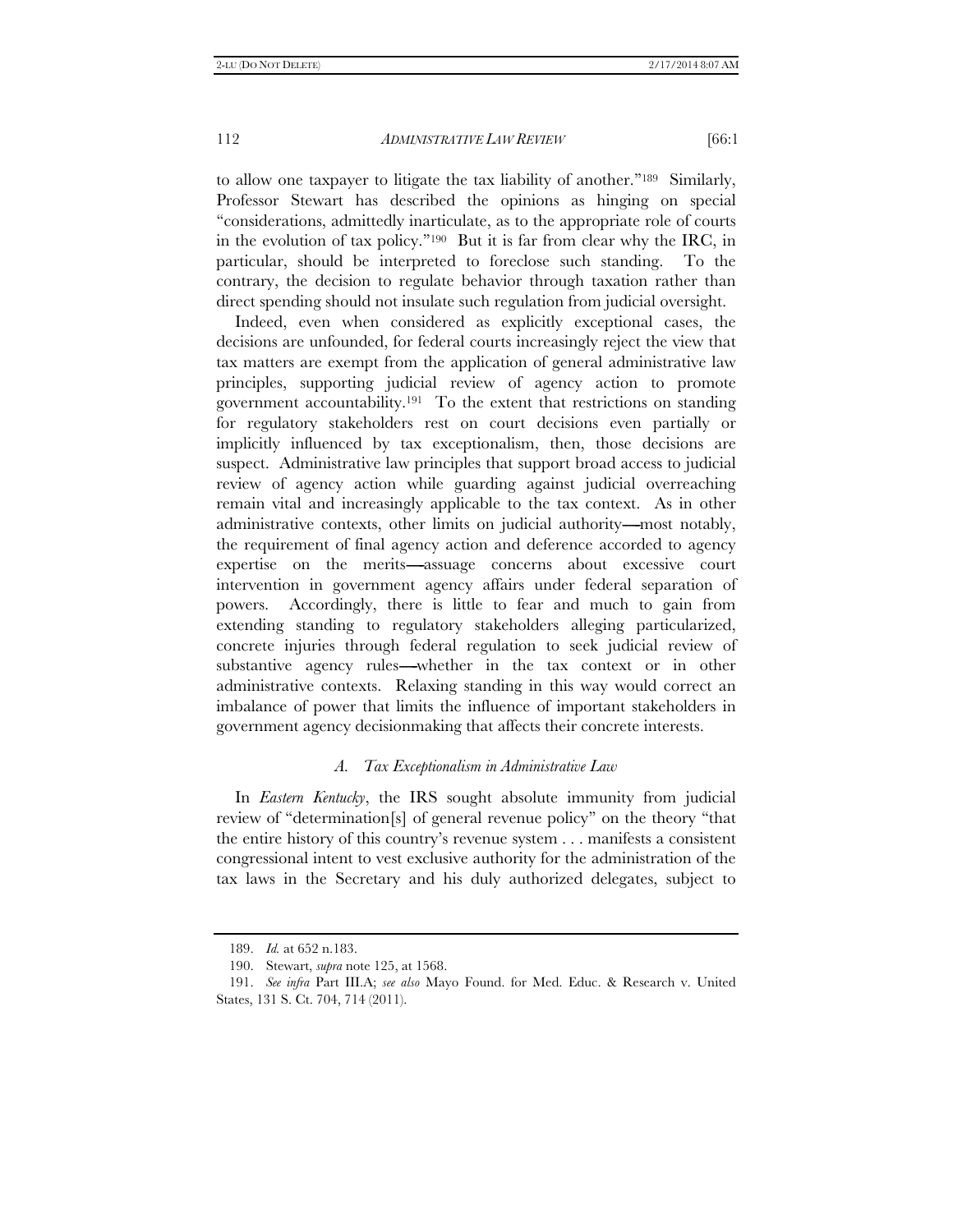to allow one taxpayer to litigate the tax liability of another.''189 Similarly, Professor Stewart has described the opinions as hinging on special ''considerations, admittedly inarticulate, as to the appropriate role of courts in the evolution of tax policy.''190 But it is far from clear why the IRC, in particular, should be interpreted to foreclose such standing. To the contrary, the decision to regulate behavior through taxation rather than direct spending should not insulate such regulation from judicial oversight.

Indeed, even when considered as explicitly exceptional cases, the decisions are unfounded, for federal courts increasingly reject the view that tax matters are exempt from the application of general administrative law principles, supporting judicial review of agency action to promote government accountability.191 To the extent that restrictions on standing for regulatory stakeholders rest on court decisions even partially or implicitly influenced by tax exceptionalism, then, those decisions are suspect. Administrative law principles that support broad access to judicial review of agency action while guarding against judicial overreaching remain vital and increasingly applicable to the tax context. As in other administrative contexts, other limits on judicial authority—most notably, the requirement of final agency action and deference accorded to agency expertise on the merits---assuage concerns about excessive court intervention in government agency affairs under federal separation of powers. Accordingly, there is little to fear and much to gain from extending standing to regulatory stakeholders alleging particularized, concrete injuries through federal regulation to seek judicial review of substantive agency rules—whether in the tax context or in other administrative contexts. Relaxing standing in this way would correct an imbalance of power that limits the influence of important stakeholders in government agency decisionmaking that affects their concrete interests.

#### *A. Tax Exceptionalism in Administrative Law*

In *Eastern Kentucky*, the IRS sought absolute immunity from judicial review of ''determination[s] of general revenue policy'' on the theory ''that the entire history of this country's revenue system . . . manifests a consistent congressional intent to vest exclusive authority for the administration of the tax laws in the Secretary and his duly authorized delegates, subject to

 <sup>189.</sup> *Id.* at 652 n.183.

 <sup>190.</sup> Stewart, *supra* note 125, at 1568.

 <sup>191.</sup> *See infra* Part III.A; *see also* Mayo Found. for Med. Educ. & Research v. United States, 131 S. Ct. 704, 714 (2011).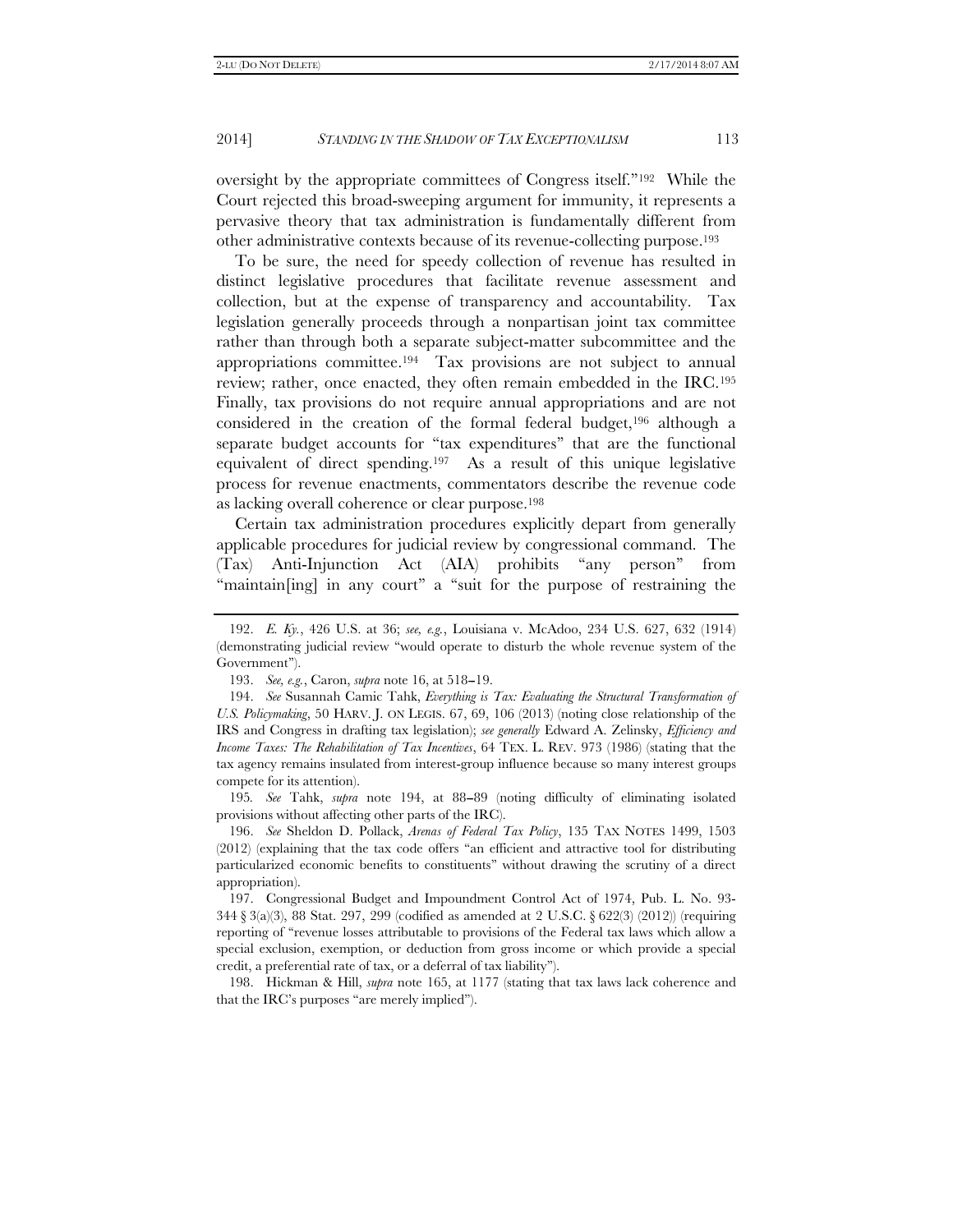oversight by the appropriate committees of Congress itself.''192 While the Court rejected this broad-sweeping argument for immunity, it represents a pervasive theory that tax administration is fundamentally different from other administrative contexts because of its revenue-collecting purpose.193

To be sure, the need for speedy collection of revenue has resulted in distinct legislative procedures that facilitate revenue assessment and collection, but at the expense of transparency and accountability. Tax legislation generally proceeds through a nonpartisan joint tax committee rather than through both a separate subject-matter subcommittee and the appropriations committee.194 Tax provisions are not subject to annual review; rather, once enacted, they often remain embedded in the IRC.195 Finally, tax provisions do not require annual appropriations and are not considered in the creation of the formal federal budget,196 although a separate budget accounts for "tax expenditures" that are the functional equivalent of direct spending.197 As a result of this unique legislative process for revenue enactments, commentators describe the revenue code as lacking overall coherence or clear purpose.198

Certain tax administration procedures explicitly depart from generally applicable procedures for judicial review by congressional command. The (Tax) Anti-Injunction Act (AIA) prohibits ''any person'' from "maintain[ing] in any court" a "suit for the purpose of restraining the

195*. See* Tahk, *supra* note 194, at 88--89 (noting difficulty of eliminating isolated provisions without affecting other parts of the IRC).

 196. *See* Sheldon D. Pollack, *Arenas of Federal Tax Policy*, 135 TAX NOTES 1499, 1503 (2012) (explaining that the tax code offers ''an efficient and attractive tool for distributing particularized economic benefits to constituents'' without drawing the scrutiny of a direct appropriation).

 198. Hickman & Hill, *supra* note 165, at 1177 (stating that tax laws lack coherence and that the IRC's purposes "are merely implied").

 <sup>192.</sup> *E. Ky.*, 426 U.S. at 36; *see, e.g.*, Louisiana v. McAdoo, 234 U.S. 627, 632 (1914) (demonstrating judicial review ''would operate to disturb the whole revenue system of the Government'').

 <sup>193.</sup> *See, e.g.*, Caron, *supra* note 16, at 518--19.

 <sup>194.</sup> *See* Susannah Camic Tahk, *Everything is Tax: Evaluating the Structural Transformation of U.S. Policymaking*, 50 HARV. J. ON LEGIS. 67, 69, 106 (2013) (noting close relationship of the IRS and Congress in drafting tax legislation); *see generally* Edward A. Zelinsky, *Efficiency and Income Taxes: The Rehabilitation of Tax Incentives*, 64 TEX. L. REV. 973 (1986) (stating that the tax agency remains insulated from interest-group influence because so many interest groups compete for its attention).

 <sup>197.</sup> Congressional Budget and Impoundment Control Act of 1974, Pub. L. No. 93- 344 § 3(a)(3), 88 Stat. 297, 299 (codified as amended at 2 U.S.C. § 622(3) (2012)) (requiring reporting of ''revenue losses attributable to provisions of the Federal tax laws which allow a special exclusion, exemption, or deduction from gross income or which provide a special credit, a preferential rate of tax, or a deferral of tax liability'').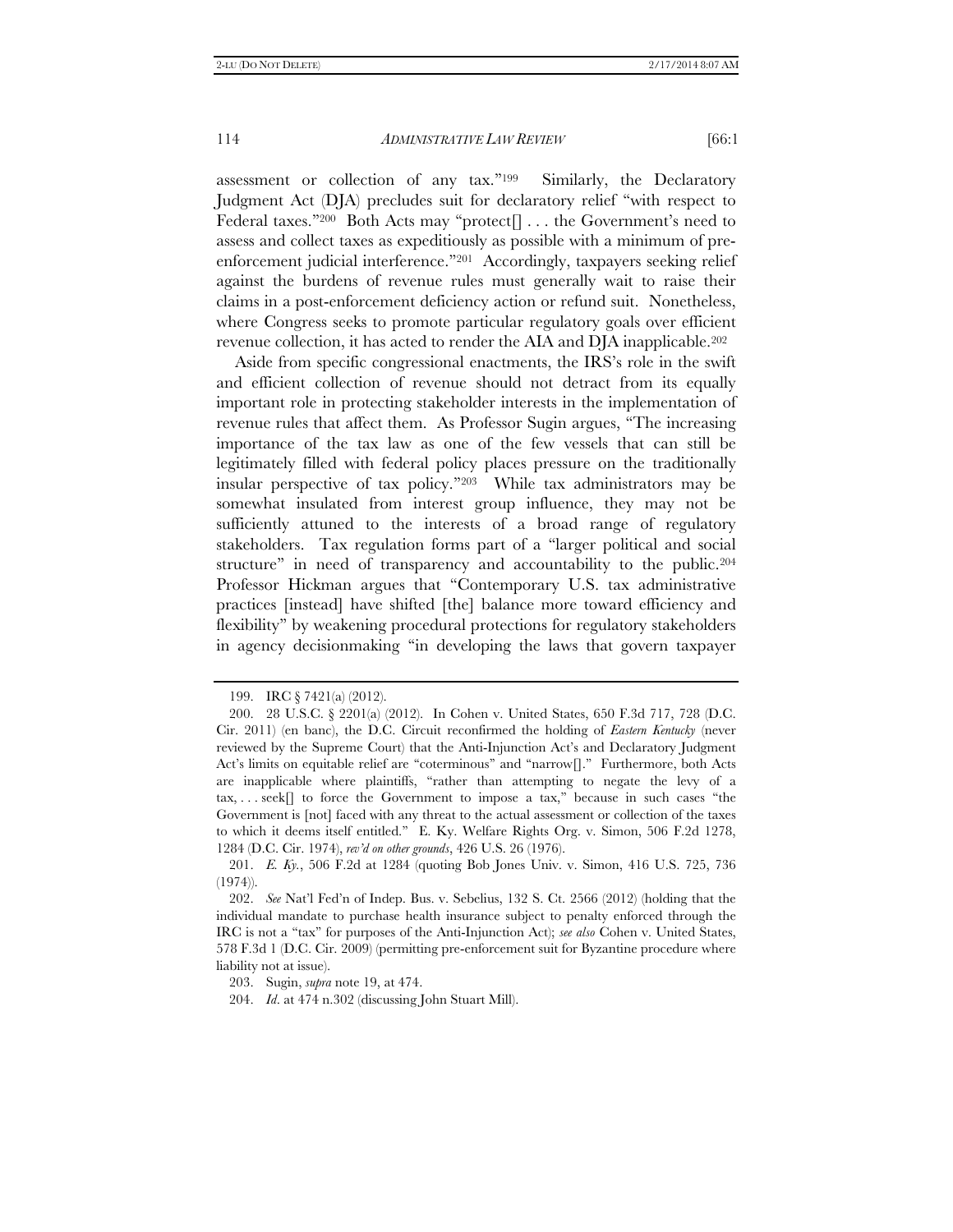assessment or collection of any tax.''199 Similarly, the Declaratory Judgment Act (DJA) precludes suit for declaratory relief ''with respect to Federal taxes."<sup>200</sup> Both Acts may "protect<sup>[]</sup> . . . the Government's need to assess and collect taxes as expeditiously as possible with a minimum of preenforcement judicial interference."<sup>201</sup> Accordingly, taxpayers seeking relief against the burdens of revenue rules must generally wait to raise their claims in a post-enforcement deficiency action or refund suit. Nonetheless, where Congress seeks to promote particular regulatory goals over efficient revenue collection, it has acted to render the AIA and DJA inapplicable.202

Aside from specific congressional enactments, the IRS's role in the swift and efficient collection of revenue should not detract from its equally important role in protecting stakeholder interests in the implementation of revenue rules that affect them. As Professor Sugin argues, ''The increasing importance of the tax law as one of the few vessels that can still be legitimately filled with federal policy places pressure on the traditionally insular perspective of tax policy.''203 While tax administrators may be somewhat insulated from interest group influence, they may not be sufficiently attuned to the interests of a broad range of regulatory stakeholders. Tax regulation forms part of a ''larger political and social structure'' in need of transparency and accountability to the public.204 Professor Hickman argues that ''Contemporary U.S. tax administrative practices [instead] have shifted [the] balance more toward efficiency and flexibility'' by weakening procedural protections for regulatory stakeholders in agency decisionmaking ''in developing the laws that govern taxpayer

 <sup>199.</sup> IRC § 7421(a) (2012).

 <sup>200. 28</sup> U.S.C. § 2201(a) (2012). In Cohen v. United States, 650 F.3d 717, 728 (D.C. Cir. 2011) (en banc), the D.C. Circuit reconfirmed the holding of *Eastern Kentucky* (never reviewed by the Supreme Court) that the Anti-Injunction Act's and Declaratory Judgment Act's limits on equitable relief are "coterminous" and "narrow<sup>[]</sup>." Furthermore, both Acts are inapplicable where plaintiffs, ''rather than attempting to negate the levy of a tax, ... seek[] to force the Government to impose a tax," because in such cases "the Government is [not] faced with any threat to the actual assessment or collection of the taxes to which it deems itself entitled.'' E. Ky. Welfare Rights Org. v. Simon, 506 F.2d 1278, 1284 (D.C. Cir. 1974), *rev'd on other grounds*, 426 U.S. 26 (1976).

 <sup>201.</sup> *E. Ky.*, 506 F.2d at 1284 (quoting Bob Jones Univ. v. Simon, 416 U.S. 725, 736  $(1974)$ .

 <sup>202.</sup> *See* Nat'l Fed'n of Indep. Bus. v. Sebelius, 132 S. Ct. 2566 (2012) (holding that the individual mandate to purchase health insurance subject to penalty enforced through the IRC is not a ''tax'' for purposes of the Anti-Injunction Act); *see also* Cohen v. United States, 578 F.3d 1 (D.C. Cir. 2009) (permitting pre-enforcement suit for Byzantine procedure where liability not at issue).

 <sup>203.</sup> Sugin, *supra* note 19, at 474.

 <sup>204.</sup> *Id*. at 474 n.302 (discussing John Stuart Mill).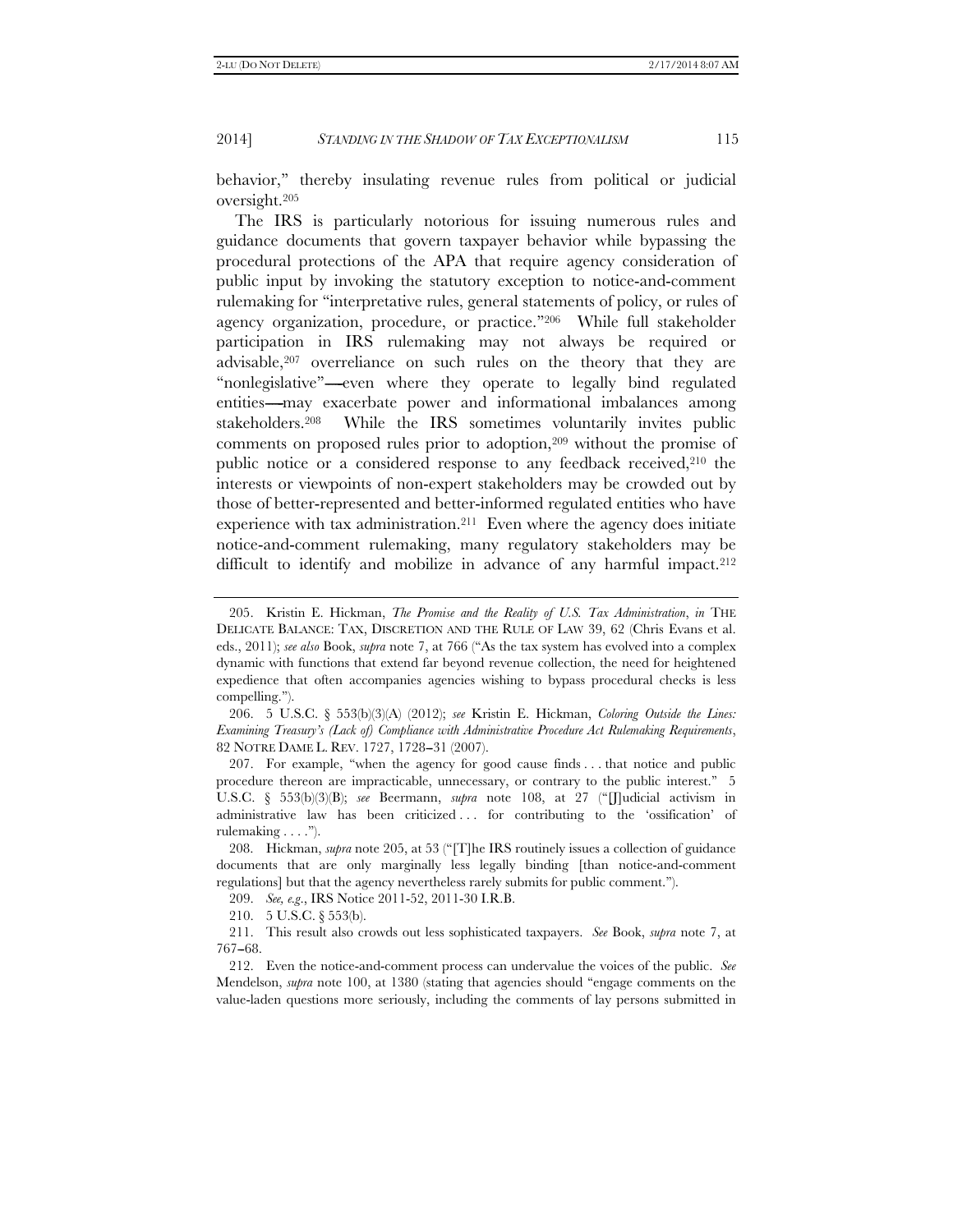behavior,'' thereby insulating revenue rules from political or judicial oversight.205

The IRS is particularly notorious for issuing numerous rules and guidance documents that govern taxpayer behavior while bypassing the procedural protections of the APA that require agency consideration of public input by invoking the statutory exception to notice-and-comment rulemaking for ''interpretative rules, general statements of policy, or rules of agency organization, procedure, or practice.''206 While full stakeholder participation in IRS rulemaking may not always be required or advisable,207 overreliance on such rules on the theory that they are "nonlegislative"----even where they operate to legally bind regulated entities---may exacerbate power and informational imbalances among stakeholders.208 While the IRS sometimes voluntarily invites public comments on proposed rules prior to adoption,209 without the promise of public notice or a considered response to any feedback received,210 the interests or viewpoints of non-expert stakeholders may be crowded out by those of better-represented and better-informed regulated entities who have experience with tax administration.211 Even where the agency does initiate notice-and-comment rulemaking, many regulatory stakeholders may be difficult to identify and mobilize in advance of any harmful impact.<sup>212</sup>

210. 5 U.S.C. § 553(b).

 <sup>205.</sup> Kristin E. Hickman, *The Promise and the Reality of U.S. Tax Administration*, *in* THE DELICATE BALANCE: TAX, DISCRETION AND THE RULE OF LAW 39, 62 (Chris Evans et al. eds., 2011); *see also* Book, *supra* note 7, at 766 (''As the tax system has evolved into a complex dynamic with functions that extend far beyond revenue collection, the need for heightened expedience that often accompanies agencies wishing to bypass procedural checks is less compelling.'').

 <sup>206. 5</sup> U.S.C. § 553(b)(3)(A) (2012); *see* Kristin E. Hickman, *Coloring Outside the Lines: Examining Treasury's (Lack of) Compliance with Administrative Procedure Act Rulemaking Requirements*, 82 NOTRE DAME L. REV. 1727, 1728-31 (2007).

 <sup>207.</sup> For example, ''when the agency for good cause finds . . . that notice and public procedure thereon are impracticable, unnecessary, or contrary to the public interest.'' 5 U.S.C. § 553(b)(3)(B); *see* Beermann, *supra* note 108, at 27 (''[J]udicial activism in administrative law has been criticized . . . for contributing to the 'ossification' of rulemaking . . . .'').

 <sup>208.</sup> Hickman, *supra* note 205, at 53 (''[T]he IRS routinely issues a collection of guidance documents that are only marginally less legally binding [than notice-and-comment regulations] but that the agency nevertheless rarely submits for public comment.'').

<sup>209.</sup> *See, e.g*., IRS Notice 2011-52, 2011-30 I.R.B.

 <sup>211.</sup> This result also crowds out less sophisticated taxpayers. *See* Book, *supra* note 7, at 767-68.

 <sup>212.</sup> Even the notice-and-comment process can undervalue the voices of the public. *See* Mendelson, *supra* note 100, at 1380 (stating that agencies should "engage comments on the value-laden questions more seriously, including the comments of lay persons submitted in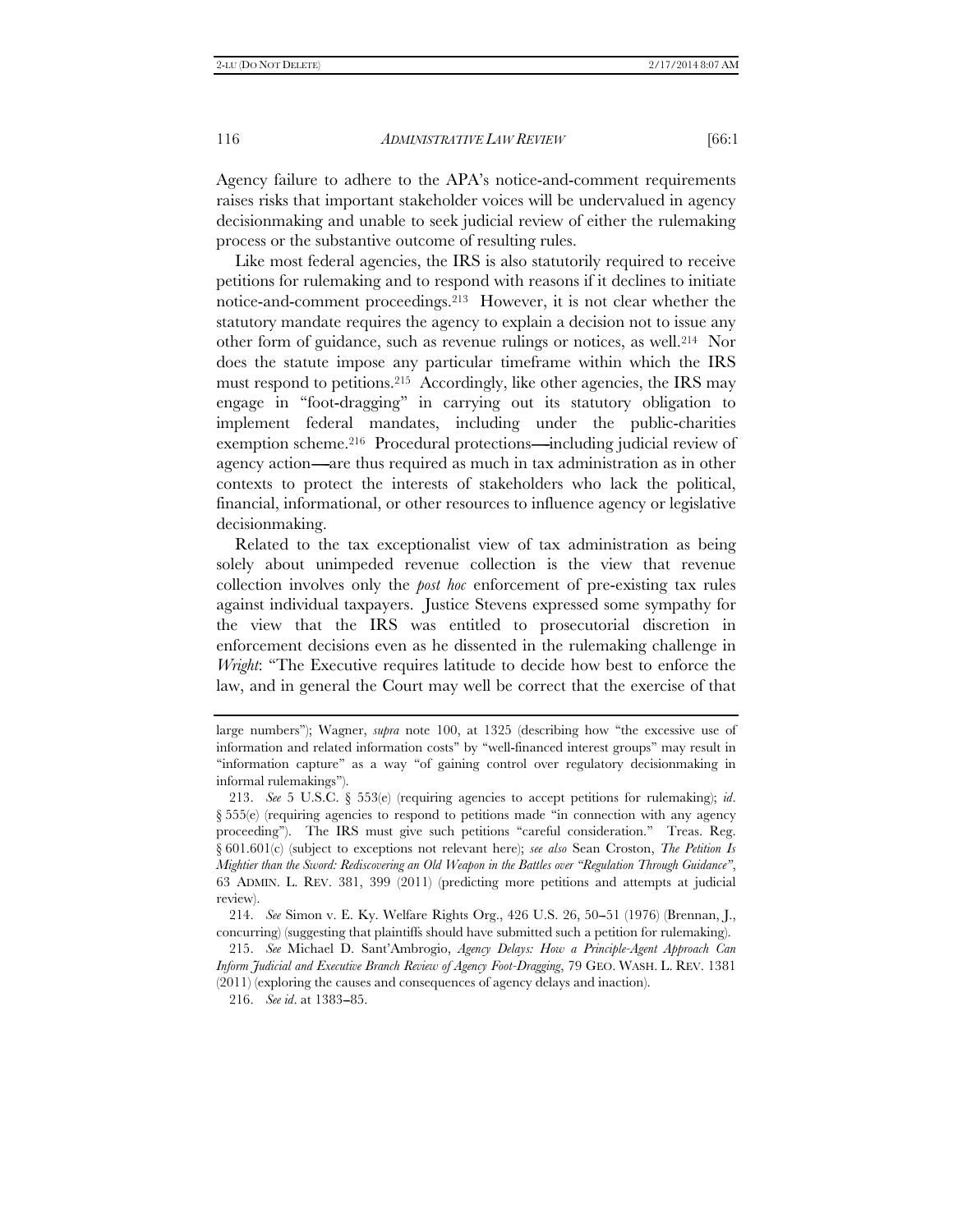Agency failure to adhere to the APA's notice-and-comment requirements raises risks that important stakeholder voices will be undervalued in agency decisionmaking and unable to seek judicial review of either the rulemaking process or the substantive outcome of resulting rules.

Like most federal agencies, the IRS is also statutorily required to receive petitions for rulemaking and to respond with reasons if it declines to initiate notice-and-comment proceedings.213 However, it is not clear whether the statutory mandate requires the agency to explain a decision not to issue any other form of guidance, such as revenue rulings or notices, as well.214 Nor does the statute impose any particular timeframe within which the IRS must respond to petitions.215 Accordingly, like other agencies, the IRS may engage in ''foot-dragging'' in carrying out its statutory obligation to implement federal mandates, including under the public-charities exemption scheme.<sup>216</sup> Procedural protections---including judicial review of agency action—are thus required as much in tax administration as in other contexts to protect the interests of stakeholders who lack the political, financial, informational, or other resources to influence agency or legislative decisionmaking.

Related to the tax exceptionalist view of tax administration as being solely about unimpeded revenue collection is the view that revenue collection involves only the *post hoc* enforcement of pre-existing tax rules against individual taxpayers. Justice Stevens expressed some sympathy for the view that the IRS was entitled to prosecutorial discretion in enforcement decisions even as he dissented in the rulemaking challenge in *Wright*: "The Executive requires latitude to decide how best to enforce the law, and in general the Court may well be correct that the exercise of that

large numbers''); Wagner, *supra* note 100, at 1325 (describing how ''the excessive use of information and related information costs'' by ''well-financed interest groups'' may result in ''information capture'' as a way ''of gaining control over regulatory decisionmaking in informal rulemakings'').

 <sup>213.</sup> *See* 5 U.S.C. § 553(e) (requiring agencies to accept petitions for rulemaking); *id*.  $\S 555(e)$  (requiring agencies to respond to petitions made "in connection with any agency proceeding"). The IRS must give such petitions "careful consideration." Treas. Reg. § 601.601(c) (subject to exceptions not relevant here); *see also* Sean Croston, *The Petition Is Mightier than the Sword: Rediscovering an Old Weapon in the Battles over ''Regulation Through Guidance''*, 63 ADMIN. L. REV. 381, 399 (2011) (predicting more petitions and attempts at judicial review).

<sup>214.</sup> *See* Simon v. E. Ky. Welfare Rights Org., 426 U.S. 26, 50–51 (1976) (Brennan, J., concurring) (suggesting that plaintiffs should have submitted such a petition for rulemaking).

 <sup>215.</sup> *See* Michael D. Sant'Ambrogio, *Agency Delays: How a Principle-Agent Approach Can Inform Judicial and Executive Branch Review of Agency Foot-Dragging*, 79 GEO. WASH. L. REV. 1381 (2011) (exploring the causes and consequences of agency delays and inaction).

 <sup>216.</sup> *See id*. at 1383--85.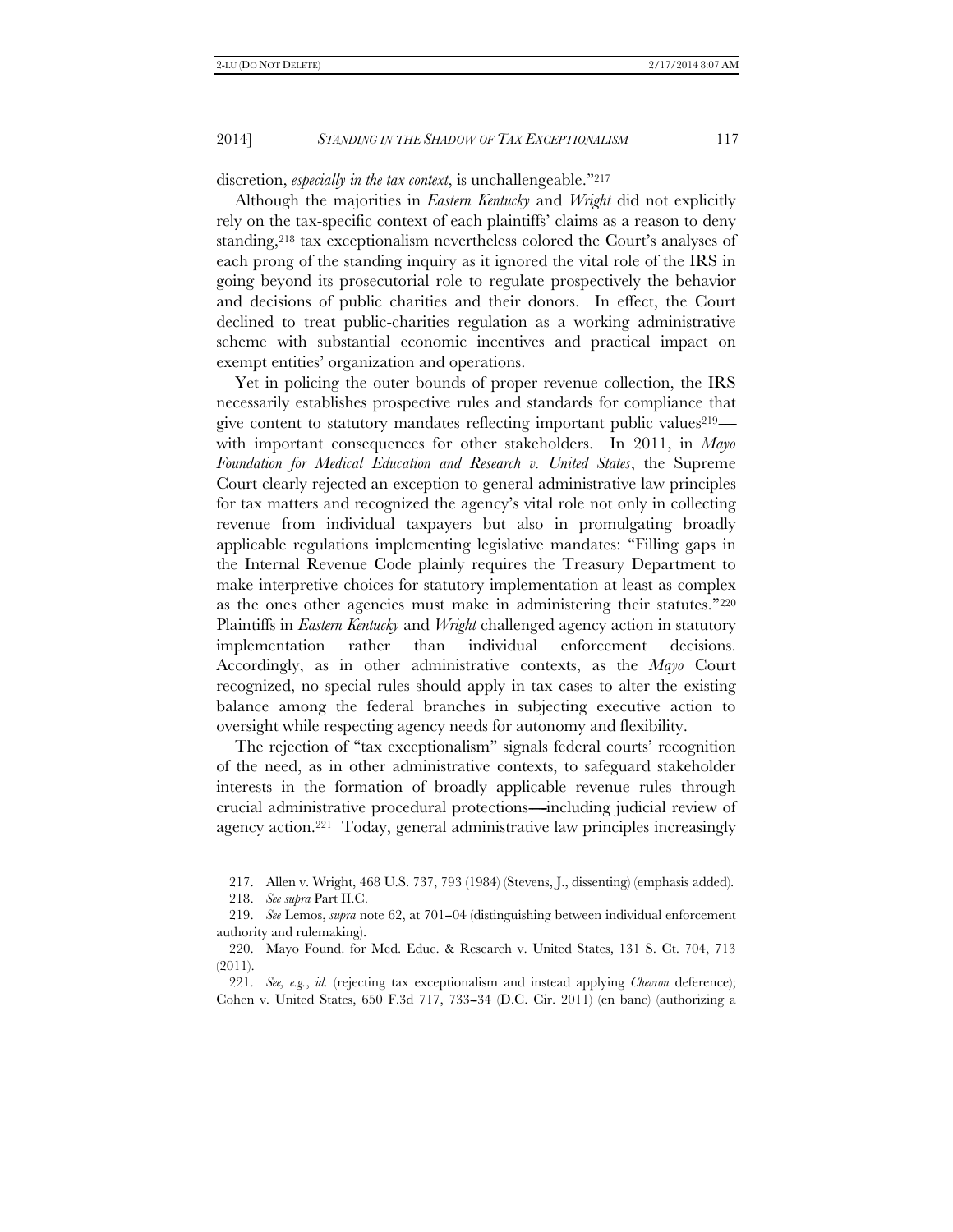## discretion, *especially in the tax context*, is unchallengeable.<sup>"217</sup>

Although the majorities in *Eastern Kentucky* and *Wright* did not explicitly rely on the tax-specific context of each plaintiffs' claims as a reason to deny standing,218 tax exceptionalism nevertheless colored the Court's analyses of each prong of the standing inquiry as it ignored the vital role of the IRS in going beyond its prosecutorial role to regulate prospectively the behavior and decisions of public charities and their donors. In effect, the Court declined to treat public-charities regulation as a working administrative scheme with substantial economic incentives and practical impact on exempt entities' organization and operations.

Yet in policing the outer bounds of proper revenue collection, the IRS necessarily establishes prospective rules and standards for compliance that give content to statutory mandates reflecting important public values $219$  with important consequences for other stakeholders. In 2011, in *Mayo Foundation for Medical Education and Research v. United States*, the Supreme Court clearly rejected an exception to general administrative law principles for tax matters and recognized the agency's vital role not only in collecting revenue from individual taxpayers but also in promulgating broadly applicable regulations implementing legislative mandates: ''Filling gaps in the Internal Revenue Code plainly requires the Treasury Department to make interpretive choices for statutory implementation at least as complex as the ones other agencies must make in administering their statutes."<sup>220</sup> Plaintiffs in *Eastern Kentucky* and *Wright* challenged agency action in statutory implementation rather than individual enforcement decisions. Accordingly, as in other administrative contexts, as the *Mayo* Court recognized, no special rules should apply in tax cases to alter the existing balance among the federal branches in subjecting executive action to oversight while respecting agency needs for autonomy and flexibility.

The rejection of ''tax exceptionalism'' signals federal courts' recognition of the need, as in other administrative contexts, to safeguard stakeholder interests in the formation of broadly applicable revenue rules through crucial administrative procedural protections—including judicial review of agency action.221 Today, general administrative law principles increasingly

 <sup>217.</sup> Allen v. Wright, 468 U.S. 737, 793 (1984) (Stevens, J., dissenting) (emphasis added).

 <sup>218.</sup> *See supra* Part II.C.

<sup>219.</sup> *See* Lemos, *supra* note 62, at 701-04 (distinguishing between individual enforcement authority and rulemaking).

 <sup>220.</sup> Mayo Found. for Med. Educ. & Research v. United States, 131 S. Ct. 704, 713 (2011).

 <sup>221.</sup> *See, e.g.*, *id.* (rejecting tax exceptionalism and instead applying *Chevron* deference); Cohen v. United States, 650 F.3d 717, 733--34 (D.C. Cir. 2011) (en banc) (authorizing a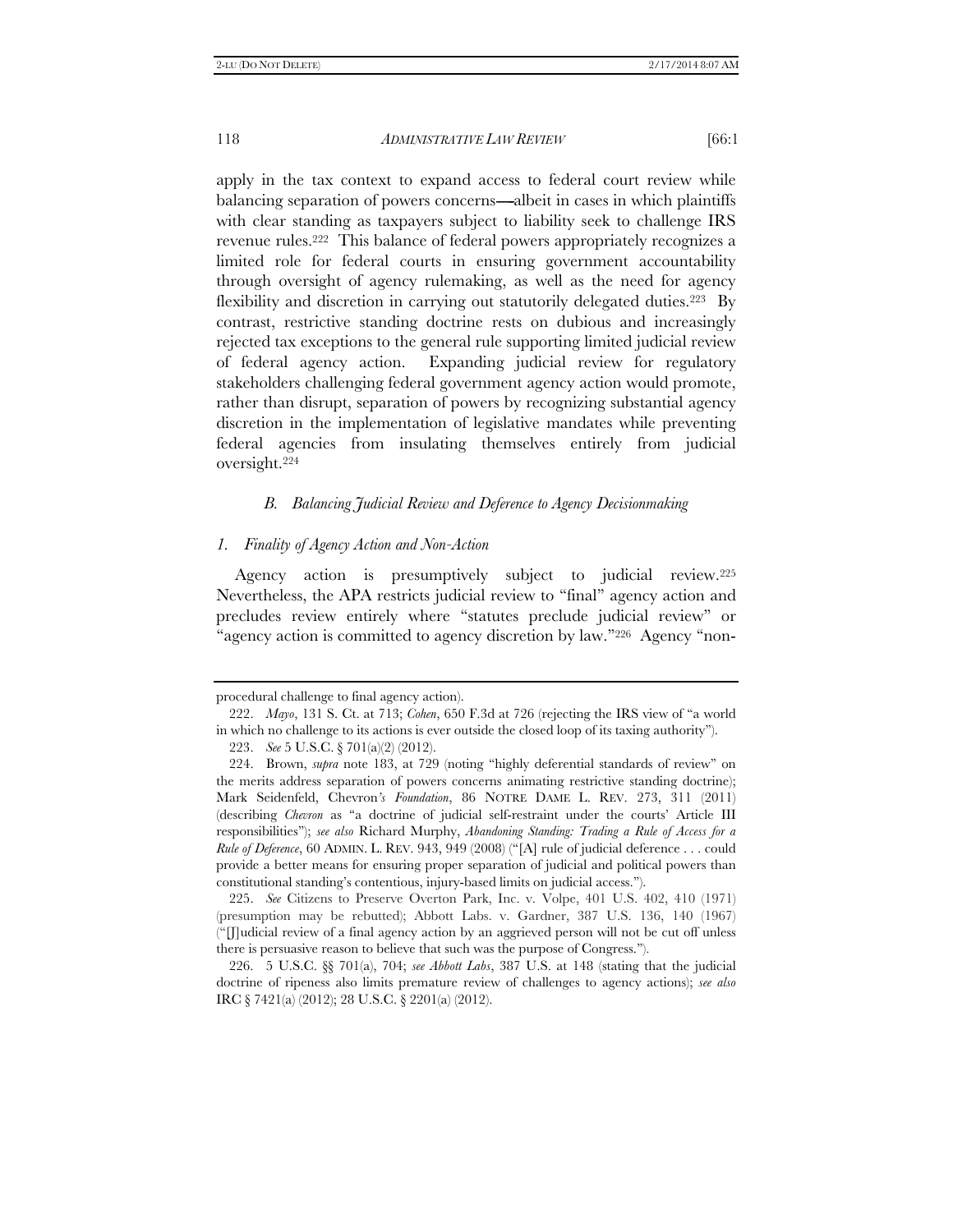apply in the tax context to expand access to federal court review while balancing separation of powers concerns—albeit in cases in which plaintiffs with clear standing as taxpayers subject to liability seek to challenge IRS revenue rules.222 This balance of federal powers appropriately recognizes a limited role for federal courts in ensuring government accountability through oversight of agency rulemaking, as well as the need for agency flexibility and discretion in carrying out statutorily delegated duties.223 By contrast, restrictive standing doctrine rests on dubious and increasingly rejected tax exceptions to the general rule supporting limited judicial review of federal agency action. Expanding judicial review for regulatory stakeholders challenging federal government agency action would promote, rather than disrupt, separation of powers by recognizing substantial agency discretion in the implementation of legislative mandates while preventing federal agencies from insulating themselves entirely from judicial oversight.224

## *B. Balancing Judicial Review and Deference to Agency Decisionmaking*

## *1. Finality of Agency Action and Non-Action*

Agency action is presumptively subject to judicial review.225 Nevertheless, the APA restricts judicial review to ''final'' agency action and precludes review entirely where ''statutes preclude judicial review'' or "agency action is committed to agency discretion by law."226 Agency "non-

procedural challenge to final agency action).

 <sup>222.</sup> *Mayo*, 131 S. Ct. at 713; *Cohen*, 650 F.3d at 726 (rejecting the IRS view of ''a world in which no challenge to its actions is ever outside the closed loop of its taxing authority'').

 <sup>223.</sup> *See* 5 U.S.C. § 701(a)(2) (2012).

 <sup>224.</sup> Brown, *supra* note 183, at 729 (noting ''highly deferential standards of review'' on the merits address separation of powers concerns animating restrictive standing doctrine); Mark Seidenfeld, Chevron*'s Foundation*, 86 NOTRE DAME L. REV. 273, 311 (2011) (describing *Chevron* as ''a doctrine of judicial self-restraint under the courts' Article III responsibilities''); *see also* Richard Murphy, *Abandoning Standing: Trading a Rule of Access for a Rule of Deference*, 60 ADMIN. L. REV. 943, 949 (2008) (''[A] rule of judicial deference . . . could provide a better means for ensuring proper separation of judicial and political powers than constitutional standing's contentious, injury-based limits on judicial access.'').

 <sup>225.</sup> *See* Citizens to Preserve Overton Park, Inc. v. Volpe, 401 U.S. 402, 410 (1971) (presumption may be rebutted); Abbott Labs. v. Gardner, 387 U.S. 136, 140 (1967) (''[J]udicial review of a final agency action by an aggrieved person will not be cut off unless there is persuasive reason to believe that such was the purpose of Congress.'').

 <sup>226. 5</sup> U.S.C. §§ 701(a), 704; *see Abbott Labs*, 387 U.S. at 148 (stating that the judicial doctrine of ripeness also limits premature review of challenges to agency actions); *see also* IRC § 7421(a) (2012); 28 U.S.C. § 2201(a) (2012).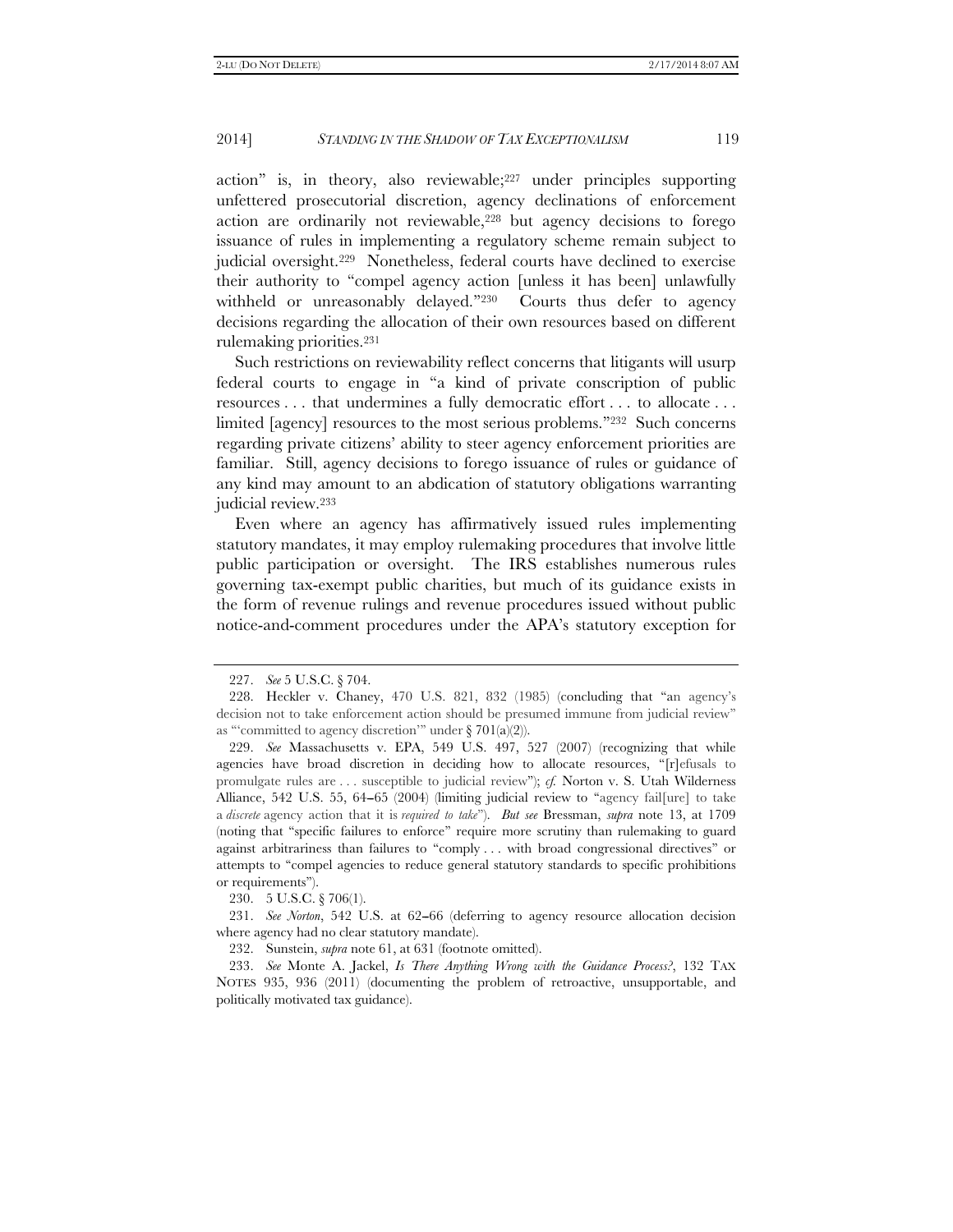action'' is, in theory, also reviewable;227 under principles supporting unfettered prosecutorial discretion, agency declinations of enforcement action are ordinarily not reviewable,<sup>228</sup> but agency decisions to forego issuance of rules in implementing a regulatory scheme remain subject to judicial oversight.229 Nonetheless, federal courts have declined to exercise their authority to ''compel agency action [unless it has been] unlawfully withheld or unreasonably delayed."<sup>230</sup> Courts thus defer to agency decisions regarding the allocation of their own resources based on different rulemaking priorities.231

Such restrictions on reviewability reflect concerns that litigants will usurp federal courts to engage in ''a kind of private conscription of public resources . . . that undermines a fully democratic effort . . . to allocate . . . limited [agency] resources to the most serious problems.<sup>"232</sup> Such concerns regarding private citizens' ability to steer agency enforcement priorities are familiar. Still, agency decisions to forego issuance of rules or guidance of any kind may amount to an abdication of statutory obligations warranting judicial review.233

Even where an agency has affirmatively issued rules implementing statutory mandates, it may employ rulemaking procedures that involve little public participation or oversight. The IRS establishes numerous rules governing tax-exempt public charities, but much of its guidance exists in the form of revenue rulings and revenue procedures issued without public notice-and-comment procedures under the APA's statutory exception for

230. 5 U.S.C. § 706(1).

 <sup>227.</sup> *See* 5 U.S.C. § 704.

 <sup>228.</sup> Heckler v. Chaney, 470 U.S. 821, 832 (1985) (concluding that ''an agency's decision not to take enforcement action should be presumed immune from judicial review'' as "'committed to agency discretion'" under  $\S 701(a)(2)$ ).

 <sup>229.</sup> *See* Massachusetts v. EPA, 549 U.S. 497, 527 (2007) (recognizing that while agencies have broad discretion in deciding how to allocate resources, ''[r]efusals to promulgate rules are . . . susceptible to judicial review"); *cf.* Norton v. S. Utah Wilderness Alliance, 542 U.S. 55, 64-65 (2004) (limiting judicial review to "agency fail[ure] to take a *discrete* agency action that it is *required to take*''). *But see* Bressman, *supra* note 13, at 1709 (noting that ''specific failures to enforce'' require more scrutiny than rulemaking to guard against arbitrariness than failures to ''comply . . . with broad congressional directives'' or attempts to "compel agencies to reduce general statutory standards to specific prohibitions or requirements'').

<sup>231.</sup> *See Norton*, 542 U.S. at 62–66 (deferring to agency resource allocation decision where agency had no clear statutory mandate).

 <sup>232.</sup> Sunstein, *supra* note 61, at 631 (footnote omitted).

 <sup>233.</sup> *See* Monte A. Jackel, *Is There Anything Wrong with the Guidance Process?*, 132 TAX NOTES 935, 936 (2011) (documenting the problem of retroactive, unsupportable, and politically motivated tax guidance).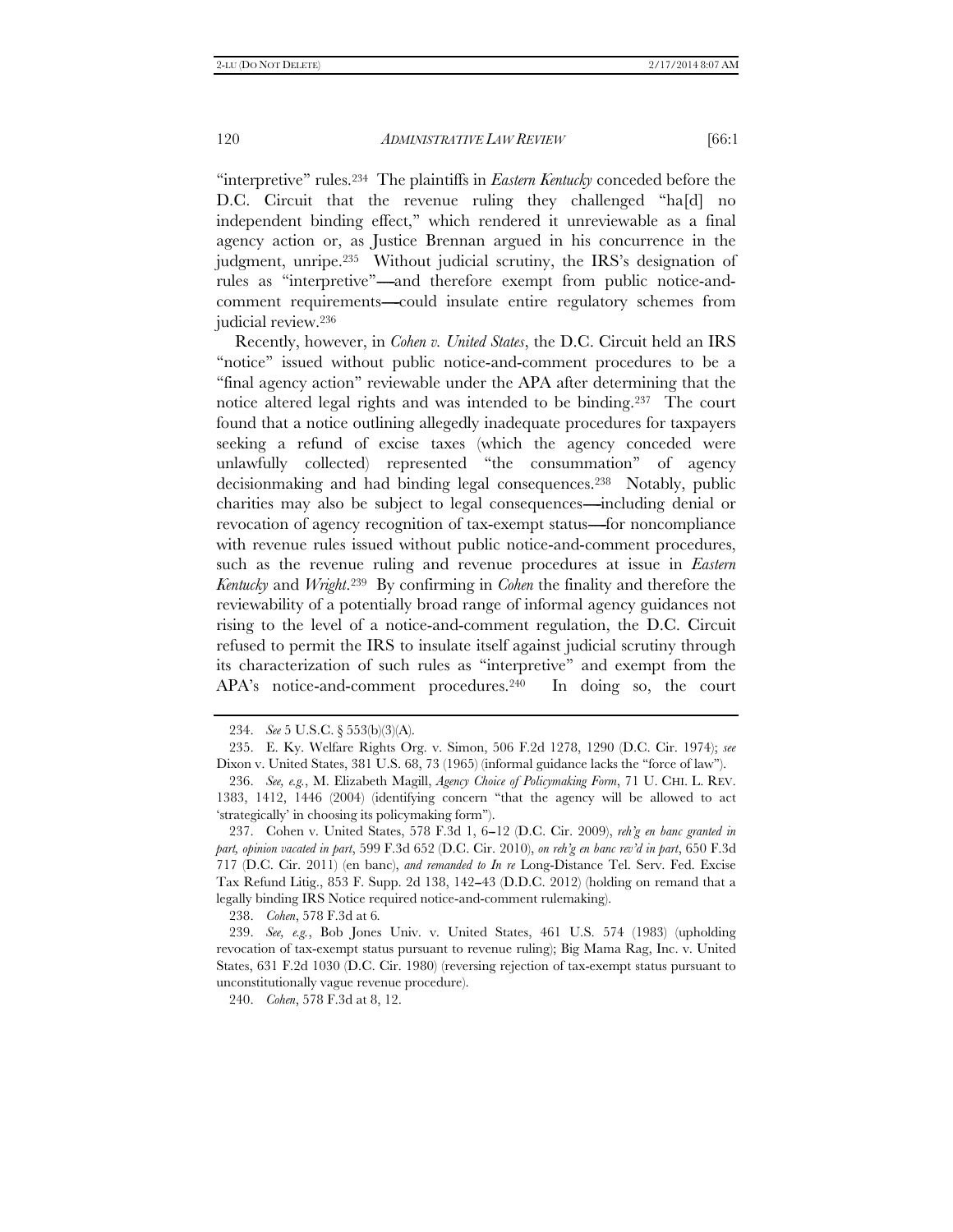''interpretive'' rules.234 The plaintiffs in *Eastern Kentucky* conceded before the D.C. Circuit that the revenue ruling they challenged ''ha[d] no independent binding effect,'' which rendered it unreviewable as a final agency action or, as Justice Brennan argued in his concurrence in the judgment, unripe.235 Without judicial scrutiny, the IRS's designation of rules as "interpretive"---and therefore exempt from public notice-andcomment requirements—could insulate entire regulatory schemes from judicial review.236

Recently, however, in *Cohen v. United States*, the D.C. Circuit held an IRS "notice" issued without public notice-and-comment procedures to be a ''final agency action'' reviewable under the APA after determining that the notice altered legal rights and was intended to be binding.237 The court found that a notice outlining allegedly inadequate procedures for taxpayers seeking a refund of excise taxes (which the agency conceded were unlawfully collected) represented ''the consummation'' of agency decisionmaking and had binding legal consequences.238 Notably, public charities may also be subject to legal consequences—including denial or revocation of agency recognition of tax-exempt status------for noncompliance with revenue rules issued without public notice-and-comment procedures, such as the revenue ruling and revenue procedures at issue in *Eastern Kentucky* and *Wright*.239 By confirming in *Cohen* the finality and therefore the reviewability of a potentially broad range of informal agency guidances not rising to the level of a notice-and-comment regulation, the D.C. Circuit refused to permit the IRS to insulate itself against judicial scrutiny through its characterization of such rules as ''interpretive'' and exempt from the APA's notice-and-comment procedures.<sup>240</sup> In doing so, the court

 <sup>234.</sup> *See* 5 U.S.C. § 553(b)(3)(A).

 <sup>235.</sup> E. Ky. Welfare Rights Org. v. Simon, 506 F.2d 1278, 1290 (D.C. Cir. 1974); *see* Dixon v. United States, 381 U.S. 68, 73 (1965) (informal guidance lacks the "force of law").

 <sup>236.</sup> *See, e.g.*, M. Elizabeth Magill, *Agency Choice of Policymaking Form*, 71 U. CHI. L. REV. 1383, 1412, 1446 (2004) (identifying concern ''that the agency will be allowed to act 'strategically' in choosing its policymaking form'').

<sup>237.</sup> Cohen v. United States, 578 F.3d 1, 6-12 (D.C. Cir. 2009), *reh'g en banc granted in part, opinion vacated in part*, 599 F.3d 652 (D.C. Cir. 2010), *on reh'g en banc rev'd in part*, 650 F.3d 717 (D.C. Cir. 2011) (en banc), *and remanded to In re* Long-Distance Tel. Serv. Fed. Excise Tax Refund Litig., 853 F. Supp. 2d 138, 142--43 (D.D.C. 2012) (holding on remand that a legally binding IRS Notice required notice-and-comment rulemaking).

 <sup>238.</sup> *Cohen*, 578 F.3d at 6*.*

 <sup>239.</sup> *See, e.g.*, Bob Jones Univ. v. United States, 461 U.S. 574 (1983) (upholding revocation of tax-exempt status pursuant to revenue ruling); Big Mama Rag, Inc. v. United States, 631 F.2d 1030 (D.C. Cir. 1980) (reversing rejection of tax-exempt status pursuant to unconstitutionally vague revenue procedure).

 <sup>240.</sup> *Cohen*, 578 F.3d at 8, 12.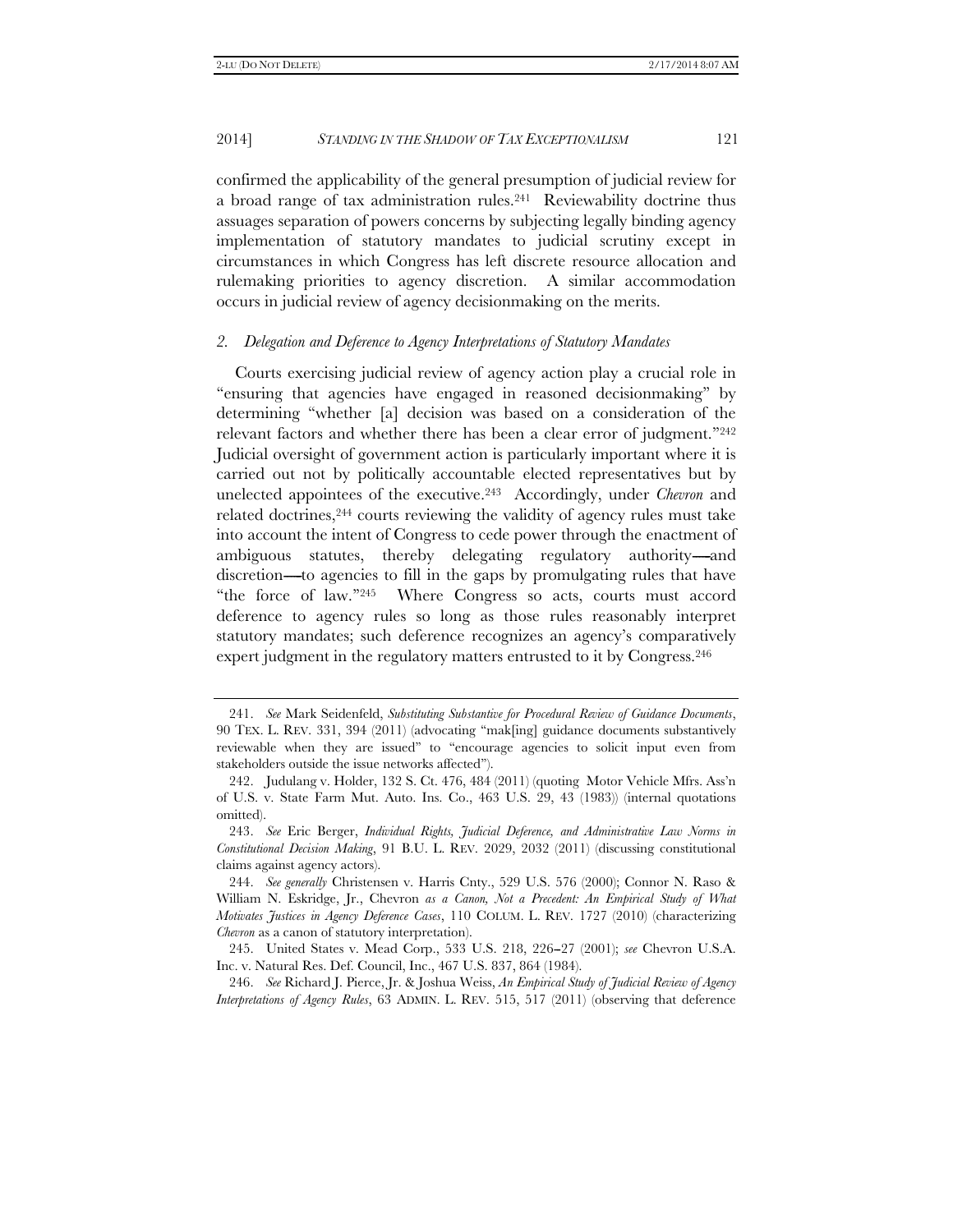confirmed the applicability of the general presumption of judicial review for a broad range of tax administration rules.<sup>241</sup> Reviewability doctrine thus assuages separation of powers concerns by subjecting legally binding agency implementation of statutory mandates to judicial scrutiny except in circumstances in which Congress has left discrete resource allocation and rulemaking priorities to agency discretion. A similar accommodation occurs in judicial review of agency decisionmaking on the merits.

# *2. Delegation and Deference to Agency Interpretations of Statutory Mandates*

Courts exercising judicial review of agency action play a crucial role in ''ensuring that agencies have engaged in reasoned decisionmaking'' by determining ''whether [a] decision was based on a consideration of the relevant factors and whether there has been a clear error of judgment."<sup>242</sup> Judicial oversight of government action is particularly important where it is carried out not by politically accountable elected representatives but by unelected appointees of the executive.243 Accordingly, under *Chevron* and related doctrines,244 courts reviewing the validity of agency rules must take into account the intent of Congress to cede power through the enactment of ambiguous statutes, thereby delegating regulatory authority—and discretion----to agencies to fill in the gaps by promulgating rules that have "the force of law."<sup>245</sup> Where Congress so acts, courts must accord deference to agency rules so long as those rules reasonably interpret statutory mandates; such deference recognizes an agency's comparatively expert judgment in the regulatory matters entrusted to it by Congress.<sup>246</sup>

 <sup>241.</sup> *See* Mark Seidenfeld, *Substituting Substantive for Procedural Review of Guidance Documents*, 90 TEX. L. REV. 331, 394 (2011) (advocating ''mak[ing] guidance documents substantively reviewable when they are issued'' to ''encourage agencies to solicit input even from stakeholders outside the issue networks affected'').

 <sup>242.</sup> Judulang v. Holder, 132 S. Ct. 476, 484 (2011) (quoting Motor Vehicle Mfrs. Ass'n of U.S. v. State Farm Mut. Auto. Ins. Co., 463 U.S. 29, 43 (1983)) (internal quotations omitted).

 <sup>243.</sup> *See* Eric Berger, *Individual Rights, Judicial Deference, and Administrative Law Norms in Constitutional Decision Making*, 91 B.U. L. REV. 2029, 2032 (2011) (discussing constitutional claims against agency actors).

 <sup>244.</sup> *See generally* Christensen v. Harris Cnty., 529 U.S. 576 (2000); Connor N. Raso & William N. Eskridge, Jr., Chevron *as a Canon, Not a Precedent: An Empirical Study of What Motivates Justices in Agency Deference Cases*, 110 COLUM. L. REV. 1727 (2010) (characterizing *Chevron* as a canon of statutory interpretation).

 <sup>245.</sup> United States v. Mead Corp., 533 U.S. 218, 226--27 (2001); *see* Chevron U.S.A. Inc. v. Natural Res. Def. Council, Inc., 467 U.S. 837, 864 (1984).

 <sup>246.</sup> *See* Richard J. Pierce, Jr. & Joshua Weiss, *An Empirical Study of Judicial Review of Agency Interpretations of Agency Rules*, 63 ADMIN. L. REV. 515, 517 (2011) (observing that deference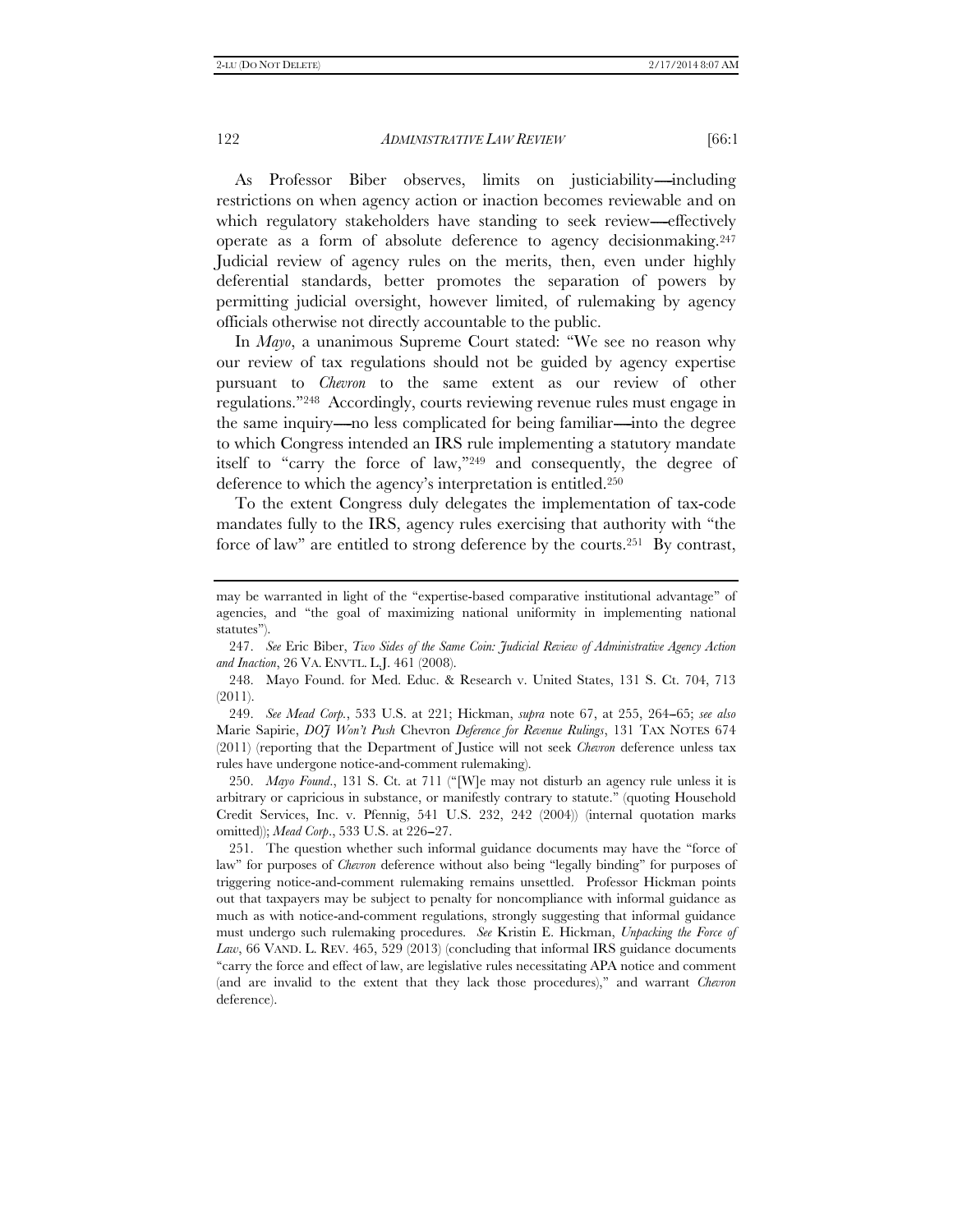As Professor Biber observes, limits on justiciability—including restrictions on when agency action or inaction becomes reviewable and on which regulatory stakeholders have standing to seek review-effectively operate as a form of absolute deference to agency decisionmaking.247 Judicial review of agency rules on the merits, then, even under highly deferential standards, better promotes the separation of powers by permitting judicial oversight, however limited, of rulemaking by agency officials otherwise not directly accountable to the public.

In *Mayo*, a unanimous Supreme Court stated: ''We see no reason why our review of tax regulations should not be guided by agency expertise pursuant to *Chevron* to the same extent as our review of other regulations.''248 Accordingly, courts reviewing revenue rules must engage in the same inquiry—no less complicated for being familiar—into the degree to which Congress intended an IRS rule implementing a statutory mandate itself to "carry the force of law,"<sup>249</sup> and consequently, the degree of deference to which the agency's interpretation is entitled.250

To the extent Congress duly delegates the implementation of tax-code mandates fully to the IRS, agency rules exercising that authority with ''the force of law'' are entitled to strong deference by the courts.251 By contrast,

 247. *See* Eric Biber, *Two Sides of the Same Coin: Judicial Review of Administrative Agency Action and Inaction*, 26 VA. ENVTL. L.J. 461 (2008).

 248. Mayo Found. for Med. Educ. & Research v. United States, 131 S. Ct. 704, 713 (2011).

249. *See Mead Corp.*, 533 U.S. at 221; Hickman, *supra* note 67, at 255, 264–65; *see also* Marie Sapirie, *DOJ Won't Push* Chevron *Deference for Revenue Rulings*, 131 TAX NOTES 674 (2011) (reporting that the Department of Justice will not seek *Chevron* deference unless tax rules have undergone notice-and-comment rulemaking).

250. *Mayo Found.*, 131 S. Ct. at 711 ("[W]e may not disturb an agency rule unless it is arbitrary or capricious in substance, or manifestly contrary to statute.'' (quoting Household Credit Services, Inc. v. Pfennig, 541 U.S. 232, 242 (2004)) (internal quotation marks omitted)); *Mead Corp.*, 533 U.S. at 226-27.

 251. The question whether such informal guidance documents may have the ''force of law'' for purposes of *Chevron* deference without also being ''legally binding'' for purposes of triggering notice-and-comment rulemaking remains unsettled. Professor Hickman points out that taxpayers may be subject to penalty for noncompliance with informal guidance as much as with notice-and-comment regulations, strongly suggesting that informal guidance must undergo such rulemaking procedures. *See* Kristin E. Hickman, *Unpacking the Force of Law*, 66 VAND. L. REV. 465, 529 (2013) (concluding that informal IRS guidance documents ''carry the force and effect of law, are legislative rules necessitating APA notice and comment (and are invalid to the extent that they lack those procedures),'' and warrant *Chevron* deference).

may be warranted in light of the "expertise-based comparative institutional advantage" of agencies, and ''the goal of maximizing national uniformity in implementing national statutes'').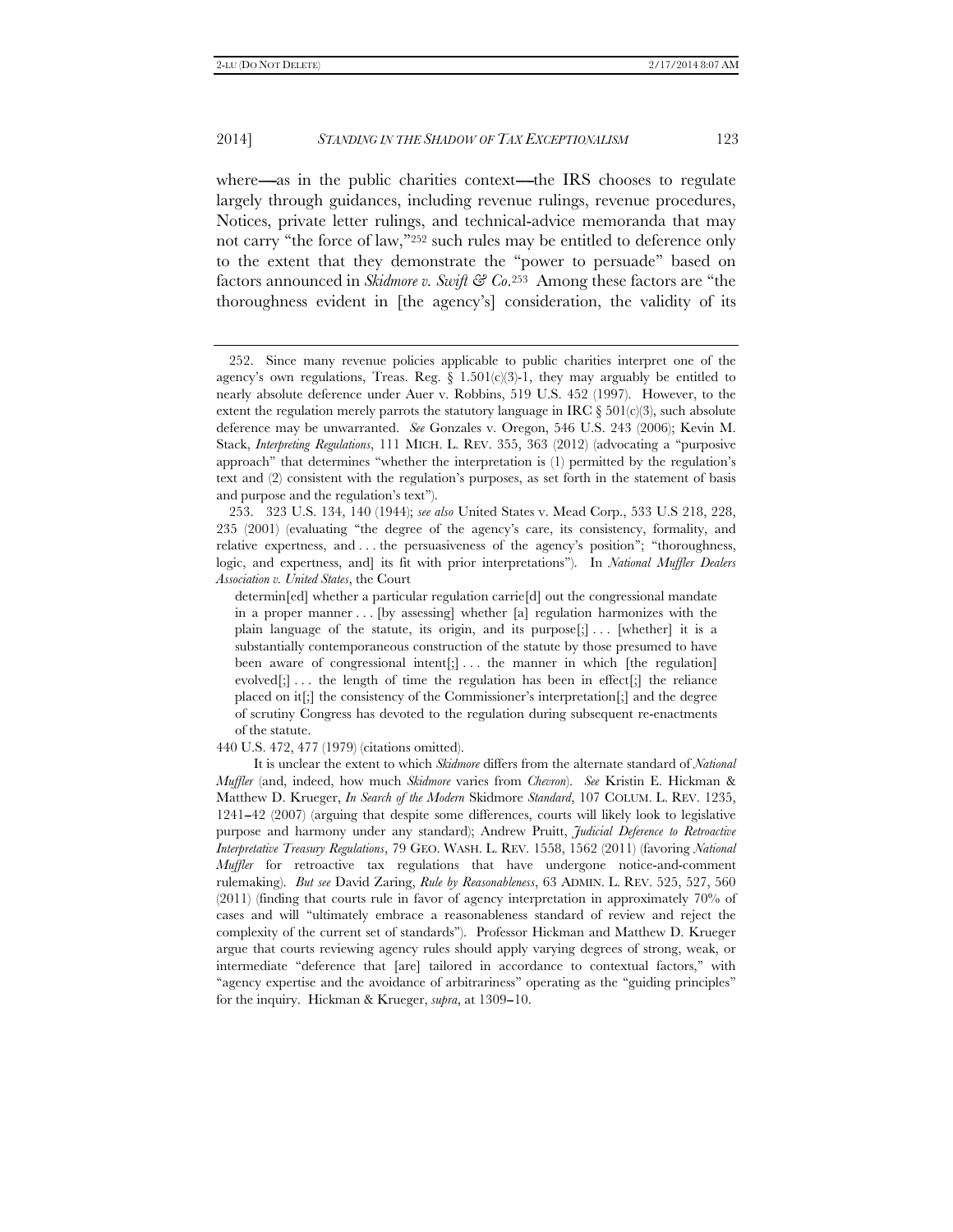where—as in the public charities context—the IRS chooses to regulate largely through guidances, including revenue rulings, revenue procedures, Notices, private letter rulings, and technical-advice memoranda that may not carry "the force of law,"<sup>252</sup> such rules may be entitled to deference only to the extent that they demonstrate the ''power to persuade'' based on factors announced in *Skidmore v. Swift & Co*.253 Among these factors are ''the thoroughness evident in [the agency's] consideration, the validity of its

 253. 323 U.S. 134, 140 (1944); *see also* United States v. Mead Corp., 533 U.S 218, 228, 235 (2001) (evaluating ''the degree of the agency's care, its consistency, formality, and relative expertness, and . . . the persuasiveness of the agency's position''; ''thoroughness, logic, and expertness, and] its fit with prior interpretations''). In *National Muffler Dealers Association v. United States*, the Court

440 U.S. 472, 477 (1979) (citations omitted).

 <sup>252.</sup> Since many revenue policies applicable to public charities interpret one of the agency's own regulations, Treas. Reg.  $\S$  1.501(c)(3)-1, they may arguably be entitled to nearly absolute deference under Auer v. Robbins, 519 U.S. 452 (1997). However, to the extent the regulation merely parrots the statutory language in IRC  $\S 501(c)(3)$ , such absolute deference may be unwarranted. *See* Gonzales v. Oregon, 546 U.S. 243 (2006); Kevin M. Stack, *Interpreting Regulations*, 111 MICH. L. REV. 355, 363 (2012) (advocating a ''purposive approach'' that determines ''whether the interpretation is (1) permitted by the regulation's text and (2) consistent with the regulation's purposes, as set forth in the statement of basis and purpose and the regulation's text'').

determin[ed] whether a particular regulation carrie[d] out the congressional mandate in a proper manner . . . [by assessing] whether [a] regulation harmonizes with the plain language of the statute, its origin, and its purpose[;] ... [whether] it is a substantially contemporaneous construction of the statute by those presumed to have been aware of congressional intent[;]... the manner in which [the regulation] evolved $[\cdot]$ ... the length of time the regulation has been in effect $[\cdot]$  the reliance placed on it[;] the consistency of the Commissioner's interpretation[;] and the degree of scrutiny Congress has devoted to the regulation during subsequent re-enactments of the statute.

It is unclear the extent to which *Skidmore* differs from the alternate standard of *National Muffler* (and, indeed, how much *Skidmore* varies from *Chevron*). *See* Kristin E. Hickman & Matthew D. Krueger, *In Search of the Modern* Skidmore *Standard*, 107 COLUM. L. REV. 1235, 1241--42 (2007) (arguing that despite some differences, courts will likely look to legislative purpose and harmony under any standard); Andrew Pruitt, *Judicial Deference to Retroactive Interpretative Treasury Regulations*, 79 GEO. WASH. L. REV. 1558, 1562 (2011) (favoring *National Muffler* for retroactive tax regulations that have undergone notice-and-comment rulemaking). *But see* David Zaring, *Rule by Reasonableness*, 63 ADMIN. L. REV. 525, 527, 560 (2011) (finding that courts rule in favor of agency interpretation in approximately 70% of cases and will ''ultimately embrace a reasonableness standard of review and reject the complexity of the current set of standards''). Professor Hickman and Matthew D. Krueger argue that courts reviewing agency rules should apply varying degrees of strong, weak, or intermediate ''deference that [are] tailored in accordance to contextual factors,'' with ''agency expertise and the avoidance of arbitrariness'' operating as the ''guiding principles'' for the inquiry. Hickman & Krueger, *supra*, at 1309-10.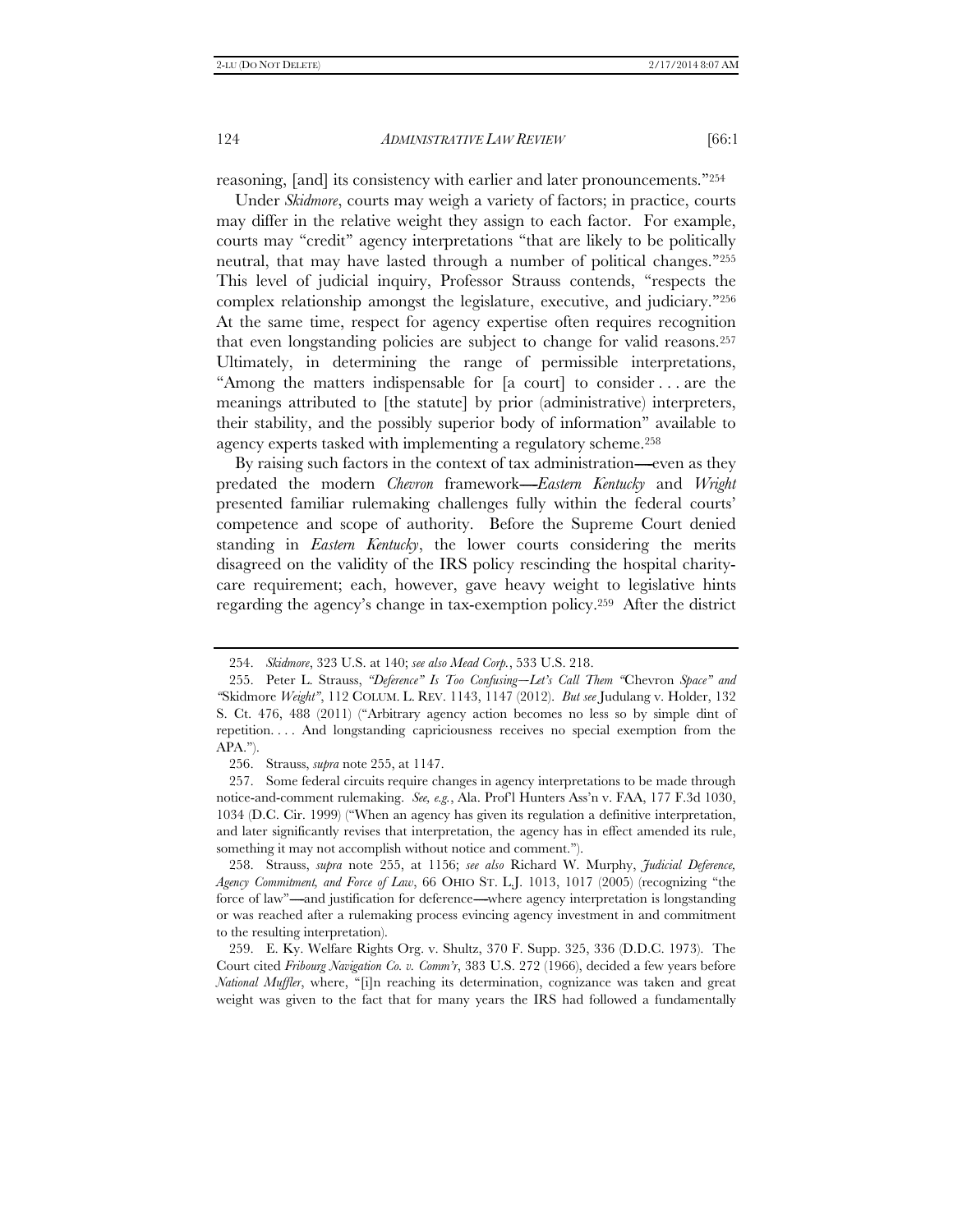reasoning, [and] its consistency with earlier and later pronouncements.''254

Under *Skidmore*, courts may weigh a variety of factors; in practice, courts may differ in the relative weight they assign to each factor. For example, courts may ''credit'' agency interpretations ''that are likely to be politically neutral, that may have lasted through a number of political changes."255 This level of judicial inquiry, Professor Strauss contends, ''respects the complex relationship amongst the legislature, executive, and judiciary.''256 At the same time, respect for agency expertise often requires recognition that even longstanding policies are subject to change for valid reasons.257 Ultimately, in determining the range of permissible interpretations, ''Among the matters indispensable for [a court] to consider . . . are the meanings attributed to [the statute] by prior (administrative) interpreters, their stability, and the possibly superior body of information'' available to agency experts tasked with implementing a regulatory scheme.258

By raising such factors in the context of tax administration—even as they predated the modern *Chevron* framework—*Eastern Kentucky* and *Wright* presented familiar rulemaking challenges fully within the federal courts' competence and scope of authority. Before the Supreme Court denied standing in *Eastern Kentucky*, the lower courts considering the merits disagreed on the validity of the IRS policy rescinding the hospital charitycare requirement; each, however, gave heavy weight to legislative hints regarding the agency's change in tax-exemption policy.259 After the district

 258. Strauss, *supra* note 255, at 1156; *see also* Richard W. Murphy, *Judicial Deference, Agency Commitment, and Force of Law*, 66 OHIO ST. L.J. 1013, 1017 (2005) (recognizing ''the force of law"—and justification for deference—where agency interpretation is longstanding or was reached after a rulemaking process evincing agency investment in and commitment to the resulting interpretation).

 259. E. Ky. Welfare Rights Org. v. Shultz, 370 F. Supp. 325, 336 (D.D.C. 1973). The Court cited *Fribourg Navigation Co. v. Comm'r*, 383 U.S. 272 (1966), decided a few years before *National Muffler*, where, ''[i]n reaching its determination, cognizance was taken and great weight was given to the fact that for many years the IRS had followed a fundamentally

 <sup>254.</sup> *Skidmore*, 323 U.S. at 140; *see also Mead Corp.*, 533 U.S. 218.

<sup>255.</sup> Peter L. Strauss, *'Deference'' Is Too Confusing--Let's Call Them* "Chevron Space" and *''*Skidmore *Weight''*, 112 COLUM. L. REV. 1143, 1147 (2012). *But see* Judulang v. Holder, 132 S. Ct. 476, 488 (2011) (''Arbitrary agency action becomes no less so by simple dint of repetition. . . . And longstanding capriciousness receives no special exemption from the  $APA.$ ").

 <sup>256.</sup> Strauss, *supra* note 255, at 1147.

 <sup>257.</sup> Some federal circuits require changes in agency interpretations to be made through notice-and-comment rulemaking. *See, e.g.*, Ala. Prof'l Hunters Ass'n v. FAA, 177 F.3d 1030, 1034 (D.C. Cir. 1999) (''When an agency has given its regulation a definitive interpretation, and later significantly revises that interpretation, the agency has in effect amended its rule, something it may not accomplish without notice and comment.'').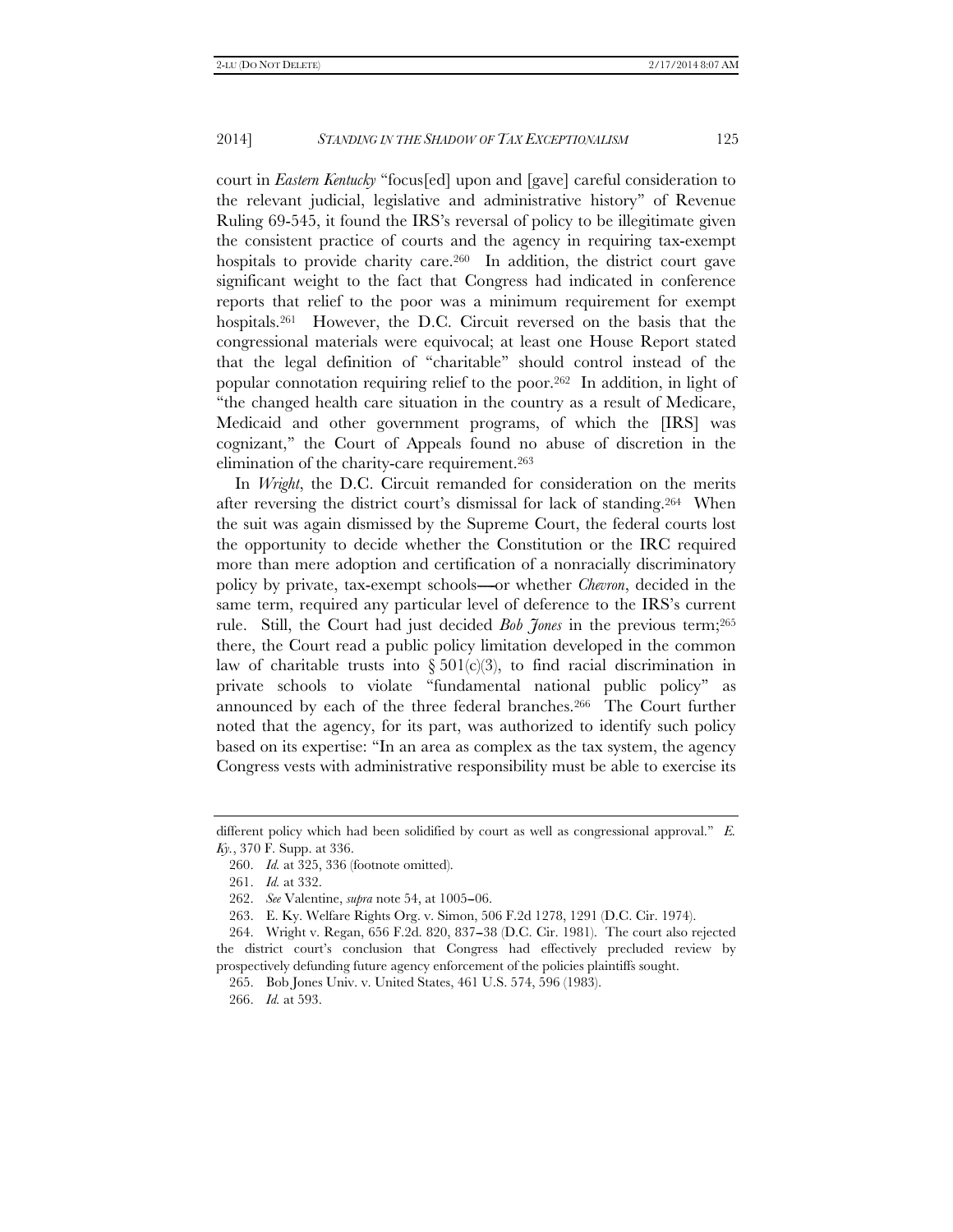court in *Eastern Kentucky* ''focus[ed] upon and [gave] careful consideration to the relevant judicial, legislative and administrative history'' of Revenue Ruling 69-545, it found the IRS's reversal of policy to be illegitimate given the consistent practice of courts and the agency in requiring tax-exempt hospitals to provide charity care.<sup>260</sup> In addition, the district court gave significant weight to the fact that Congress had indicated in conference reports that relief to the poor was a minimum requirement for exempt hospitals.<sup>261</sup> However, the D.C. Circuit reversed on the basis that the congressional materials were equivocal; at least one House Report stated that the legal definition of ''charitable'' should control instead of the popular connotation requiring relief to the poor.262 In addition, in light of ''the changed health care situation in the country as a result of Medicare, Medicaid and other government programs, of which the [IRS] was cognizant,'' the Court of Appeals found no abuse of discretion in the elimination of the charity-care requirement.263

In *Wright*, the D.C. Circuit remanded for consideration on the merits after reversing the district court's dismissal for lack of standing.264 When the suit was again dismissed by the Supreme Court, the federal courts lost the opportunity to decide whether the Constitution or the IRC required more than mere adoption and certification of a nonracially discriminatory policy by private, tax-exempt schools—or whether *Chevron*, decided in the same term, required any particular level of deference to the IRS's current rule. Still, the Court had just decided *Bob Jones* in the previous term;265 there, the Court read a public policy limitation developed in the common law of charitable trusts into  $\S 501(c)(3)$ , to find racial discrimination in private schools to violate ''fundamental national public policy'' as announced by each of the three federal branches.266 The Court further noted that the agency, for its part, was authorized to identify such policy based on its expertise: ''In an area as complex as the tax system, the agency Congress vests with administrative responsibility must be able to exercise its

different policy which had been solidified by court as well as congressional approval." *E. Ky.*, 370 F. Supp. at 336.

 <sup>260.</sup> *Id.* at 325, 336 (footnote omitted).

 <sup>261.</sup> *Id.* at 332.

<sup>262.</sup> *See* Valentine, *supra* note 54, at 1005-06.

 <sup>263.</sup> E. Ky. Welfare Rights Org. v. Simon, 506 F.2d 1278, 1291 (D.C. Cir. 1974).

 <sup>264.</sup> Wright v. Regan, 656 F.2d. 820, 837--38 (D.C. Cir. 1981). The court also rejected the district court's conclusion that Congress had effectively precluded review by prospectively defunding future agency enforcement of the policies plaintiffs sought.

 <sup>265.</sup> Bob Jones Univ. v. United States, 461 U.S. 574, 596 (1983).

 <sup>266.</sup> *Id.* at 593.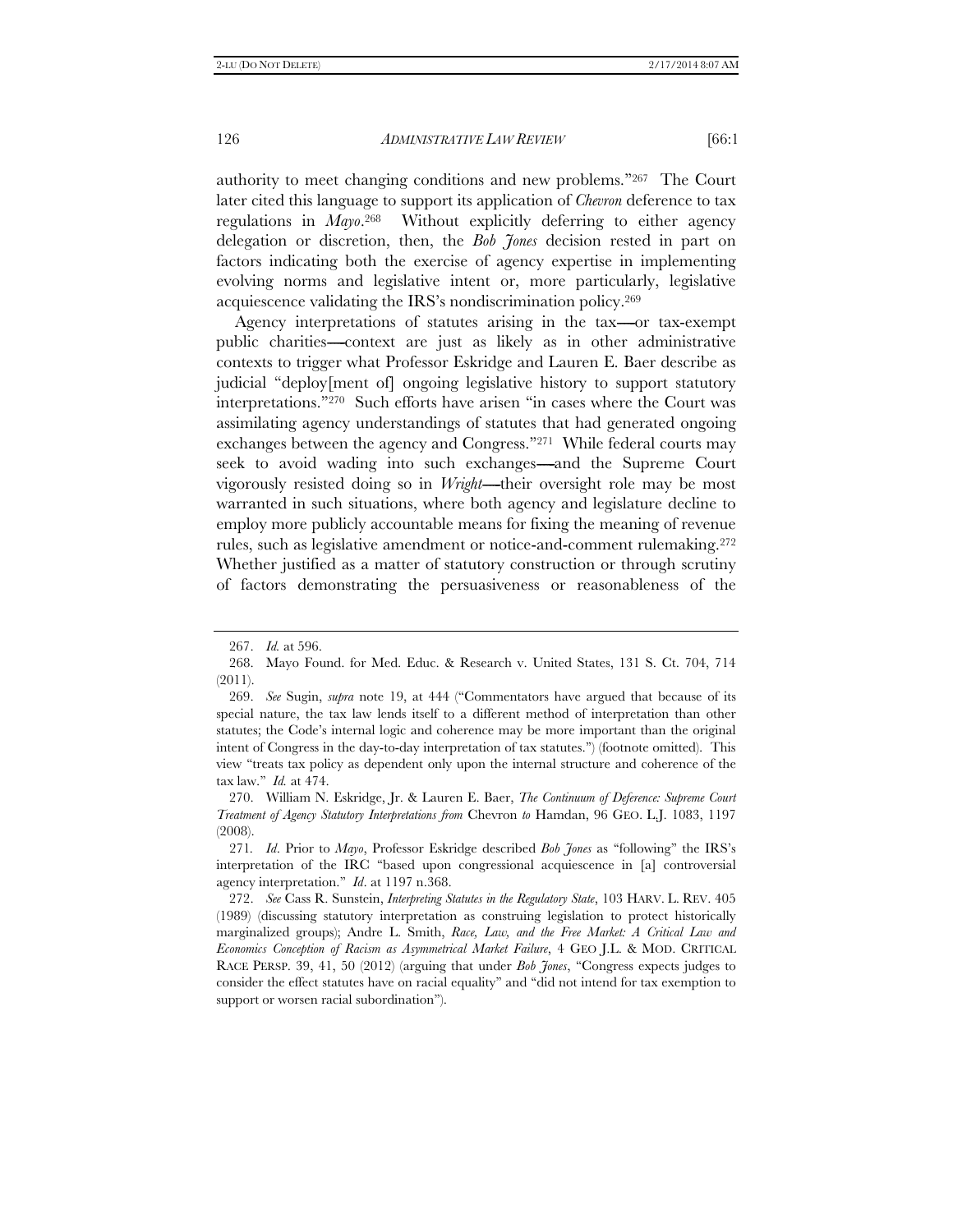authority to meet changing conditions and new problems.''267 The Court later cited this language to support its application of *Chevron* deference to tax regulations in *Mayo*.268 Without explicitly deferring to either agency delegation or discretion, then, the *Bob Jones* decision rested in part on factors indicating both the exercise of agency expertise in implementing evolving norms and legislative intent or, more particularly, legislative acquiescence validating the IRS's nondiscrimination policy.269

Agency interpretations of statutes arising in the tax—or tax-exempt public charities-context are just as likely as in other administrative contexts to trigger what Professor Eskridge and Lauren E. Baer describe as judicial ''deploy[ment of] ongoing legislative history to support statutory interpretations.''270 Such efforts have arisen ''in cases where the Court was assimilating agency understandings of statutes that had generated ongoing exchanges between the agency and Congress."271 While federal courts may seek to avoid wading into such exchanges—and the Supreme Court vigorously resisted doing so in *Wright*----their oversight role may be most warranted in such situations, where both agency and legislature decline to employ more publicly accountable means for fixing the meaning of revenue rules, such as legislative amendment or notice-and-comment rulemaking.272 Whether justified as a matter of statutory construction or through scrutiny of factors demonstrating the persuasiveness or reasonableness of the

 <sup>267.</sup> *Id.* at 596.

 <sup>268.</sup> Mayo Found. for Med. Educ. & Research v. United States, 131 S. Ct. 704, 714 (2011).

 <sup>269.</sup> *See* Sugin, *supra* note 19, at 444 (''Commentators have argued that because of its special nature, the tax law lends itself to a different method of interpretation than other statutes; the Code's internal logic and coherence may be more important than the original intent of Congress in the day-to-day interpretation of tax statutes.'') (footnote omitted). This view ''treats tax policy as dependent only upon the internal structure and coherence of the tax law.'' *Id.* at 474.

 <sup>270.</sup> William N. Eskridge, Jr. & Lauren E. Baer, *The Continuum of Deference: Supreme Court Treatment of Agency Statutory Interpretations from* Chevron *to* Hamdan, 96 GEO. L.J. 1083, 1197 (2008).

<sup>271</sup>*. Id*. Prior to *Mayo*, Professor Eskridge described *Bob Jones* as ''following'' the IRS's interpretation of the IRC ''based upon congressional acquiescence in [a] controversial agency interpretation.'' *Id*. at 1197 n.368.

 <sup>272.</sup> *See* Cass R. Sunstein, *Interpreting Statutes in the Regulatory State*, 103 HARV. L. REV. 405 (1989) (discussing statutory interpretation as construing legislation to protect historically marginalized groups); Andre L. Smith, *Race, Law, and the Free Market: A Critical Law and Economics Conception of Racism as Asymmetrical Market Failure*, 4 GEO J.L. & MOD. CRITICAL RACE PERSP. 39, 41, 50 (2012) (arguing that under *Bob Jones*, ''Congress expects judges to consider the effect statutes have on racial equality'' and ''did not intend for tax exemption to support or worsen racial subordination'').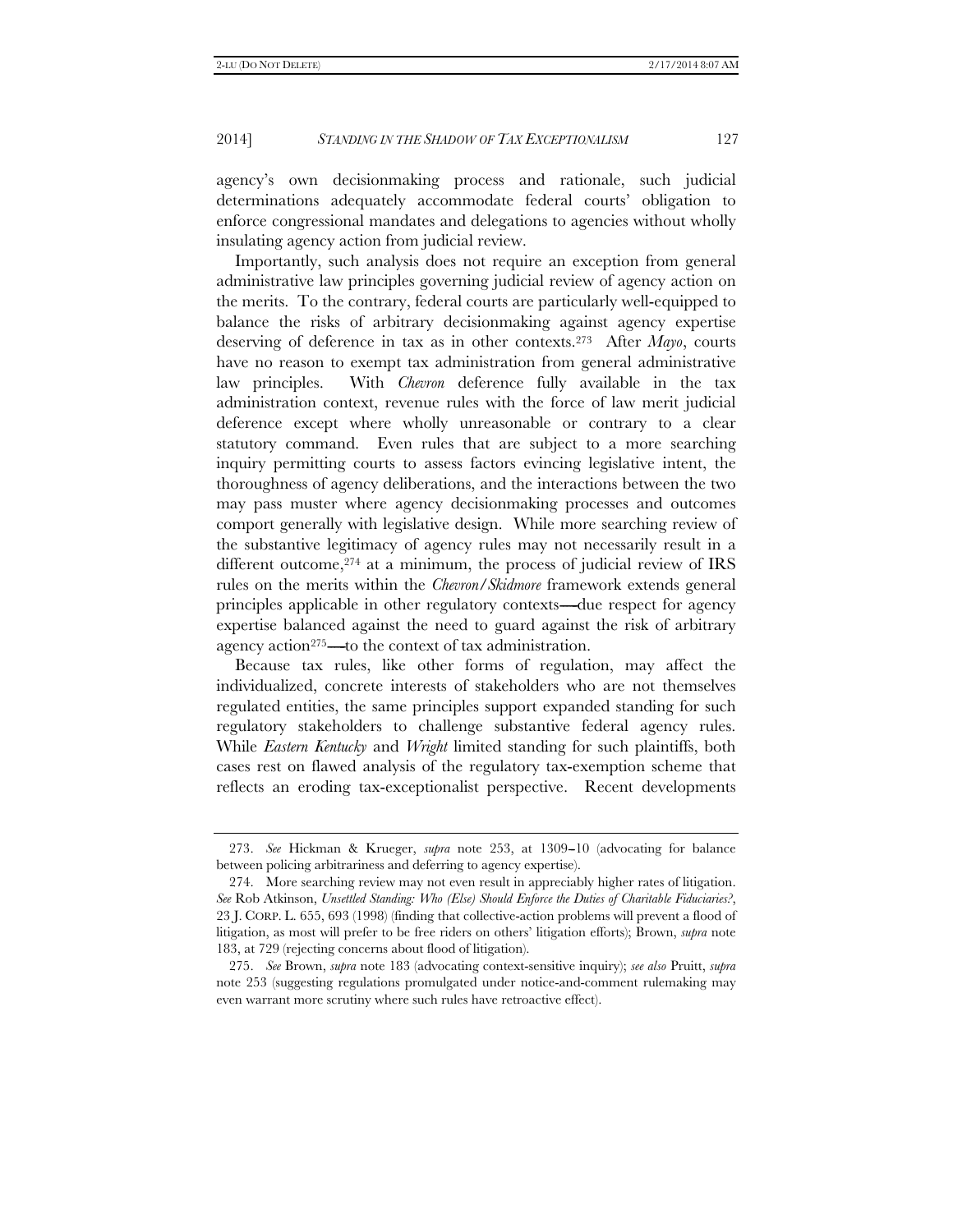agency's own decisionmaking process and rationale, such judicial determinations adequately accommodate federal courts' obligation to enforce congressional mandates and delegations to agencies without wholly insulating agency action from judicial review.

Importantly, such analysis does not require an exception from general administrative law principles governing judicial review of agency action on the merits. To the contrary, federal courts are particularly well-equipped to balance the risks of arbitrary decisionmaking against agency expertise deserving of deference in tax as in other contexts.273 After *Mayo*, courts have no reason to exempt tax administration from general administrative law principles. With *Chevron* deference fully available in the tax administration context, revenue rules with the force of law merit judicial deference except where wholly unreasonable or contrary to a clear statutory command. Even rules that are subject to a more searching inquiry permitting courts to assess factors evincing legislative intent, the thoroughness of agency deliberations, and the interactions between the two may pass muster where agency decisionmaking processes and outcomes comport generally with legislative design. While more searching review of the substantive legitimacy of agency rules may not necessarily result in a different outcome,<sup>274</sup> at a minimum, the process of judicial review of IRS rules on the merits within the *Chevron*/*Skidmore* framework extends general principles applicable in other regulatory contexts—due respect for agency expertise balanced against the need to guard against the risk of arbitrary agency action<sup>275</sup>—to the context of tax administration.

Because tax rules, like other forms of regulation, may affect the individualized, concrete interests of stakeholders who are not themselves regulated entities, the same principles support expanded standing for such regulatory stakeholders to challenge substantive federal agency rules. While *Eastern Kentucky* and *Wright* limited standing for such plaintiffs, both cases rest on flawed analysis of the regulatory tax-exemption scheme that reflects an eroding tax-exceptionalist perspective. Recent developments

<sup>273.</sup> See Hickman & Krueger, *supra* note 253, at 1309-10 (advocating for balance between policing arbitrariness and deferring to agency expertise).

 <sup>274.</sup> More searching review may not even result in appreciably higher rates of litigation. *See* Rob Atkinson, *Unsettled Standing: Who (Else) Should Enforce the Duties of Charitable Fiduciaries?*, 23 J. CORP. L. 655, 693 (1998) (finding that collective-action problems will prevent a flood of litigation, as most will prefer to be free riders on others' litigation efforts); Brown, *supra* note 183, at 729 (rejecting concerns about flood of litigation).

 <sup>275.</sup> *See* Brown, *supra* note 183 (advocating context-sensitive inquiry); *see also* Pruitt, *supra* note 253 (suggesting regulations promulgated under notice-and-comment rulemaking may even warrant more scrutiny where such rules have retroactive effect).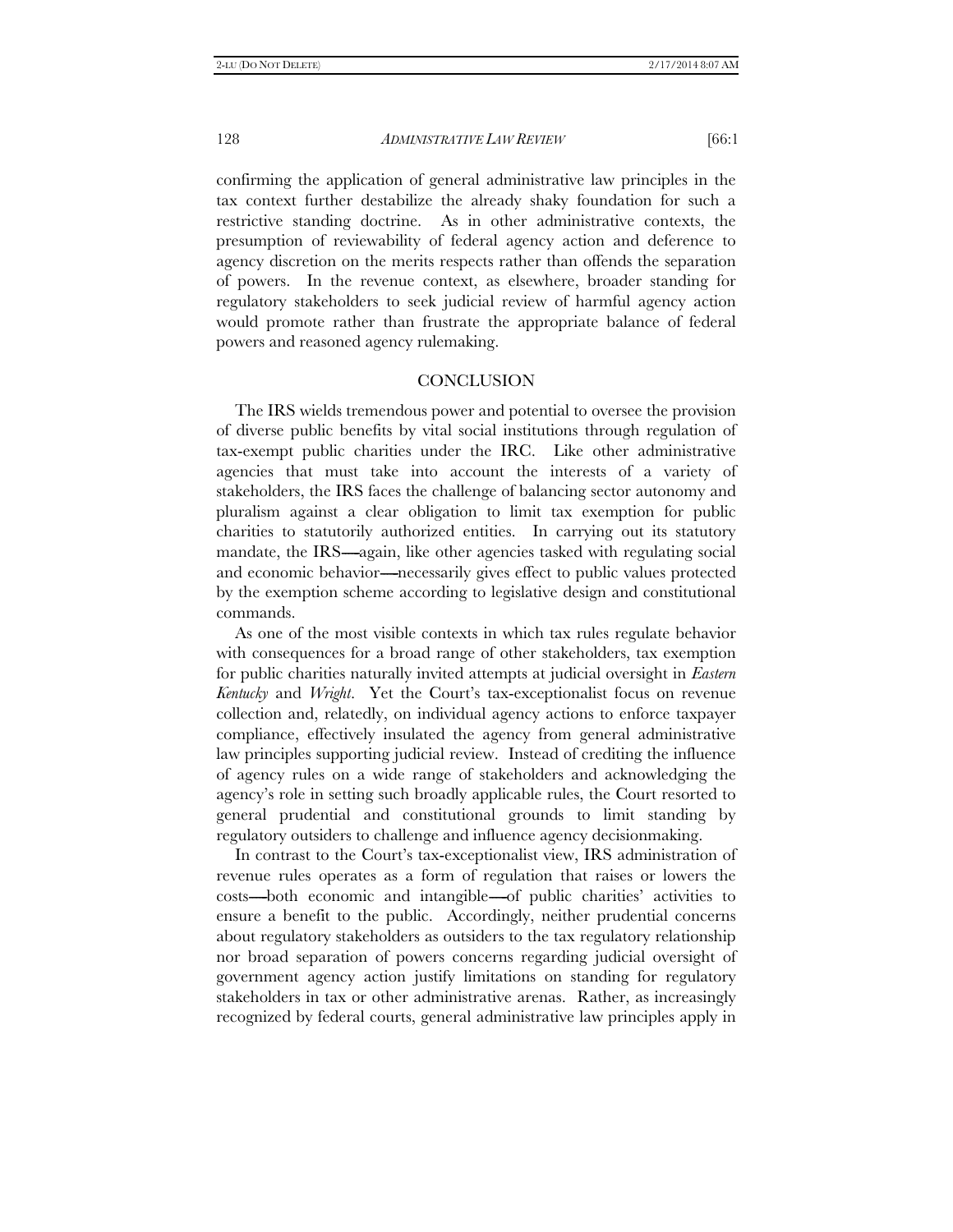confirming the application of general administrative law principles in the tax context further destabilize the already shaky foundation for such a restrictive standing doctrine. As in other administrative contexts, the presumption of reviewability of federal agency action and deference to agency discretion on the merits respects rather than offends the separation of powers. In the revenue context, as elsewhere, broader standing for regulatory stakeholders to seek judicial review of harmful agency action would promote rather than frustrate the appropriate balance of federal powers and reasoned agency rulemaking.

# **CONCLUSION**

The IRS wields tremendous power and potential to oversee the provision of diverse public benefits by vital social institutions through regulation of tax-exempt public charities under the IRC. Like other administrative agencies that must take into account the interests of a variety of stakeholders, the IRS faces the challenge of balancing sector autonomy and pluralism against a clear obligation to limit tax exemption for public charities to statutorily authorized entities. In carrying out its statutory mandate, the IRS—again, like other agencies tasked with regulating social and economic behavior—necessarily gives effect to public values protected by the exemption scheme according to legislative design and constitutional commands.

As one of the most visible contexts in which tax rules regulate behavior with consequences for a broad range of other stakeholders, tax exemption for public charities naturally invited attempts at judicial oversight in *Eastern Kentucky* and *Wright*. Yet the Court's tax-exceptionalist focus on revenue collection and, relatedly, on individual agency actions to enforce taxpayer compliance, effectively insulated the agency from general administrative law principles supporting judicial review. Instead of crediting the influence of agency rules on a wide range of stakeholders and acknowledging the agency's role in setting such broadly applicable rules, the Court resorted to general prudential and constitutional grounds to limit standing by regulatory outsiders to challenge and influence agency decisionmaking.

In contrast to the Court's tax-exceptionalist view, IRS administration of revenue rules operates as a form of regulation that raises or lowers the costs---both economic and intangible---of public charities' activities to ensure a benefit to the public. Accordingly, neither prudential concerns about regulatory stakeholders as outsiders to the tax regulatory relationship nor broad separation of powers concerns regarding judicial oversight of government agency action justify limitations on standing for regulatory stakeholders in tax or other administrative arenas. Rather, as increasingly recognized by federal courts, general administrative law principles apply in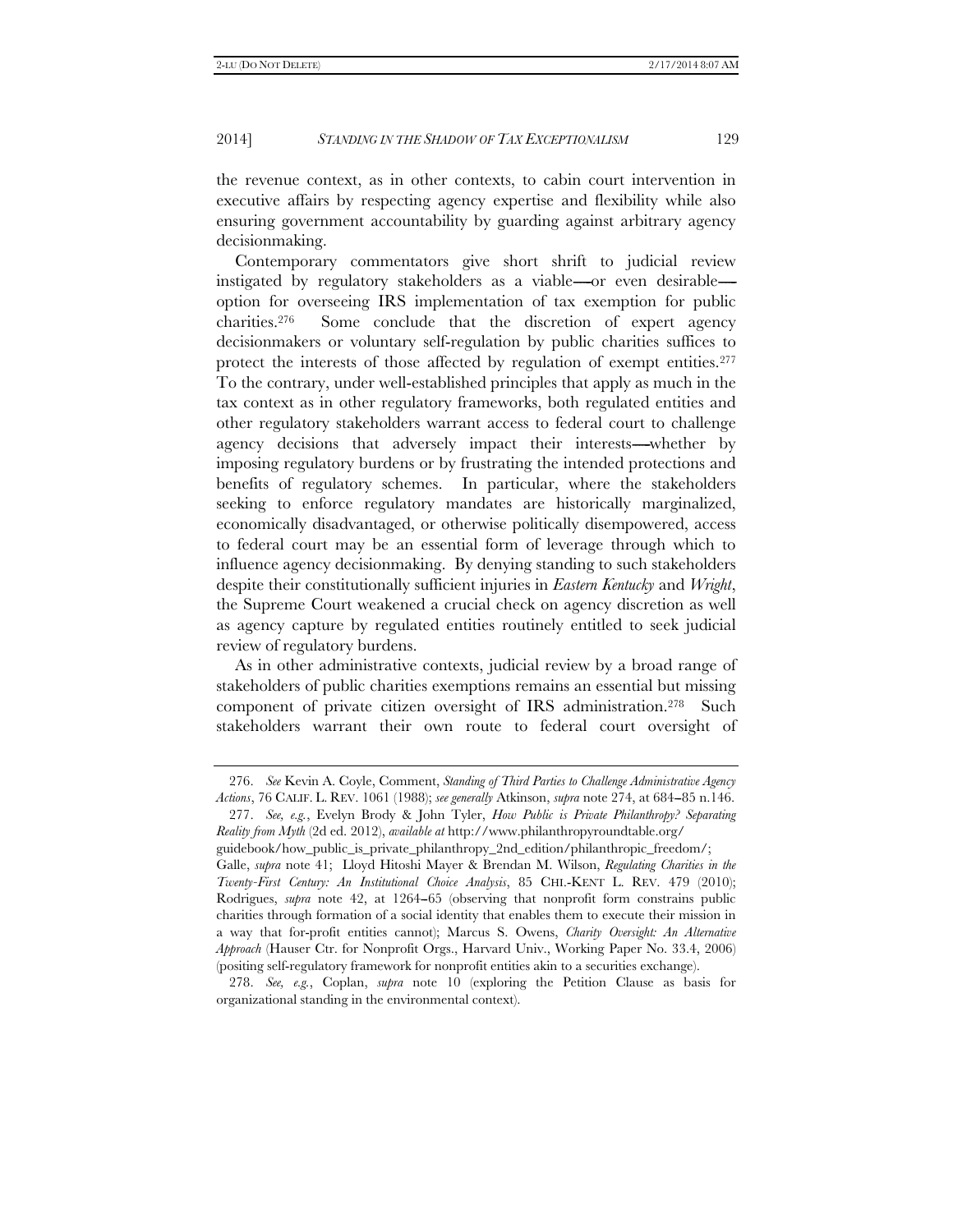the revenue context, as in other contexts, to cabin court intervention in executive affairs by respecting agency expertise and flexibility while also ensuring government accountability by guarding against arbitrary agency decisionmaking.

Contemporary commentators give short shrift to judicial review instigated by regulatory stakeholders as a viable----or even desirable--option for overseeing IRS implementation of tax exemption for public charities.276 Some conclude that the discretion of expert agency decisionmakers or voluntary self-regulation by public charities suffices to protect the interests of those affected by regulation of exempt entities.<sup>277</sup> To the contrary, under well-established principles that apply as much in the tax context as in other regulatory frameworks, both regulated entities and other regulatory stakeholders warrant access to federal court to challenge agency decisions that adversely impact their interests---whether by imposing regulatory burdens or by frustrating the intended protections and benefits of regulatory schemes. In particular, where the stakeholders seeking to enforce regulatory mandates are historically marginalized, economically disadvantaged, or otherwise politically disempowered, access to federal court may be an essential form of leverage through which to influence agency decisionmaking. By denying standing to such stakeholders despite their constitutionally sufficient injuries in *Eastern Kentucky* and *Wright*, the Supreme Court weakened a crucial check on agency discretion as well as agency capture by regulated entities routinely entitled to seek judicial review of regulatory burdens.

As in other administrative contexts, judicial review by a broad range of stakeholders of public charities exemptions remains an essential but missing component of private citizen oversight of IRS administration.278 Such stakeholders warrant their own route to federal court oversight of

 <sup>276.</sup> *See* Kevin A. Coyle, Comment, *Standing of Third Parties to Challenge Administrative Agency Actions*, 76 CALIF. L. REV. 1061 (1988); *see generally* Atkinson, *supra* note 274, at 684--85 n.146.

 <sup>277.</sup> *See, e.g.*, Evelyn Brody & John Tyler, *How Public is Private Philanthropy? Separating Reality from Myth* (2d ed. 2012), *available at* http://www.philanthropyroundtable.org/

guidebook/how\_public\_is\_private\_philanthropy\_2nd\_edition/philanthropic\_freedom/; Galle, *supra* note 41; Lloyd Hitoshi Mayer & Brendan M. Wilson, *Regulating Charities in the Twenty-First Century: An Institutional Choice Analysis*, 85 CHI.-KENT L. REV. 479 (2010); Rodrigues, *supra* note 42, at 1264–65 (observing that nonprofit form constrains public charities through formation of a social identity that enables them to execute their mission in a way that for-profit entities cannot); Marcus S. Owens, *Charity Oversight: An Alternative Approach* (Hauser Ctr. for Nonprofit Orgs., Harvard Univ., Working Paper No. 33.4, 2006) (positing self-regulatory framework for nonprofit entities akin to a securities exchange).

 <sup>278.</sup> *See, e.g.*, Coplan, *supra* note 10 (exploring the Petition Clause as basis for organizational standing in the environmental context).